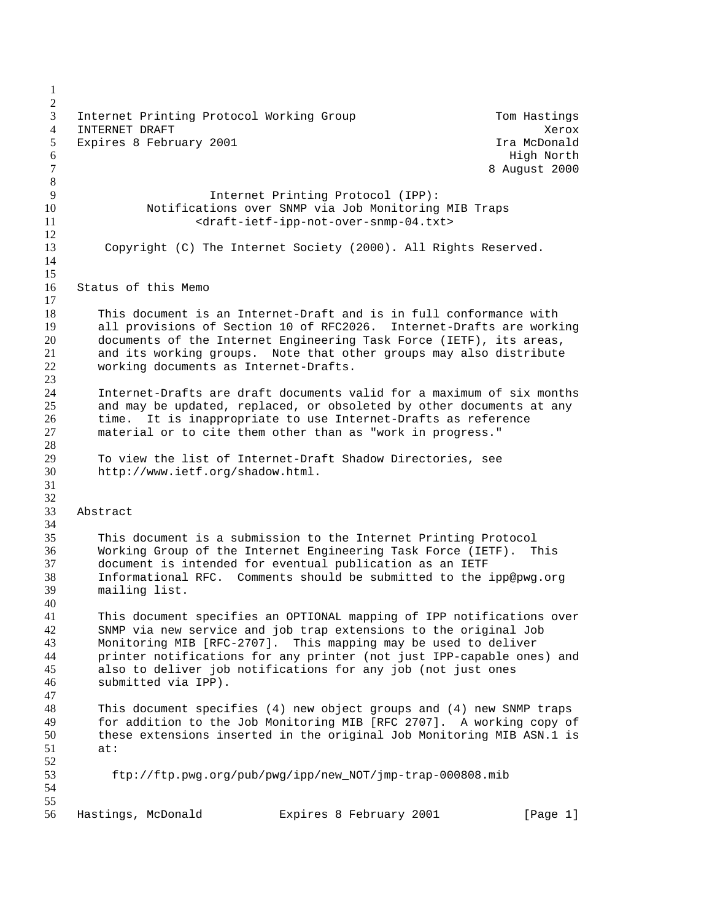3 Internet Printing Protocol Working Group Tom Hastings 4 INTERNET DRAFT **Xerox** 5 Expires 8 February 2001 **In the Search Constant Constant Constant** Ira McDonald High North 7 8 August 2000 Internet Printing Protocol (IPP): Notifications over SNMP via Job Monitoring MIB Traps 11 <araft-ietf-ipp-not-over-snmp-04.txt> Copyright (C) The Internet Society (2000). All Rights Reserved. Status of this Memo 18 This document is an Internet-Draft and is in full conformance with<br>19 all provisions of Section 10 of RFC2026. Internet-Drafts are work 19 all provisions of Section 10 of RFC2026. Internet-Drafts are working<br>20 documents of the Internet Engineering Task Force (IETF), its areas, documents of the Internet Engineering Task Force (IETF), its areas, and its working groups. Note that other groups may also distribute working documents as Internet-Drafts. Internet-Drafts are draft documents valid for a maximum of six months and may be updated, replaced, or obsoleted by other documents at any time. It is inappropriate to use Internet-Drafts as reference material or to cite them other than as "work in progress." To view the list of Internet-Draft Shadow Directories, see http://www.ietf.org/shadow.html. Abstract This document is a submission to the Internet Printing Protocol Working Group of the Internet Engineering Task Force (IETF). This document is intended for eventual publication as an IETF Informational RFC. Comments should be submitted to the ipp@pwg.org mailing list. This document specifies an OPTIONAL mapping of IPP notifications over SNMP via new service and job trap extensions to the original Job Monitoring MIB [RFC-2707]. This mapping may be used to deliver printer notifications for any printer (not just IPP-capable ones) and also to deliver job notifications for any job (not just ones submitted via IPP). 48 This document specifies (4) new object groups and (4) new SNMP traps<br>49 for addition to the Job Monitoring MIB [RFC 2707]. A working copy of for addition to the Job Monitoring MIB [RFC 2707]. A working copy of these extensions inserted in the original Job Monitoring MIB ASN.1 is at: ftp://ftp.pwg.org/pub/pwg/ipp/new\_NOT/jmp-trap-000808.mib 56 Hastings, McDonald Expires 8 February 2001 [Page 1]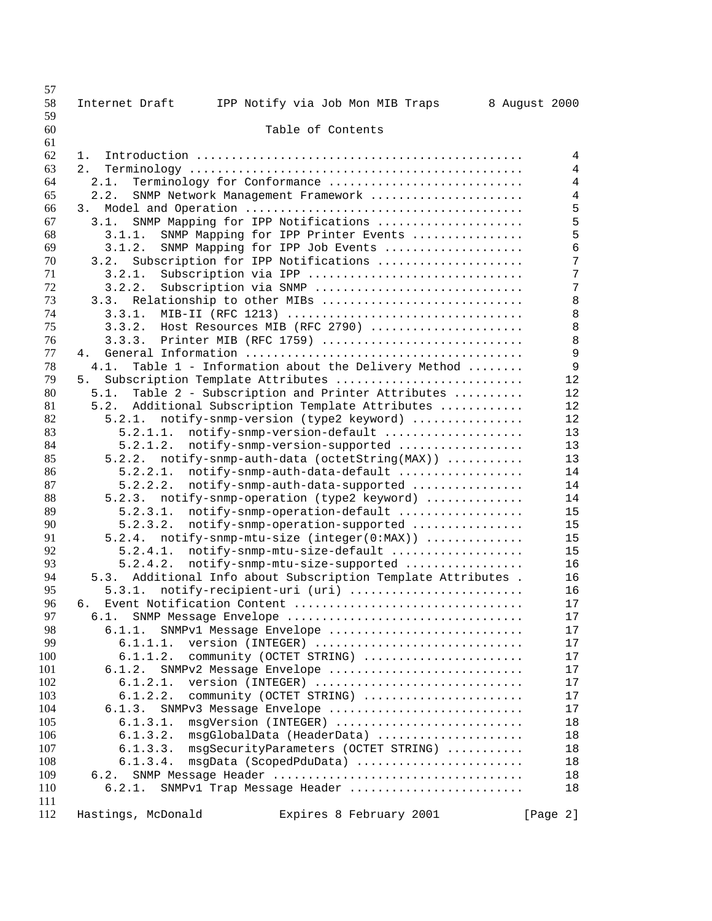| 57       |                                                                  |                |
|----------|------------------------------------------------------------------|----------------|
| 58<br>59 | Internet Draft<br>IPP Notify via Job Mon MIB Traps               | 8 August 2000  |
| 60       | Table of Contents                                                |                |
| 61       |                                                                  |                |
| 62       | 1.                                                               | 4              |
| 63       | 2.                                                               | $\overline{4}$ |
| 64       | 2.1.<br>Terminology for Conformance                              | $\overline{4}$ |
| 65       | 2.2.<br>SNMP Network Management Framework                        | $\overline{4}$ |
| 66       | 3.                                                               | 5              |
| 67       | SNMP Mapping for IPP Notifications<br>3.1.                       | 5              |
| 68       | 3.1.1.<br>SNMP Mapping for IPP Printer Events                    | 5              |
| 69       | 3.1.2.<br>SNMP Mapping for IPP Job Events                        | 6              |
| 70       | Subscription for IPP Notifications<br>3.2.                       | 7              |
| 71       | Subscription via IPP<br>3.2.1.                                   | 7              |
| 72       | 3.2.2.<br>Subscription via SNMP                                  | 7              |
| 73       | 3.3.<br>Relationship to other MIBs                               | 8              |
| 74       | 3.3.1.                                                           | 8              |
| 75       | Host Resources MIB (RFC 2790)<br>3.3.2.                          | 8              |
| 76       | Printer MIB (RFC 1759)<br>3.3.3.                                 | 8              |
| 77       | 4.                                                               | 9              |
| 78       | Table 1 - Information about the Delivery Method<br>4.1.          | 9              |
| 79       | Subscription Template Attributes<br>5.                           | 12             |
| 80       | 5.1.<br>Table 2 - Subscription and Printer Attributes            | 12             |
| 81       | Additional Subscription Template Attributes<br>5.2.              | 12             |
| 82       | notify-snmp-version (type2 keyword)<br>5.2.1.                    | 12             |
| 83       | notify-snmp-version-default<br>5.2.1.1.                          | 13             |
| 84       | 5.2.1.2.                                                         | 13             |
|          | notify-snmp-version-supported                                    |                |
| 85       | notify-snmp-auth-data (octetString(MAX))<br>5.2.2.               | 13             |
| 86       | notify-snmp-auth-data-default<br>5.2.2.1.                        | 14             |
| 87       | 5.2.2.2.<br>notify-snmp-auth-data-supported                      | 14             |
| 88       | 5.2.3.<br>notify-snmp-operation (type2 keyword)                  | 14             |
| 89       | 5.2.3.1.<br>notify-snmp-operation-default                        | 15             |
| 90       | 5.2.3.2.<br>notify-snmp-operation-supported                      | 15             |
| 91       | 5.2.4.<br>notify-snmp-mtu-size (integer(0:MAX))                  | 15             |
| 92       | notify-snmp-mtu-size-default<br>5.2.4.1.                         | 15             |
| 93       | 5.2.4.2.<br>notify-snmp-mtu-size-supported                       | 16             |
| 94       | Additional Info about Subscription Template Attributes .<br>5.3. | 16             |
| 95       | 5.3.1. notify-recipient-uri (uri)                                | 16             |
| 96       | б.                                                               | 17             |
| 97       | 6.1.<br>SNMP Message Envelope                                    | 17             |
| 98       | 6.1.1.<br>SNMPv1 Message Envelope                                | 17             |
| 99       | 6.1.1.1.<br>version (INTEGER)                                    | 17             |
| 100      | community (OCTET STRING)<br>6.1.1.2.                             | 17             |
| 101      | 6.1.2.<br>SNMPv2 Message Envelope                                | 17             |
| 102      | version (INTEGER)<br>6.1.2.1.                                    | 17             |
| 103      | 6.1.2.2.<br>community (OCTET STRING)                             | 17             |
| 104      | 6.1.3.<br>SNMPv3 Message Envelope                                | 17             |
| 105      | 6.1.3.1.<br>msgVersion (INTEGER)                                 | 18             |
| 106      | 6.1.3.2.<br>msgGlobalData (HeaderData)                           | 18             |
| 107      | 6.1.3.3.<br>msgSecurityParameters (OCTET STRING)                 | 18             |
| 108      | msgData (ScopedPduData)<br>6.1.3.4.                              | 18             |
| 109      | 6.2.                                                             | 18             |
| 110      | SNMPv1 Trap Message Header<br>6.2.1.                             | 18             |
| 111      |                                                                  |                |
| 112      | Hastings, McDonald<br>Expires 8 February 2001                    | [Page 2]       |
|          |                                                                  |                |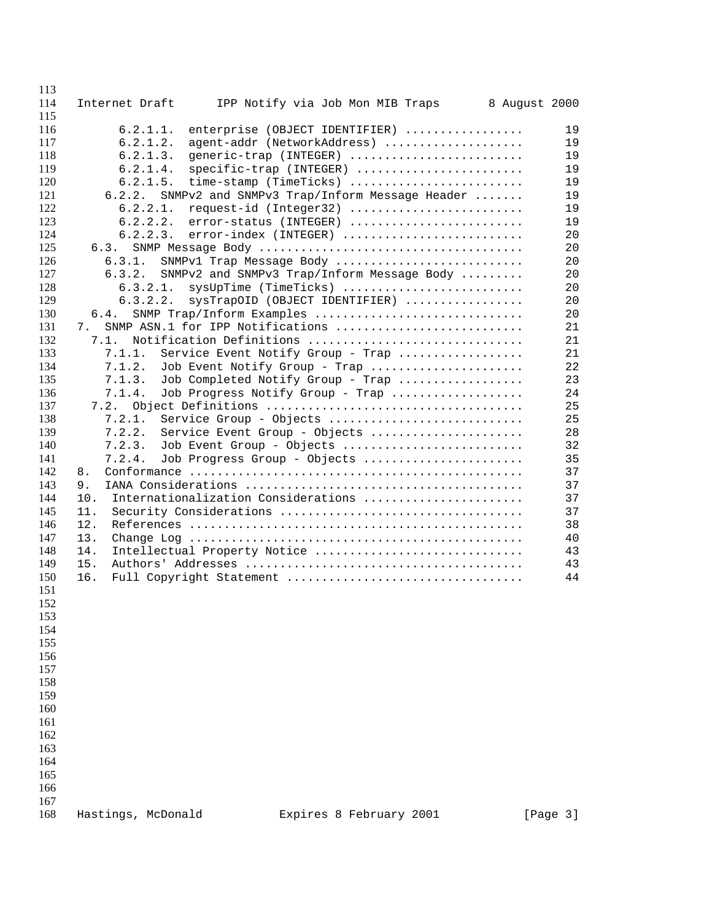| 113<br>114 |                    |                                              | 8 August 2000 |          |
|------------|--------------------|----------------------------------------------|---------------|----------|
| 115        | Internet Draft     | IPP Notify via Job Mon MIB Traps             |               |          |
| 116        | 6.2.1.1.           | enterprise (OBJECT IDENTIFIER)               |               | 19       |
| 117        | 6.2.1.2.           | agent-addr (NetworkAddress)                  |               | 19       |
| 118        | 6.2.1.3.           | generic-trap (INTEGER)                       |               | 19       |
| 119        | 6.2.1.4.           | specific-trap (INTEGER)                      |               | 19       |
| 120        | 6.2.1.5.           | time-stamp (TimeTicks)                       |               | 19       |
| 121        | 6.2.2.             | SNMPv2 and SNMPv3 Trap/Inform Message Header |               | 19       |
| 122        | 6.2.2.1.           | request-id (Integer32)                       |               | 19       |
| 123        | 6.2.2.2.           | error-status (INTEGER)                       |               | 19       |
| 124        | 6.2.2.3.           | error-index (INTEGER)                        |               | 20       |
| 125        | 6.3.               |                                              |               | 20       |
| 126        | 6.3.1.             | SNMPv1 Trap Message Body                     |               | 20       |
| 127        | 6.3.2.             | SNMPv2 and SNMPv3 Trap/Inform Message Body   |               | 20       |
| 128        | 6.3.2.1.           | sysUpTime (TimeTicks)                        |               | 20       |
| 129        | 6.3.2.2.           | sysTrapOID (OBJECT IDENTIFIER)               |               | 20       |
| 130        | 6.4.               | SNMP Trap/Inform Examples                    |               | 20       |
| 131        | 7.                 | SNMP ASN.1 for IPP Notifications             |               | 21       |
| 132        | 7.1.               | Notification Definitions                     |               | 21       |
| 133        | 7.1.1.             | Service Event Notify Group - Trap            |               | 21       |
| 134        | 7.1.2.             | Job Event Notify Group - Trap                |               | 22       |
| 135        | 7.1.3.             | Job Completed Notify Group - Trap            |               | 23       |
| 136        | 7.1.4.             | Job Progress Notify Group - Trap             |               | 24       |
| 137        | 7.2.               |                                              |               | 25       |
| 138        | 7.2.1.             | Service Group - Objects                      |               | 25       |
| 139        | 7.2.2.             | Service Event Group - Objects                |               | 28       |
| 140        | 7.2.3.             | Job Event Group - Objects                    |               | 32       |
| 141        | 7.2.4.             | Job Progress Group - Objects                 |               | 35       |
| 142        | 8.                 |                                              |               | 37       |
| 143        | 9.                 |                                              |               | 37       |
| 144        | 10.                | Internationalization Considerations          |               | 37       |
| 145        | 11.                |                                              |               | 37       |
| 146        | 12.                |                                              |               | 38       |
| 147        | 13.                |                                              |               | 40       |
| 148        | 14.                | Intellectual Property Notice                 |               | 43       |
| 149        | 15.                |                                              |               | 43       |
| 150        | 16.                | Full Copyright Statement                     |               | 44       |
| 151        |                    |                                              |               |          |
| 152        |                    |                                              |               |          |
| 153        |                    |                                              |               |          |
| 154        |                    |                                              |               |          |
| 155        |                    |                                              |               |          |
| 156        |                    |                                              |               |          |
| 157        |                    |                                              |               |          |
| 158        |                    |                                              |               |          |
| 159        |                    |                                              |               |          |
| 160        |                    |                                              |               |          |
| 161        |                    |                                              |               |          |
| 162        |                    |                                              |               |          |
| 163        |                    |                                              |               |          |
| 164        |                    |                                              |               |          |
| 165        |                    |                                              |               |          |
| 166        |                    |                                              |               |          |
| 167        |                    |                                              |               |          |
| 168        | Hastings, McDonald | Expires 8 February 2001                      |               | [Page 3] |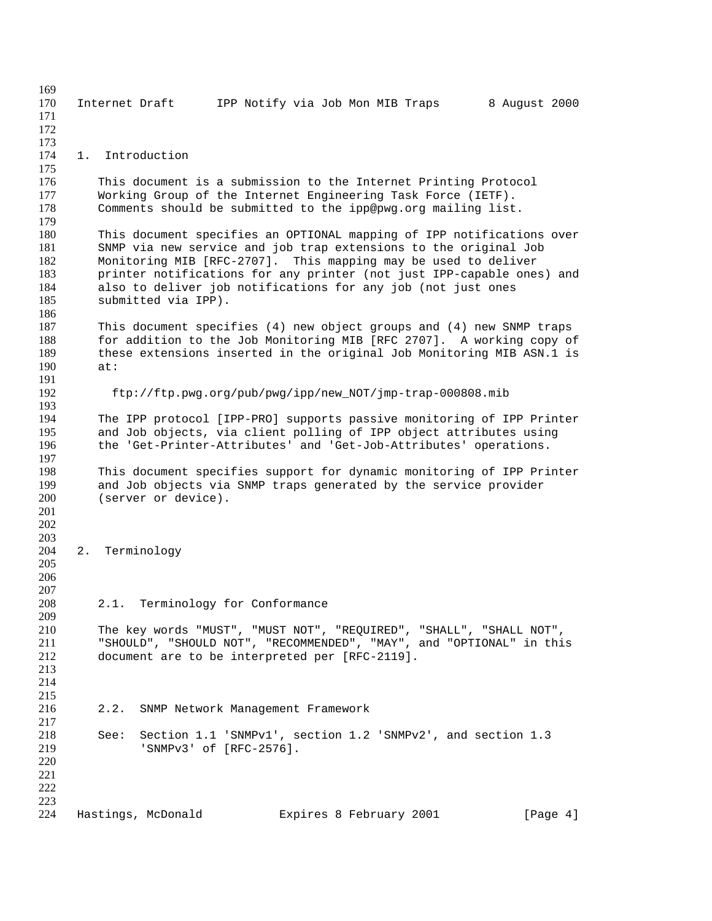Internet Draft IPP Notify via Job Mon MIB Traps 8 August 2000 1. Introduction 176 This document is a submission to the Internet Printing Protocol<br>177 Working Group of the Internet Engineering Task Force (IETF). Working Group of the Internet Engineering Task Force (IETF). Comments should be submitted to the ipp@pwg.org mailing list. This document specifies an OPTIONAL mapping of IPP notifications over SNMP via new service and job trap extensions to the original Job Monitoring MIB [RFC-2707]. This mapping may be used to deliver 183 printer notifications for any printer (not just IPP-capable ones) and<br>184 also to deliver job notifications for any job (not just ones 184 also to deliver job notifications for any job (not just ones 185 submitted via IPP). submitted via IPP). 187 This document specifies (4) new object groups and (4) new SNMP traps<br>188 for addition to the Job Monitoring MIB [RFC 2707]. A working copy of for addition to the Job Monitoring MIB [RFC 2707]. A working copy of these extensions inserted in the original Job Monitoring MIB ASN.1 is at: ftp://ftp.pwg.org/pub/pwg/ipp/new\_NOT/jmp-trap-000808.mib The IPP protocol [IPP-PRO] supports passive monitoring of IPP Printer and Job objects, via client polling of IPP object attributes using the 'Get-Printer-Attributes' and 'Get-Job-Attributes' operations. 198 This document specifies support for dynamic monitoring of IPP Printer<br>199 and Job objects via SNMP traps generated by the service provider 199 and Job objects via SNMP traps generated by the service provider<br>200 (server or device). (server or device). 2. Terminology  $\frac{207}{208}$ 2.1. Terminology for Conformance The key words "MUST", "MUST NOT", "REQUIRED", "SHALL", "SHALL NOT", "SHOULD", "SHOULD NOT", "RECOMMENDED", "MAY", and "OPTIONAL" in this document are to be interpreted per [RFC-2119]. 2.2. SNMP Network Management Framework See: Section 1.1 'SNMPv1', section 1.2 'SNMPv2', and section 1.3 'SNMPv3' of [RFC-2576]. 224 Hastings, McDonald Expires 8 February 2001 [Page 4]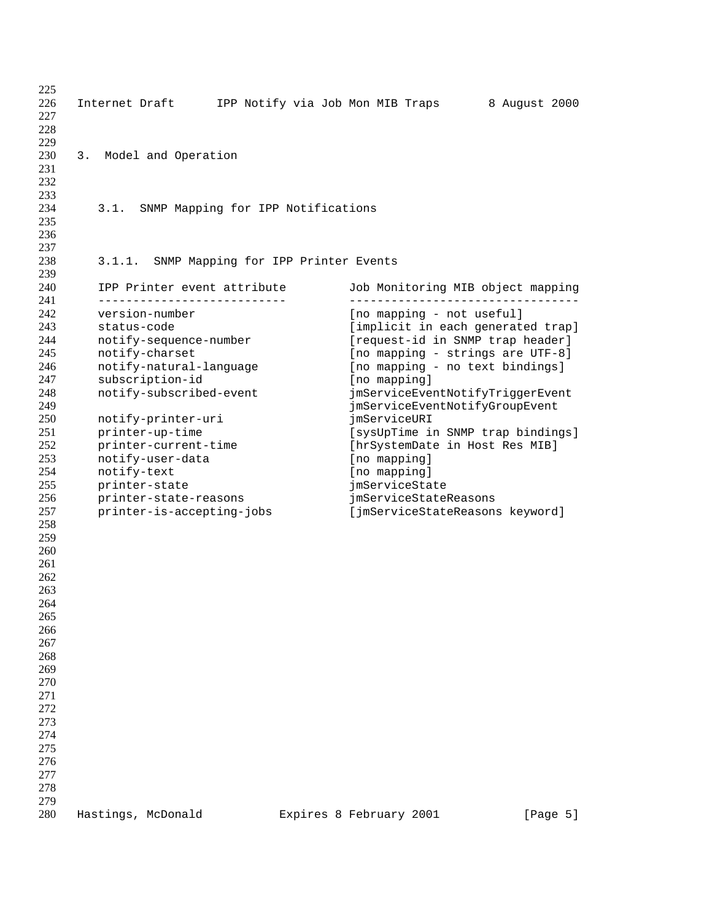| 225 |                                            |                                   |               |
|-----|--------------------------------------------|-----------------------------------|---------------|
| 226 | Internet Draft                             | IPP Notify via Job Mon MIB Traps  | 8 August 2000 |
| 227 |                                            |                                   |               |
| 228 |                                            |                                   |               |
| 229 |                                            |                                   |               |
| 230 | Model and Operation<br>3.                  |                                   |               |
| 231 |                                            |                                   |               |
| 232 |                                            |                                   |               |
| 233 |                                            |                                   |               |
| 234 | 3.1.<br>SNMP Mapping for IPP Notifications |                                   |               |
| 235 |                                            |                                   |               |
| 236 |                                            |                                   |               |
|     |                                            |                                   |               |
| 237 |                                            |                                   |               |
| 238 | 3.1.1. SNMP Mapping for IPP Printer Events |                                   |               |
| 239 |                                            |                                   |               |
| 240 | IPP Printer event attribute                | Job Monitoring MIB object mapping |               |
| 241 | _____________________________              |                                   |               |
| 242 | version-number                             | [no mapping - not useful]         |               |
| 243 | status-code                                | [implicit in each generated trap] |               |
| 244 | notify-sequence-number                     | [request-id in SNMP trap header]  |               |
| 245 | notify-charset                             | [no mapping - strings are UTF-8]  |               |
| 246 | notify-natural-language                    | [no mapping - no text bindings]   |               |
| 247 | subscription-id                            | [no mapping]                      |               |
| 248 | notify-subscribed-event                    | jmServiceEventNotifyTriggerEvent  |               |
| 249 |                                            | jmServiceEventNotifyGroupEvent    |               |
| 250 | notify-printer-uri                         | imServiceURI                      |               |
| 251 | printer-up-time                            | [sysUpTime in SNMP trap bindings] |               |
| 252 | printer-current-time                       | [hrSystemDate in Host Res MIB]    |               |
| 253 | notify-user-data                           | [no mapping]                      |               |
| 254 | notify-text                                | [no mapping]                      |               |
| 255 |                                            |                                   |               |
|     | printer-state                              | jmServiceState                    |               |
| 256 | printer-state-reasons                      | jmServiceStateReasons             |               |
| 257 | printer-is-accepting-jobs                  | [jmServiceStateReasons keyword]   |               |
| 258 |                                            |                                   |               |
| 259 |                                            |                                   |               |
| 260 |                                            |                                   |               |
| 261 |                                            |                                   |               |
| 262 |                                            |                                   |               |
| 263 |                                            |                                   |               |
| 264 |                                            |                                   |               |
| 265 |                                            |                                   |               |
| 266 |                                            |                                   |               |
| 267 |                                            |                                   |               |
| 268 |                                            |                                   |               |
| 269 |                                            |                                   |               |
| 270 |                                            |                                   |               |
| 271 |                                            |                                   |               |
| 272 |                                            |                                   |               |
| 273 |                                            |                                   |               |
| 274 |                                            |                                   |               |
| 275 |                                            |                                   |               |
| 276 |                                            |                                   |               |
| 277 |                                            |                                   |               |
|     |                                            |                                   |               |
| 278 |                                            |                                   |               |
| 279 |                                            |                                   |               |
| 280 | Hastings, McDonald                         | Expires 8 February 2001           | [Page 5]      |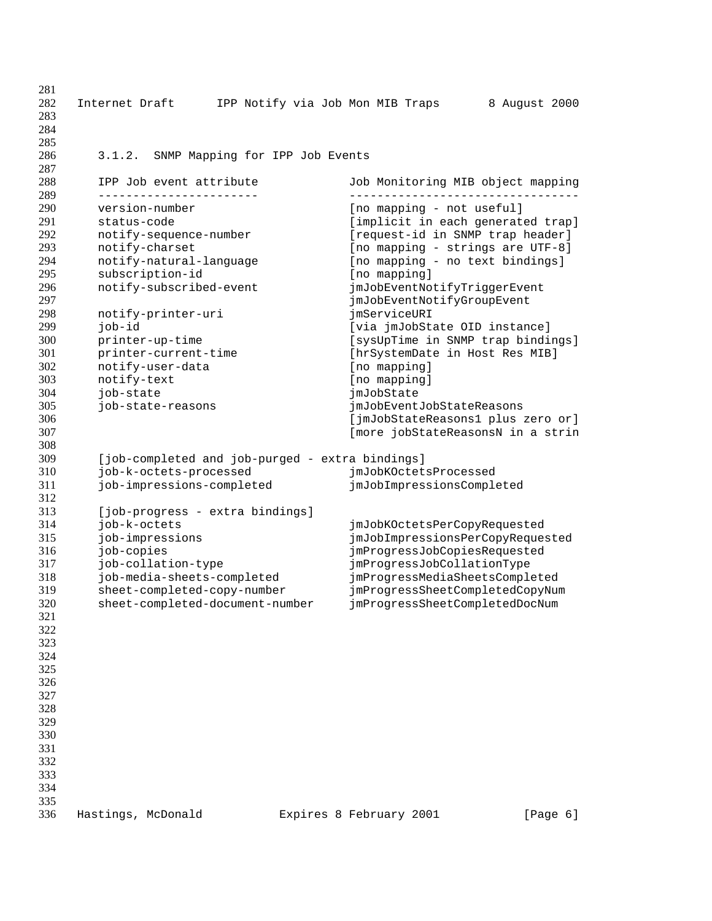| 281<br>282<br>283<br>284<br>285 | Internet Draft                                  | IPP Notify via Job Mon MIB Traps |                                 | 8 August 2000                     |
|---------------------------------|-------------------------------------------------|----------------------------------|---------------------------------|-----------------------------------|
| 286<br>287                      | SNMP Mapping for IPP Job Events<br>3.1.2.       |                                  |                                 |                                   |
| 288                             | IPP Job event attribute                         |                                  |                                 | Job Monitoring MIB object mapping |
| 289                             | ------------------------                        |                                  | ------------------------------- |                                   |
| 290                             | version-number                                  |                                  | [no mapping - not useful]       |                                   |
| 291                             | status-code                                     |                                  |                                 | [implicit in each generated trap] |
| 292                             | notify-sequence-number                          |                                  |                                 | [request-id in SNMP trap header]  |
| 293                             | notify-charset                                  |                                  |                                 | [no mapping - strings are UTF-8]  |
| 294                             | notify-natural-language                         |                                  |                                 | [no mapping - no text bindings]   |
| 295                             | subscription-id                                 | [no mapping]                     |                                 |                                   |
| 296                             | notify-subscribed-event                         |                                  | jmJobEventNotifyTriggerEvent    |                                   |
| 297                             |                                                 |                                  | jmJobEventNotifyGroupEvent      |                                   |
| 298                             | notify-printer-uri                              | jmServiceURI                     |                                 |                                   |
| 299                             | job-id                                          |                                  | [via jmJobState OID instance]   |                                   |
| 300                             | printer-up-time                                 |                                  |                                 | [sysUpTime in SNMP trap bindings] |
| 301                             | printer-current-time                            |                                  |                                 | [hrSystemDate in Host Res MIB]    |
| 302                             | notify-user-data                                | [no mapping]                     |                                 |                                   |
| 303                             | notify-text                                     | [no mapping]                     |                                 |                                   |
| 304                             | job-state                                       | jmJobState                       |                                 |                                   |
| 305                             | job-state-reasons                               |                                  | jmJobEventJobStateReasons       |                                   |
| 306                             |                                                 |                                  |                                 | [jmJobStateReasons1 plus zero or] |
| 307                             |                                                 |                                  |                                 | [more jobStateReasonsN in a strin |
| 308                             |                                                 |                                  |                                 |                                   |
| 309<br>310                      | [job-completed and job-purged - extra bindings] |                                  |                                 |                                   |
| 311                             | job-k-octets-processed                          |                                  | jmJobKOctetsProcessed           |                                   |
| 312                             | job-impressions-completed                       |                                  | jmJobImpressionsCompleted       |                                   |
| 313                             | [job-progress - extra bindings]                 |                                  |                                 |                                   |
| 314                             | job-k-octets                                    |                                  | jmJobKOctetsPerCopyRequested    |                                   |
| 315                             | job-impressions                                 |                                  |                                 | jmJobImpressionsPerCopyRequested  |
| 316                             | job-copies                                      |                                  | jmProgressJobCopiesRequested    |                                   |
| 317                             | job-collation-type                              |                                  | jmProgressJobCollationType      |                                   |
| 318                             | job-media-sheets-completed                      |                                  |                                 | jmProgressMediaSheetsCompleted    |
| 319                             | sheet-completed-copy-number                     |                                  |                                 | jmProgressSheetCompletedCopyNum   |
| 320                             | sheet-completed-document-number                 |                                  |                                 | jmProgressSheetCompletedDocNum    |
| 321                             |                                                 |                                  |                                 |                                   |
| 322                             |                                                 |                                  |                                 |                                   |
| 323                             |                                                 |                                  |                                 |                                   |
| 324                             |                                                 |                                  |                                 |                                   |
| 325                             |                                                 |                                  |                                 |                                   |
| 326                             |                                                 |                                  |                                 |                                   |
| 327                             |                                                 |                                  |                                 |                                   |
| 328                             |                                                 |                                  |                                 |                                   |
| 329                             |                                                 |                                  |                                 |                                   |
| 330                             |                                                 |                                  |                                 |                                   |
| 331                             |                                                 |                                  |                                 |                                   |
| 332                             |                                                 |                                  |                                 |                                   |
| 333                             |                                                 |                                  |                                 |                                   |
| 334                             |                                                 |                                  |                                 |                                   |
| 335                             |                                                 |                                  |                                 |                                   |
| 336                             | Hastings, McDonald                              | Expires 8 February 2001          |                                 | [Page 6]                          |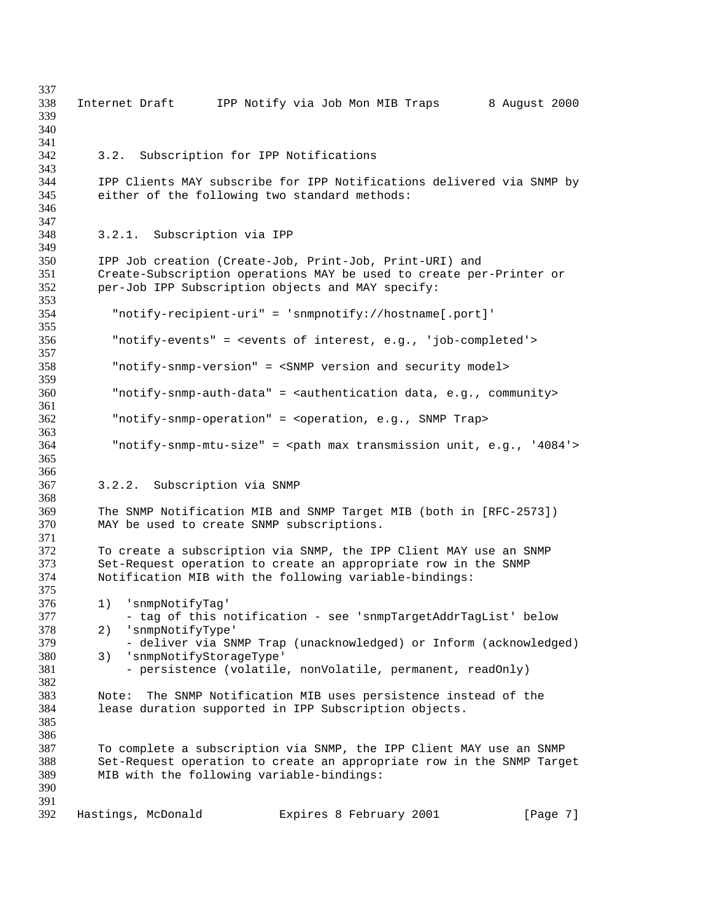| 337 |                                                                                            |
|-----|--------------------------------------------------------------------------------------------|
| 338 | IPP Notify via Job Mon MIB Traps<br>8 August 2000<br>Internet Draft                        |
| 339 |                                                                                            |
| 340 |                                                                                            |
| 341 |                                                                                            |
| 342 | 3.2. Subscription for IPP Notifications                                                    |
| 343 |                                                                                            |
| 344 | IPP Clients MAY subscribe for IPP Notifications delivered via SNMP by                      |
| 345 | either of the following two standard methods:                                              |
| 346 |                                                                                            |
| 347 |                                                                                            |
| 348 | Subscription via IPP<br>3.2.1.                                                             |
| 349 |                                                                                            |
| 350 | IPP Job creation (Create-Job, Print-Job, Print-URI) and                                    |
| 351 |                                                                                            |
| 352 | Create-Subscription operations MAY be used to create per-Printer or                        |
|     | per-Job IPP Subscription objects and MAY specify:                                          |
| 353 |                                                                                            |
| 354 | "notify-recipient-uri" = 'snmpnotify://hostname[.port]'                                    |
| 355 |                                                                                            |
| 356 | "notify-events" = <events 'job-completed'="" e.g.,="" interest,="" of=""></events>         |
| 357 |                                                                                            |
| 358 | "notify-snmp-version" = <snmp and="" model="" security="" version=""></snmp>               |
| 359 |                                                                                            |
| 360 | "notify-snmp-auth-data" = <authentication community="" data,="" e.g.,=""></authentication> |
| 361 |                                                                                            |
| 362 | "notify-snmp-operation" = <operation, e.g.,="" snmp="" trap=""></operation,>               |
| 363 |                                                                                            |
| 364 | "notify-snmp-mtu-size" = <path '4084'="" e.g.,="" max="" transmission="" unit,=""></path>  |
| 365 |                                                                                            |
| 366 |                                                                                            |
| 367 | 3.2.2.<br>Subscription via SNMP                                                            |
| 368 |                                                                                            |
| 369 | The SNMP Notification MIB and SNMP Target MIB (both in [RFC-2573])                         |
| 370 | MAY be used to create SNMP subscriptions.                                                  |
| 371 |                                                                                            |
| 372 | To create a subscription via SNMP, the IPP Client MAY use an SNMP                          |
| 373 | Set-Request operation to create an appropriate row in the SNMP                             |
| 374 | Notification MIB with the following variable-bindings:                                     |
| 375 |                                                                                            |
| 376 | 'snmpNotifyTaq'<br>1)                                                                      |
| 377 | - tag of this notification - see 'snmpTargetAddrTagList' below                             |
| 378 | 2)<br>'snmpNotifyType'                                                                     |
| 379 | - deliver via SNMP Trap (unacknowledged) or Inform (acknowledged)                          |
| 380 | 'snmpNotifyStorageType'<br>3)                                                              |
| 381 | - persistence (volatile, nonVolatile, permanent, readOnly)                                 |
| 382 |                                                                                            |
| 383 | The SNMP Notification MIB uses persistence instead of the<br>Note:                         |
| 384 | lease duration supported in IPP Subscription objects.                                      |
| 385 |                                                                                            |
| 386 |                                                                                            |
| 387 | To complete a subscription via SNMP, the IPP Client MAY use an SNMP                        |
| 388 | Set-Request operation to create an appropriate row in the SNMP Target                      |
| 389 | MIB with the following variable-bindings:                                                  |
| 390 |                                                                                            |
| 391 |                                                                                            |
| 392 | Hastings, McDonald<br>Expires 8 February 2001<br>[Page 7]                                  |
|     |                                                                                            |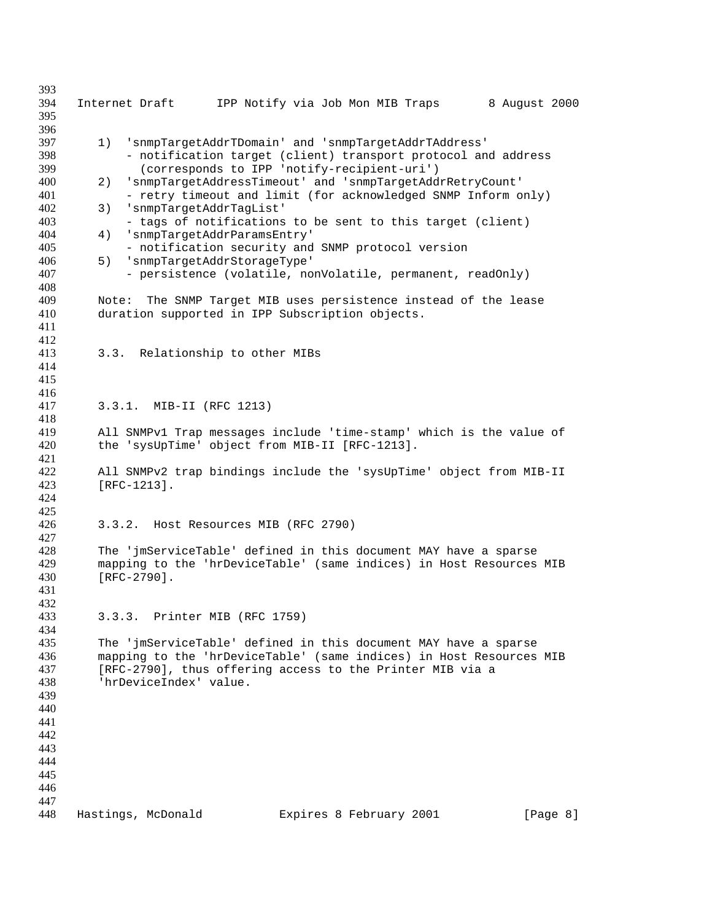Internet Draft IPP Notify via Job Mon MIB Traps 8 August 2000 1) 'snmpTargetAddrTDomain' and 'snmpTargetAddrTAddress' - notification target (client) transport protocol and address (corresponds to IPP 'notify-recipient-uri') 2) 'snmpTargetAddressTimeout' and 'snmpTargetAddrRetryCount' 401 - retry timeout and limit (for acknowledged SNMP Inform only) 3) 'snmpTargetAddrTagList' - tags of notifications to be sent to this target (client) 4) 'snmpTargetAddrParamsEntry' - notification security and SNMP protocol version 5) 'snmpTargetAddrStorageType' - persistence (volatile, nonVolatile, permanent, readOnly) 409 Mote: The SNMP Target MIB uses persistence instead of the lease<br>410 duration supported in IPP Subscription objects. duration supported in IPP Subscription objects. 3.3. Relationship to other MIBs 3.3.1. MIB-II (RFC 1213) All SNMPv1 Trap messages include 'time-stamp' which is the value of the 'sysUpTime' object from MIB-II [RFC-1213]. All SNMPv2 trap bindings include the 'sysUpTime' object from MIB-II [RFC-1213]. 3.3.2. Host Resources MIB (RFC 2790) The 'jmServiceTable' defined in this document MAY have a sparse mapping to the 'hrDeviceTable' (same indices) in Host Resources MIB [RFC-2790]. 3.3.3. Printer MIB (RFC 1759) The 'jmServiceTable' defined in this document MAY have a sparse mapping to the 'hrDeviceTable' (same indices) in Host Resources MIB [RFC-2790], thus offering access to the Printer MIB via a 'hrDeviceIndex' value. 448 Hastings, McDonald Expires 8 February 2001 [Page 8]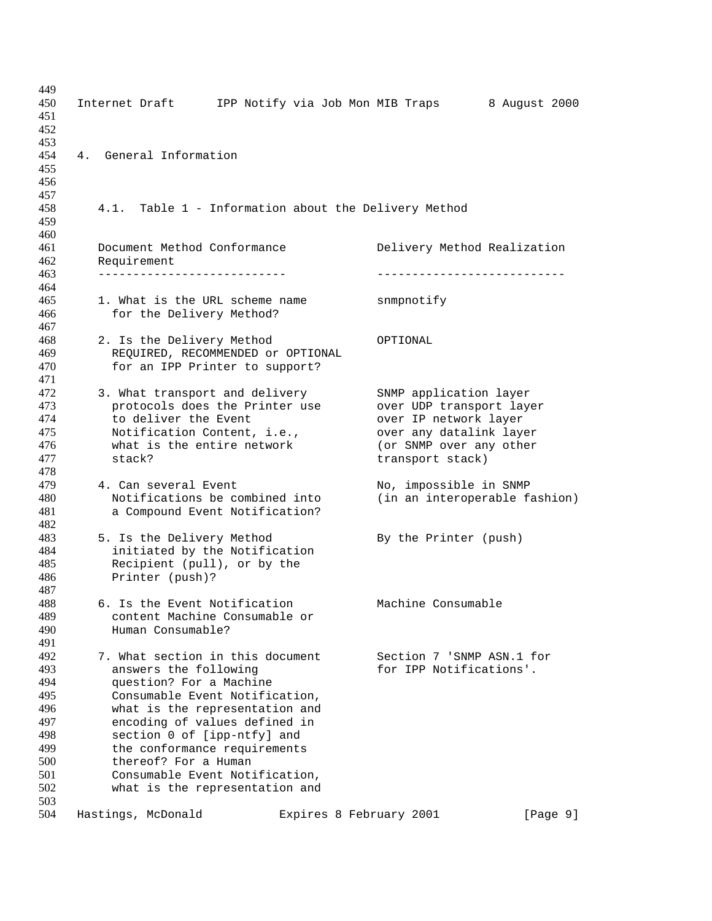| 449<br>450<br>451<br>452                                           | Internet Draft IPP Notify via Job Mon MIB Traps                                                                                                                                                                                                                                                                    | 8 August 2000                                                                                                                                         |
|--------------------------------------------------------------------|--------------------------------------------------------------------------------------------------------------------------------------------------------------------------------------------------------------------------------------------------------------------------------------------------------------------|-------------------------------------------------------------------------------------------------------------------------------------------------------|
| 453<br>454<br>455<br>456                                           | General Information<br>4.                                                                                                                                                                                                                                                                                          |                                                                                                                                                       |
| 457<br>458<br>459                                                  | Table 1 - Information about the Delivery Method<br>4.1.                                                                                                                                                                                                                                                            |                                                                                                                                                       |
| 460<br>461<br>462                                                  | Document Method Conformance<br>Requirement<br>_____________________________                                                                                                                                                                                                                                        | Delivery Method Realization                                                                                                                           |
| 463                                                                |                                                                                                                                                                                                                                                                                                                    |                                                                                                                                                       |
| 464<br>465<br>466<br>467                                           | 1. What is the URL scheme name<br>for the Delivery Method?                                                                                                                                                                                                                                                         | snmpnotify                                                                                                                                            |
| 468<br>469<br>470<br>471                                           | 2. Is the Delivery Method<br>REQUIRED, RECOMMENDED Or OPTIONAL<br>for an IPP Printer to support?                                                                                                                                                                                                                   | OPTIONAL                                                                                                                                              |
| 472<br>473<br>474<br>475<br>476<br>477<br>478                      | 3. What transport and delivery<br>protocols does the Printer use<br>to deliver the Event<br>Notification Content, i.e.,<br>what is the entire network<br>stack?                                                                                                                                                    | SNMP application layer<br>over UDP transport layer<br>over IP network layer<br>over any datalink layer<br>(or SNMP over any other<br>transport stack) |
| 479<br>480<br>481                                                  | 4. Can several Event<br>Notifications be combined into<br>a Compound Event Notification?                                                                                                                                                                                                                           | No, impossible in SNMP<br>(in an interoperable fashion)                                                                                               |
| 482<br>483<br>484<br>485<br>486                                    | 5. Is the Delivery Method<br>initiated by the Notification<br>Recipient (pull), or by the<br>Printer (push)?                                                                                                                                                                                                       | By the Printer (push)                                                                                                                                 |
| 487<br>488<br>489<br>490<br>491                                    | 6. Is the Event Notification<br>content Machine Consumable or<br>Human Consumable?                                                                                                                                                                                                                                 | Machine Consumable                                                                                                                                    |
| 492<br>493<br>494<br>495<br>496<br>497<br>498<br>499<br>500<br>501 | 7. What section in this document<br>answers the following<br>question? For a Machine<br>Consumable Event Notification,<br>what is the representation and<br>encoding of values defined in<br>section 0 of [ipp-ntfy] and<br>the conformance requirements<br>thereof? For a Human<br>Consumable Event Notification, | Section 7 'SNMP ASN.1 for<br>for IPP Notifications'.                                                                                                  |
| 502<br>503<br>504                                                  | what is the representation and<br>Hastings, McDonald<br>Expires 8 February 2001                                                                                                                                                                                                                                    | [Page 9]                                                                                                                                              |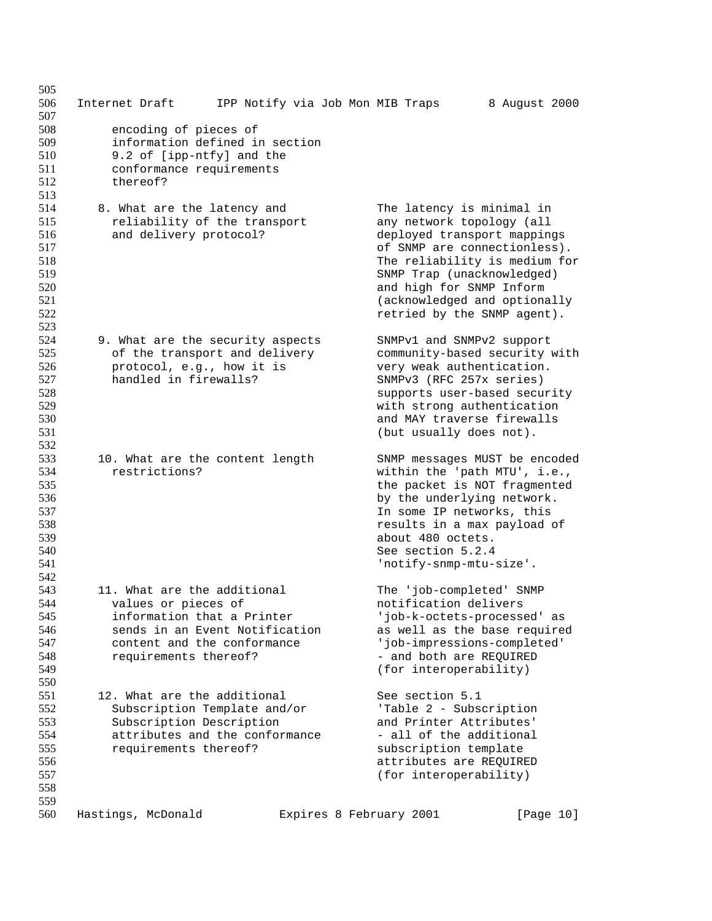| 505<br>506<br>507                                                  | Internet Draft                                                                                                                                                             | IPP Notify via Job Mon MIB Traps |                                                                                                                                                                                                                                                                                 | 8 August 2000 |
|--------------------------------------------------------------------|----------------------------------------------------------------------------------------------------------------------------------------------------------------------------|----------------------------------|---------------------------------------------------------------------------------------------------------------------------------------------------------------------------------------------------------------------------------------------------------------------------------|---------------|
| 508<br>509<br>510<br>511<br>512<br>513                             | encoding of pieces of<br>information defined in section<br>9.2 of [ipp-ntfy] and the<br>conformance requirements<br>thereof?                                               |                                  |                                                                                                                                                                                                                                                                                 |               |
| 514<br>515<br>516<br>517<br>518<br>519<br>520<br>521<br>522<br>523 | 8. What are the latency and<br>reliability of the transport<br>and delivery protocol?                                                                                      |                                  | The latency is minimal in<br>any network topology (all<br>deployed transport mappings<br>of SNMP are connectionless).<br>The reliability is medium for<br>SNMP Trap (unacknowledged)<br>and high for SNMP Inform<br>(acknowledged and optionally<br>retried by the SNMP agent). |               |
| 524<br>525<br>526<br>527<br>528<br>529<br>530<br>531<br>532        | 9. What are the security aspects<br>of the transport and delivery<br>protocol, e.g., how it is<br>handled in firewalls?                                                    |                                  | SNMPv1 and SNMPv2 support<br>community-based security with<br>very weak authentication.<br>SNMPv3 (RFC 257x series)<br>supports user-based security<br>with strong authentication<br>and MAY traverse firewalls<br>(but usually does not).                                      |               |
| 533<br>534<br>535<br>536<br>537<br>538<br>539<br>540<br>541<br>542 | 10. What are the content length<br>restrictions?                                                                                                                           |                                  | SNMP messages MUST be encoded<br>within the 'path MTU', i.e.,<br>the packet is NOT fragmented<br>by the underlying network.<br>In some IP networks, this<br>results in a max payload of<br>about 480 octets.<br>See section 5.2.4<br>'notify-snmp-mtu-size'.                    |               |
| 543<br>544<br>545<br>546<br>547<br>548<br>549<br>550               | 11. What are the additional<br>values or pieces of<br>information that a Printer<br>sends in an Event Notification<br>content and the conformance<br>requirements thereof? |                                  | The 'job-completed' SNMP<br>notification delivers<br>'job-k-octets-processed' as<br>as well as the base required<br>'job-impressions-completed'<br>- and both are REQUIRED<br>(for interoperability)                                                                            |               |
| 551<br>552<br>553<br>554<br>555<br>556<br>557<br>558               | 12. What are the additional<br>Subscription Template and/or<br>Subscription Description<br>attributes and the conformance<br>requirements thereof?                         |                                  | See section 5.1<br>'Table 2 - Subscription<br>and Printer Attributes'<br>- all of the additional<br>subscription template<br>attributes are REQUIRED<br>(for interoperability)                                                                                                  |               |
| 559<br>560                                                         | Hastings, McDonald                                                                                                                                                         |                                  | Expires 8 February 2001                                                                                                                                                                                                                                                         | [Page 10]     |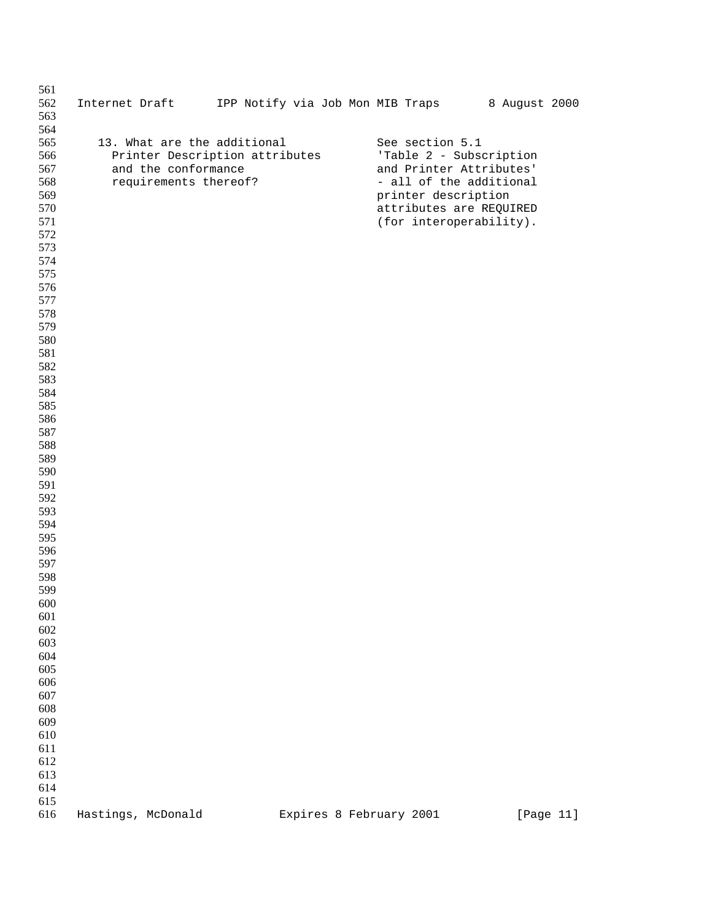| 561        |                    |                                |                                  |                         |  |                         |               |  |
|------------|--------------------|--------------------------------|----------------------------------|-------------------------|--|-------------------------|---------------|--|
| 562<br>563 | Internet Draft     |                                | IPP Notify via Job Mon MIB Traps |                         |  |                         | 8 August 2000 |  |
| 564        |                    |                                |                                  |                         |  |                         |               |  |
| 565        |                    | 13. What are the additional    |                                  |                         |  | See section 5.1         |               |  |
| 566        |                    | Printer Description attributes |                                  |                         |  | 'Table 2 - Subscription |               |  |
| 567        |                    | and the conformance            |                                  |                         |  | and Printer Attributes' |               |  |
| 568        |                    | requirements thereof?          |                                  |                         |  | - all of the additional |               |  |
| 569        |                    |                                |                                  |                         |  | printer description     |               |  |
| 570        |                    |                                |                                  |                         |  | attributes are REQUIRED |               |  |
| 571        |                    |                                |                                  |                         |  | (for interoperability). |               |  |
| 572<br>573 |                    |                                |                                  |                         |  |                         |               |  |
| 574        |                    |                                |                                  |                         |  |                         |               |  |
| 575        |                    |                                |                                  |                         |  |                         |               |  |
| 576        |                    |                                |                                  |                         |  |                         |               |  |
| 577        |                    |                                |                                  |                         |  |                         |               |  |
| 578        |                    |                                |                                  |                         |  |                         |               |  |
| 579        |                    |                                |                                  |                         |  |                         |               |  |
| 580        |                    |                                |                                  |                         |  |                         |               |  |
| 581        |                    |                                |                                  |                         |  |                         |               |  |
| 582<br>583 |                    |                                |                                  |                         |  |                         |               |  |
| 584        |                    |                                |                                  |                         |  |                         |               |  |
| 585        |                    |                                |                                  |                         |  |                         |               |  |
| 586        |                    |                                |                                  |                         |  |                         |               |  |
| 587        |                    |                                |                                  |                         |  |                         |               |  |
| 588        |                    |                                |                                  |                         |  |                         |               |  |
| 589        |                    |                                |                                  |                         |  |                         |               |  |
| 590        |                    |                                |                                  |                         |  |                         |               |  |
| 591<br>592 |                    |                                |                                  |                         |  |                         |               |  |
| 593        |                    |                                |                                  |                         |  |                         |               |  |
| 594        |                    |                                |                                  |                         |  |                         |               |  |
| 595        |                    |                                |                                  |                         |  |                         |               |  |
| 596        |                    |                                |                                  |                         |  |                         |               |  |
| 597        |                    |                                |                                  |                         |  |                         |               |  |
| 598        |                    |                                |                                  |                         |  |                         |               |  |
| 599        |                    |                                |                                  |                         |  |                         |               |  |
| 600        |                    |                                |                                  |                         |  |                         |               |  |
| 601<br>602 |                    |                                |                                  |                         |  |                         |               |  |
| 603        |                    |                                |                                  |                         |  |                         |               |  |
| 604        |                    |                                |                                  |                         |  |                         |               |  |
| 605        |                    |                                |                                  |                         |  |                         |               |  |
| 606        |                    |                                |                                  |                         |  |                         |               |  |
| 607        |                    |                                |                                  |                         |  |                         |               |  |
| 608        |                    |                                |                                  |                         |  |                         |               |  |
| 609        |                    |                                |                                  |                         |  |                         |               |  |
| 610<br>611 |                    |                                |                                  |                         |  |                         |               |  |
| 612        |                    |                                |                                  |                         |  |                         |               |  |
| 613        |                    |                                |                                  |                         |  |                         |               |  |
| 614        |                    |                                |                                  |                         |  |                         |               |  |
| 615        |                    |                                |                                  |                         |  |                         |               |  |
| 616        | Hastings, McDonald |                                |                                  | Expires 8 February 2001 |  |                         | [Page 11]     |  |
|            |                    |                                |                                  |                         |  |                         |               |  |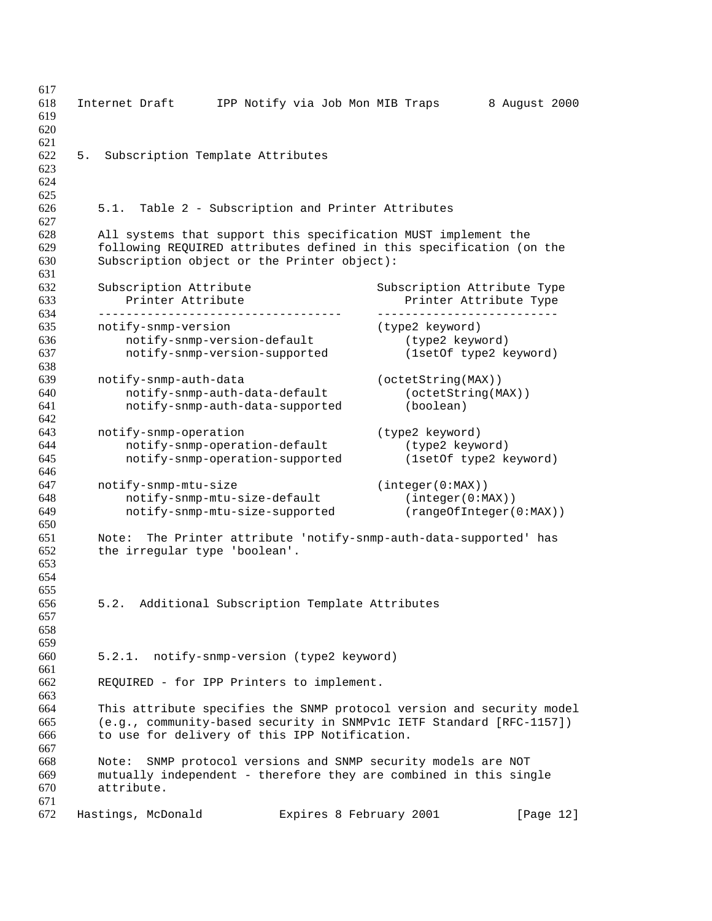| 617<br>618<br>619<br>620       | IPP Notify via Job Mon MIB Traps<br>Internet Draft                                                                                                                                             |                                                                 | 8 August 2000 |
|--------------------------------|------------------------------------------------------------------------------------------------------------------------------------------------------------------------------------------------|-----------------------------------------------------------------|---------------|
| 621<br>622<br>5.<br>623<br>624 | Subscription Template Attributes                                                                                                                                                               |                                                                 |               |
| 625<br>626                     | Table 2 - Subscription and Printer Attributes<br>5.1.                                                                                                                                          |                                                                 |               |
| 627<br>628<br>629<br>630       | All systems that support this specification MUST implement the<br>following REQUIRED attributes defined in this specification (on the<br>Subscription object or the Printer object):           |                                                                 |               |
|                                |                                                                                                                                                                                                |                                                                 |               |
|                                | Subscription Attribute<br>Printer Attribute<br>------------                                                                                                                                    | Subscription Attribute Type<br>Printer Attribute Type           |               |
|                                | notify-snmp-version                                                                                                                                                                            | (type2 keyword)                                                 |               |
|                                | notify-snmp-version-default<br>notify-snmp-version-supported                                                                                                                                   | (type2 keyword)<br>(1setOf type2 keyword)                       |               |
|                                | notify-snmp-auth-data                                                                                                                                                                          | (octetString(MAX))                                              |               |
|                                | notify-snmp-auth-data-default<br>notify-snmp-auth-data-supported                                                                                                                               | (octetString(MAX))<br>(boolean)                                 |               |
|                                | notify-snmp-operation<br>notify-snmp-operation-default<br>notify-snmp-operation-supported                                                                                                      | (type2 keyword)<br>(type2 keyword)<br>(1setOf type2 keyword)    |               |
|                                | notify-snmp-mtu-size<br>notify-snmp-mtu-size-default<br>notify-snmp-mtu-size-supported                                                                                                         | (integer(0:MAX))<br>(integer(0:MAX))<br>(rangeOfInteger(0:MAX)) |               |
|                                | Note: The Printer attribute 'notify-snmp-auth-data-supported' has<br>the irregular type 'boolean'.                                                                                             |                                                                 |               |
|                                | Additional Subscription Template Attributes<br>5.2.                                                                                                                                            |                                                                 |               |
|                                | 5.2.1. notify-snmp-version (type2 keyword)                                                                                                                                                     |                                                                 |               |
|                                | REQUIRED - for IPP Printers to implement.                                                                                                                                                      |                                                                 |               |
|                                | This attribute specifies the SNMP protocol version and security model<br>(e.g., community-based security in SNMPv1c IETF Standard [RFC-1157])<br>to use for delivery of this IPP Notification. |                                                                 |               |
|                                | SNMP protocol versions and SNMP security models are NOT<br>Note:<br>mutually independent - therefore they are combined in this single<br>attribute.                                            |                                                                 |               |
|                                | Hastings, McDonald<br>Expires 8 February 2001                                                                                                                                                  |                                                                 | [Page 12]     |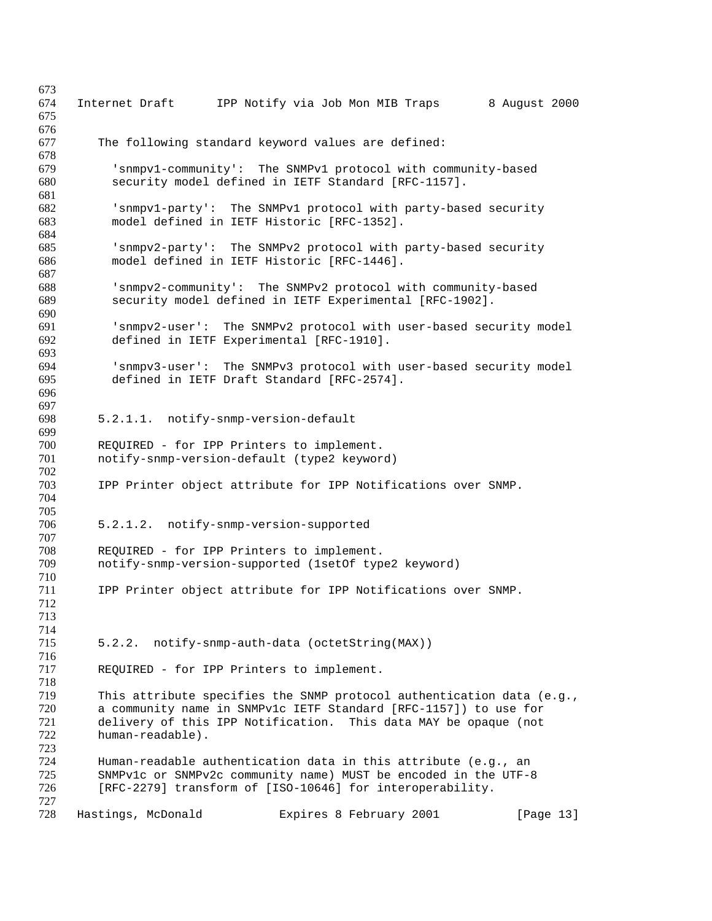| 673 |                                                                       |
|-----|-----------------------------------------------------------------------|
| 674 | 8 August 2000<br>Internet Draft<br>IPP Notify via Job Mon MIB Traps   |
| 675 |                                                                       |
| 676 |                                                                       |
| 677 | The following standard keyword values are defined:                    |
| 678 |                                                                       |
| 679 | 'snmpv1-community': The SNMPv1 protocol with community-based          |
| 680 | security model defined in IETF Standard [RFC-1157].                   |
| 681 |                                                                       |
| 682 | 'snmpv1-party': The SNMPv1 protocol with party-based security         |
| 683 | model defined in IETF Historic [RFC-1352].                            |
| 684 |                                                                       |
| 685 |                                                                       |
|     | 'snmpv2-party': The SNMPv2 protocol with party-based security         |
| 686 | model defined in IETF Historic [RFC-1446].                            |
| 687 |                                                                       |
| 688 | 'snmpv2-community': The SNMPv2 protocol with community-based          |
| 689 | security model defined in IETF Experimental [RFC-1902].               |
| 690 |                                                                       |
| 691 | 'snmpv2-user': The SNMPv2 protocol with user-based security model     |
| 692 | defined in IETF Experimental [RFC-1910].                              |
| 693 |                                                                       |
| 694 | 'snmpv3-user': The SNMPv3 protocol with user-based security model     |
| 695 | defined in IETF Draft Standard [RFC-2574].                            |
| 696 |                                                                       |
| 697 |                                                                       |
| 698 | 5.2.1.1. notify-snmp-version-default                                  |
| 699 |                                                                       |
| 700 | REQUIRED - for IPP Printers to implement.                             |
| 701 | notify-snmp-version-default (type2 keyword)                           |
| 702 |                                                                       |
| 703 |                                                                       |
|     | IPP Printer object attribute for IPP Notifications over SNMP.         |
| 704 |                                                                       |
| 705 |                                                                       |
| 706 | 5.2.1.2. notify-snmp-version-supported                                |
| 707 |                                                                       |
| 708 | REQUIRED - for IPP Printers to implement.                             |
| 709 | notify-snmp-version-supported (1setOf type2 keyword)                  |
| 710 |                                                                       |
| 711 | IPP Printer object attribute for IPP Notifications over SNMP.         |
| 712 |                                                                       |
| 713 |                                                                       |
| 714 |                                                                       |
| 715 | 5.2.2. notify-snmp-auth-data (octetString(MAX))                       |
| 716 |                                                                       |
| 717 | REQUIRED - for IPP Printers to implement.                             |
| 718 |                                                                       |
| 719 | This attribute specifies the SNMP protocol authentication data (e.g., |
| 720 | a community name in SNMPvlc IETF Standard [RFC-1157]) to use for      |
| 721 | delivery of this IPP Notification. This data MAY be opaque (not       |
| 722 | human-readable).                                                      |
| 723 |                                                                       |
|     |                                                                       |
| 724 | Human-readable authentication data in this attribute (e.g., an        |
| 725 | SNMPvlc or SNMPv2c community name) MUST be encoded in the UTF-8       |
| 726 | [RFC-2279] transform of [ISO-10646] for interoperability.             |
| 727 |                                                                       |
| 728 | Hastings, McDonald<br>Expires 8 February 2001<br>[Page 13]            |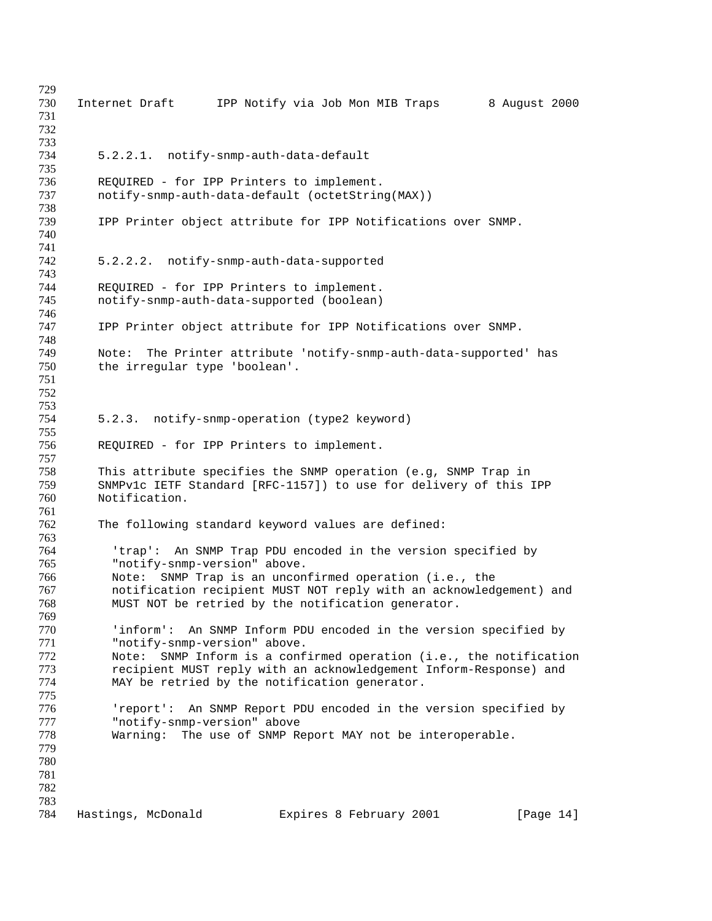| 729<br>730                      | Internet Draft<br>IPP Notify via Job Mon MIB Traps<br>8 August 2000                                                                                                                   |
|---------------------------------|---------------------------------------------------------------------------------------------------------------------------------------------------------------------------------------|
| 731<br>732<br>733               |                                                                                                                                                                                       |
| 734<br>735                      | 5.2.2.1. notify-snmp-auth-data-default                                                                                                                                                |
| 736<br>737                      | REQUIRED - for IPP Printers to implement.<br>notify-snmp-auth-data-default (octetString(MAX))                                                                                         |
| 738<br>739                      | IPP Printer object attribute for IPP Notifications over SNMP.                                                                                                                         |
| 740<br>741                      |                                                                                                                                                                                       |
| 742<br>743                      | 5.2.2.2. notify-snmp-auth-data-supported                                                                                                                                              |
| 744<br>745<br>746               | REQUIRED - for IPP Printers to implement.<br>notify-snmp-auth-data-supported (boolean)                                                                                                |
| 747<br>748                      | IPP Printer object attribute for IPP Notifications over SNMP.                                                                                                                         |
| 749<br>750<br>751               | The Printer attribute 'notify-snmp-auth-data-supported' has<br>Note:<br>the irregular type 'boolean'.                                                                                 |
| 752<br>753<br>754               | 5.2.3. notify-snmp-operation (type2 keyword)                                                                                                                                          |
| 755                             |                                                                                                                                                                                       |
| 756<br>757                      | REQUIRED - for IPP Printers to implement.                                                                                                                                             |
| 758<br>759<br>760<br>761        | This attribute specifies the SNMP operation (e.g, SNMP Trap in<br>SNMPvlc IETF Standard [RFC-1157]) to use for delivery of this IPP<br>Notification.                                  |
| 762<br>763                      | The following standard keyword values are defined:                                                                                                                                    |
| 764<br>765                      | An SNMP Trap PDU encoded in the version specified by<br>'trap':<br>"notify-snmp-version" above.                                                                                       |
| 766<br>767<br>768               | SNMP Trap is an unconfirmed operation (i.e., the<br>Note:<br>notification recipient MUST NOT reply with an acknowledgement) and<br>MUST NOT be retried by the notification generator. |
| 769<br>770                      | 'inform': An SNMP Inform PDU encoded in the version specified by                                                                                                                      |
| 771<br>772                      | "notify-snmp-version" above.<br>Note: SNMP Inform is a confirmed operation (i.e., the notification                                                                                    |
| 773<br>774<br>775               | recipient MUST reply with an acknowledgement Inform-Response) and<br>MAY be retried by the notification generator.                                                                    |
| 776<br>777                      | 'report': An SNMP Report PDU encoded in the version specified by<br>"notify-snmp-version" above                                                                                       |
| 778<br>779<br>780<br>781<br>782 | Warning: The use of SNMP Report MAY not be interoperable.                                                                                                                             |
| 783<br>784                      | Hastings, McDonald<br>Expires 8 February 2001<br>[Page $14$ ]                                                                                                                         |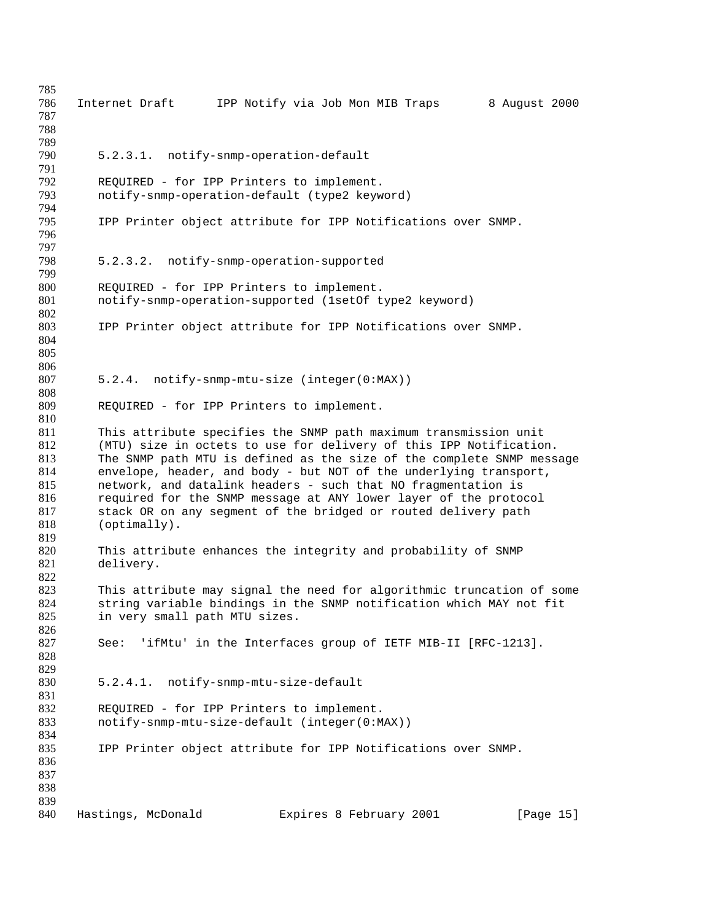| 785 |                               |                                                                       |               |
|-----|-------------------------------|-----------------------------------------------------------------------|---------------|
| 786 | Internet Draft                | IPP Notify via Job Mon MIB Traps                                      | 8 August 2000 |
| 787 |                               |                                                                       |               |
| 788 |                               |                                                                       |               |
| 789 |                               |                                                                       |               |
| 790 |                               | 5.2.3.1. notify-snmp-operation-default                                |               |
| 791 |                               |                                                                       |               |
| 792 |                               | REQUIRED - for IPP Printers to implement.                             |               |
| 793 |                               | notify-snmp-operation-default (type2 keyword)                         |               |
| 794 |                               |                                                                       |               |
| 795 |                               | IPP Printer object attribute for IPP Notifications over SNMP.         |               |
| 796 |                               |                                                                       |               |
| 797 |                               |                                                                       |               |
| 798 |                               |                                                                       |               |
|     |                               | 5.2.3.2. notify-snmp-operation-supported                              |               |
| 799 |                               |                                                                       |               |
| 800 |                               | REQUIRED - for IPP Printers to implement.                             |               |
| 801 |                               | notify-snmp-operation-supported (lsetOf type2 keyword)                |               |
| 802 |                               |                                                                       |               |
| 803 |                               | IPP Printer object attribute for IPP Notifications over SNMP.         |               |
| 804 |                               |                                                                       |               |
| 805 |                               |                                                                       |               |
| 806 |                               |                                                                       |               |
| 807 |                               | 5.2.4. notify-snmp-mtu-size (integer(0:MAX))                          |               |
| 808 |                               |                                                                       |               |
| 809 |                               | REQUIRED - for IPP Printers to implement.                             |               |
| 810 |                               |                                                                       |               |
| 811 |                               | This attribute specifies the SNMP path maximum transmission unit      |               |
| 812 |                               | (MTU) size in octets to use for delivery of this IPP Notification.    |               |
| 813 |                               | The SNMP path MTU is defined as the size of the complete SNMP message |               |
| 814 |                               | envelope, header, and body - but NOT of the underlying transport,     |               |
| 815 |                               | network, and datalink headers - such that NO fragmentation is         |               |
| 816 |                               | required for the SNMP message at ANY lower layer of the protocol      |               |
| 817 |                               | stack OR on any segment of the bridged or routed delivery path        |               |
| 818 | $(optimally)$ .               |                                                                       |               |
| 819 |                               |                                                                       |               |
| 820 |                               | This attribute enhances the integrity and probability of SNMP         |               |
| 821 | delivery.                     |                                                                       |               |
| 822 |                               |                                                                       |               |
| 823 |                               | This attribute may signal the need for algorithmic truncation of some |               |
| 824 |                               | string variable bindings in the SNMP notification which MAY not fit   |               |
| 825 | in very small path MTU sizes. |                                                                       |               |
| 826 |                               |                                                                       |               |
| 827 |                               | See: 'ifMtu' in the Interfaces group of IETF MIB-II [RFC-1213].       |               |
| 828 |                               |                                                                       |               |
| 829 |                               |                                                                       |               |
| 830 |                               | 5.2.4.1. notify-snmp-mtu-size-default                                 |               |
| 831 |                               |                                                                       |               |
| 832 |                               | REQUIRED - for IPP Printers to implement.                             |               |
| 833 |                               | notify-snmp-mtu-size-default (integer(0:MAX))                         |               |
| 834 |                               |                                                                       |               |
| 835 |                               | IPP Printer object attribute for IPP Notifications over SNMP.         |               |
| 836 |                               |                                                                       |               |
| 837 |                               |                                                                       |               |
| 838 |                               |                                                                       |               |
| 839 |                               |                                                                       |               |
| 840 | Hastings, McDonald            | Expires 8 February 2001                                               | [Page 15]     |
|     |                               |                                                                       |               |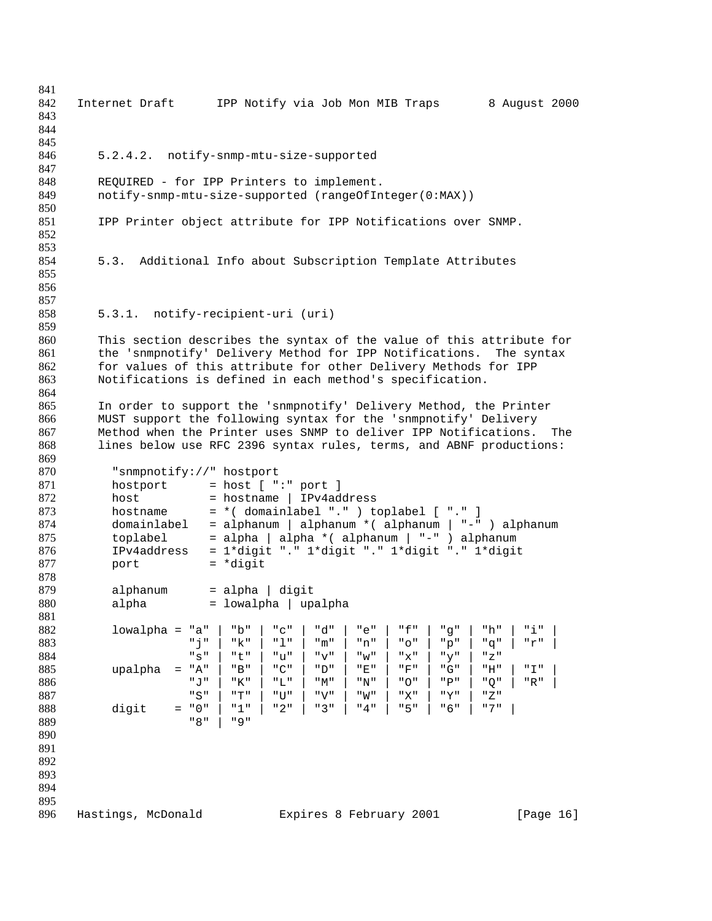| 841        |                                                                              |
|------------|------------------------------------------------------------------------------|
| 842        | Internet Draft IPP Notify via Job Mon MIB Traps<br>8 August 2000             |
| 843        |                                                                              |
| 844        |                                                                              |
| 845        |                                                                              |
| 846        | 5.2.4.2. notify-snmp-mtu-size-supported                                      |
| 847        |                                                                              |
| 848        | REQUIRED - for IPP Printers to implement.                                    |
| 849        | notify-snmp-mtu-size-supported (rangeOfInteger(0:MAX))                       |
| 850        |                                                                              |
| 851<br>852 | IPP Printer object attribute for IPP Notifications over SNMP.                |
| 853        |                                                                              |
| 854        | 5.3. Additional Info about Subscription Template Attributes                  |
| 855        |                                                                              |
| 856        |                                                                              |
| 857        |                                                                              |
| 858        | 5.3.1. notify-recipient-uri (uri)                                            |
| 859        |                                                                              |
| 860        | This section describes the syntax of the value of this attribute for         |
| 861        | the 'snmpnotify' Delivery Method for IPP Notifications.<br>The syntax        |
| 862        | for values of this attribute for other Delivery Methods for IPP              |
| 863        | Notifications is defined in each method's specification.                     |
| 864        |                                                                              |
| 865        | In order to support the 'snmpnotify' Delivery Method, the Printer            |
| 866        | MUST support the following syntax for the 'snmpnotify' Delivery              |
| 867        | Method when the Printer uses SNMP to deliver IPP Notifications.<br>The       |
| 868        | lines below use RFC 2396 syntax rules, terms, and ABNF productions:          |
| 869        |                                                                              |
| 870        | "snmpnotify://" hostport                                                     |
| 871        | $=$ host [ " $:$ " port ]<br>hostport                                        |
| 872        | host<br>$=$ hostname   IPv4address                                           |
| 873        | = *( domainlabel "." ) toplabel [ "." ]<br>hostname                          |
| 874        | = alphanum   alphanum * ( alphanum   "-" ) alphanum<br>domainlabel           |
| 875        | = alpha   alpha * ( alphanum   "-" ) alphanum<br>toplabel                    |
| 876        | = 1*digit "." 1*digit "." 1*digit "." 1*digit<br>IPv4address                 |
| 877        | $= *digit$<br>port                                                           |
| 878        |                                                                              |
| 879<br>880 | $=$ alpha $ $ digit<br>alphanum                                              |
| 881        | = lowalpha   upalpha<br>alpha                                                |
| 882        | "b"<br>" C "<br>"d"<br>" f "<br>"h"<br>"i"<br>$lowalpha = "a"$<br>"e"<br>"q" |
| 883        | "j"<br>"k"<br>"1"<br>"m"<br>" O "<br>"q"<br>"q"<br>"r"<br>$"$ n $"$          |
| 884        | "S"<br>"t"<br>"u"<br>" v"<br>" w "<br>"x"<br>"y"<br>"Z"                      |
| 885        | "A"<br>"B"<br>"E"<br>"F"<br>"G"<br>"H"<br>" I "<br>upalpha<br>"C"<br>"D"     |
| 886        | " J "<br>" O "<br>"K"<br>"L"<br>"M"<br>"N"<br>$"P"$<br>"Q"<br>"R"            |
| 887        | "S"<br>"T"<br>" W "<br>"V"<br>"X"<br>"Y"<br>" Z "<br>" TJ "                  |
| 888        | " 0 "<br>"1"<br>"3"<br>" 4 "<br>"5"<br>"7"<br>"2"<br>"6"<br>digit<br>$=$     |
| 889        | " 8 "<br>" 9 "                                                               |
| 890        |                                                                              |
| 891        |                                                                              |
| 892        |                                                                              |
| 893        |                                                                              |
| 894        |                                                                              |
| 895        |                                                                              |
| 896        | Hastings, McDonald<br>Expires 8 February 2001<br>[Page 16]                   |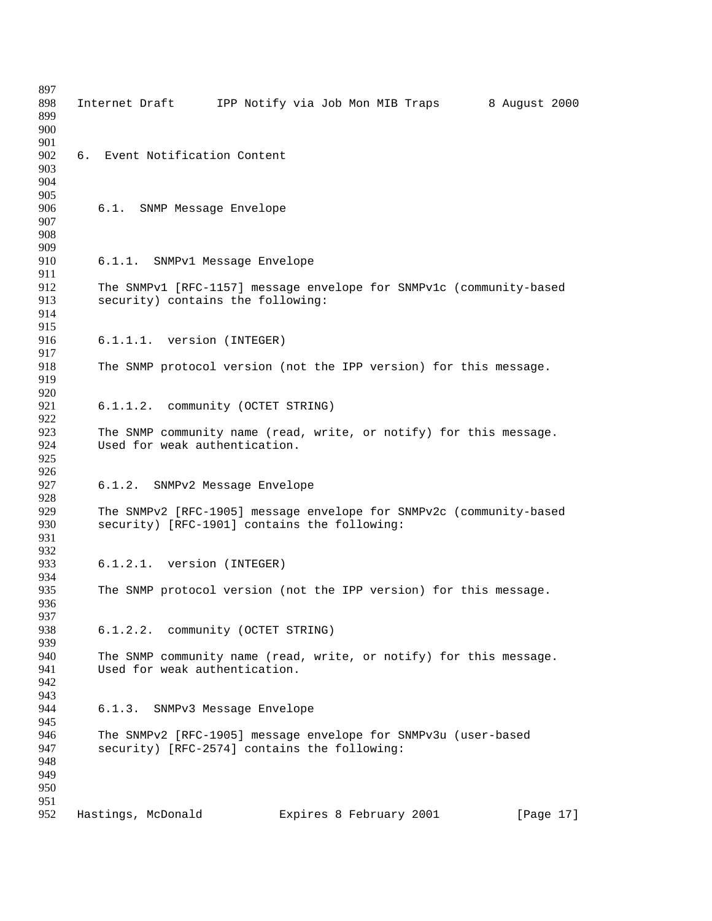| 897        |    |                                                                     |
|------------|----|---------------------------------------------------------------------|
| 898        |    | Internet Draft IPP Notify via Job Mon MIB Traps<br>8 August 2000    |
| 899        |    |                                                                     |
| 900        |    |                                                                     |
| 901        |    |                                                                     |
| 902        | 6. | Event Notification Content                                          |
| 903        |    |                                                                     |
| 904        |    |                                                                     |
| 905        |    |                                                                     |
| 906        |    | 6.1. SNMP Message Envelope                                          |
| 907<br>908 |    |                                                                     |
| 909        |    |                                                                     |
| 910        |    | 6.1.1. SNMPv1 Message Envelope                                      |
| 911        |    |                                                                     |
| 912        |    | The SNMPv1 [RFC-1157] message envelope for SNMPv1c (community-based |
| 913        |    | security) contains the following:                                   |
| 914        |    |                                                                     |
| 915        |    |                                                                     |
| 916        |    | 6.1.1.1. version (INTEGER)                                          |
| 917        |    |                                                                     |
| 918        |    | The SNMP protocol version (not the IPP version) for this message.   |
| 919        |    |                                                                     |
| 920        |    |                                                                     |
| 921        |    | 6.1.1.2. community (OCTET STRING)                                   |
| 922        |    |                                                                     |
| 923        |    | The SNMP community name (read, write, or notify) for this message.  |
| 924        |    | Used for weak authentication.                                       |
| 925        |    |                                                                     |
| 926        |    |                                                                     |
| 927        |    | 6.1.2. SNMPv2 Message Envelope                                      |
| 928<br>929 |    | The SNMPv2 [RFC-1905] message envelope for SNMPv2c (community-based |
| 930        |    | security) [RFC-1901] contains the following:                        |
| 931        |    |                                                                     |
| 932        |    |                                                                     |
| 933        |    | 6.1.2.1. version (INTEGER)                                          |
| 934        |    |                                                                     |
| 935        |    | The SNMP protocol version (not the IPP version) for this message.   |
| 936        |    |                                                                     |
| 937        |    |                                                                     |
| 938        |    | 6.1.2.2. community (OCTET STRING)                                   |
| 939        |    |                                                                     |
| 940        |    | The SNMP community name (read, write, or notify) for this message.  |
| 941        |    | Used for weak authentication.                                       |
| 942        |    |                                                                     |
| 943        |    |                                                                     |
| 944        |    | SNMPv3 Message Envelope<br>6.1.3.                                   |
| 945        |    |                                                                     |
| 946        |    | The SNMPv2 [RFC-1905] message envelope for SNMPv3u (user-based      |
| 947        |    | security) [RFC-2574] contains the following:                        |
| 948        |    |                                                                     |
| 949        |    |                                                                     |
| 950<br>951 |    |                                                                     |
| 952        |    |                                                                     |
|            |    | Hastings, McDonald<br>Expires 8 February 2001<br>[Page 17]          |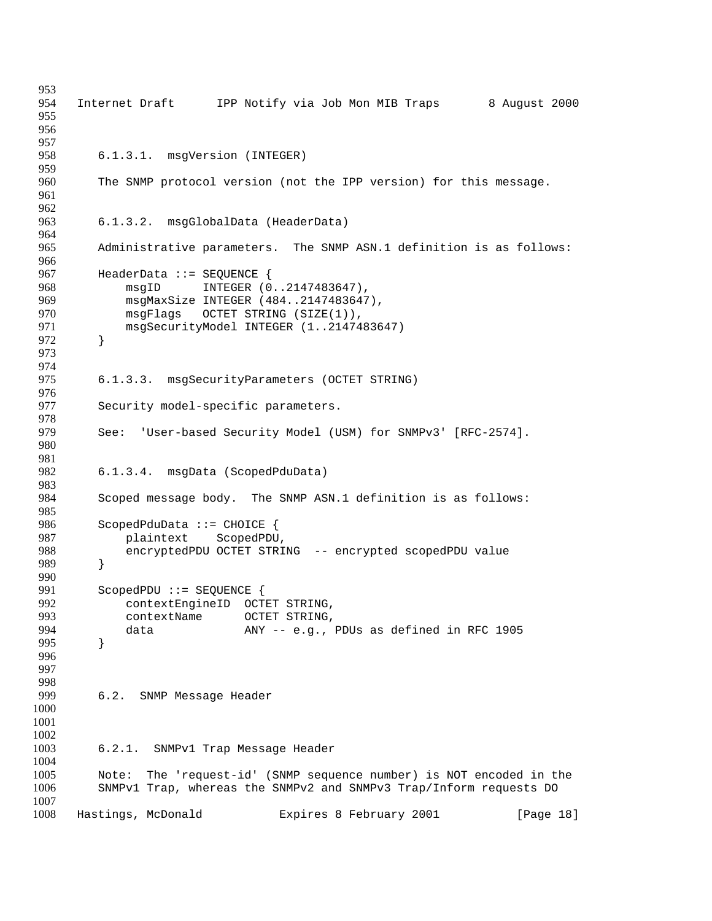954 Internet Draft IPP Notify via Job Mon MIB Traps 8 August 2000 6.1.3.1. msgVersion (INTEGER) The SNMP protocol version (not the IPP version) for this message. 6.1.3.2. msgGlobalData (HeaderData) Administrative parameters. The SNMP ASN.1 definition is as follows: 967 HeaderData ::= SEQUENCE {<br>968 msqID INTEGER (0 msgID INTEGER (0..2147483647), msgMaxSize INTEGER (484..2147483647), msgFlags OCTET STRING (SIZE(1)), msgSecurityModel INTEGER (1..2147483647) } 975 6.1.3.3. msgSecurityParameters (OCTET STRING) Security model-specific parameters. 979 See: 'User-based Security Model (USM) for SNMPv3' [RFC-2574]. 6.1.3.4. msgData (ScopedPduData) 983<br>984 Scoped message body. The SNMP ASN.1 definition is as follows: ScopedPduData ::= CHOICE { plaintext ScopedPDU, encryptedPDU OCTET STRING -- encrypted scopedPDU value } } ScopedPDU ::= SEQUENCE { contextEngineID OCTET STRING, 993 contextName OCTET STRING, data ANY -- e.g., PDUs as defined in RFC 1905 } 6.2. SNMP Message Header 6.2.1. SNMPv1 Trap Message Header Note: The 'request-id' (SNMP sequence number) is NOT encoded in the SNMPv1 Trap, whereas the SNMPv2 and SNMPv3 Trap/Inform requests DO Hastings, McDonald Expires 8 February 2001 [Page 18]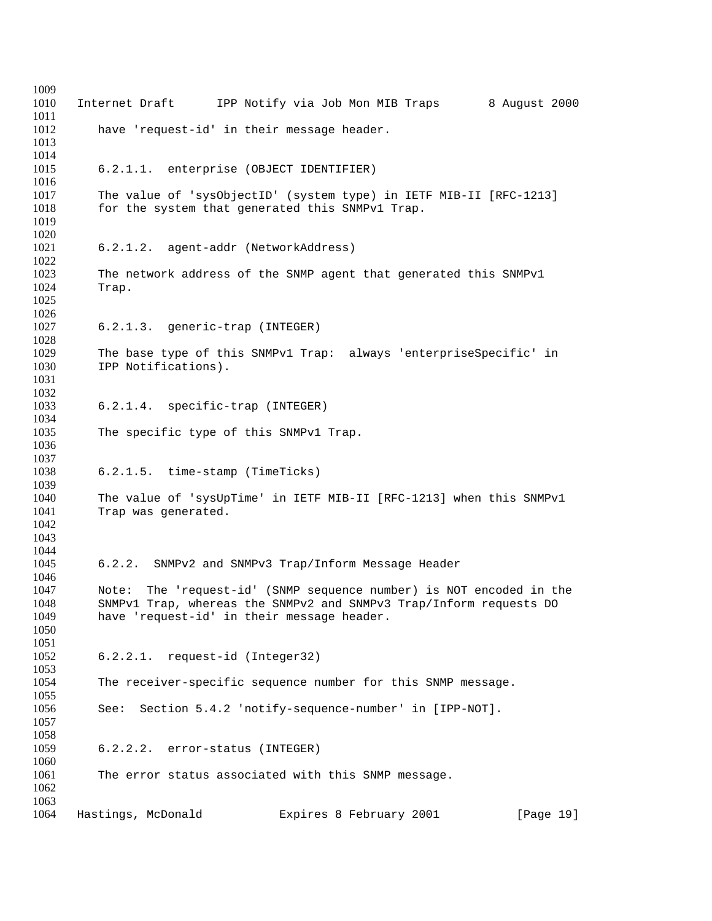| 1009<br>1010 | Internet Draft<br>IPP Notify via Job Mon MIB Traps<br>8 August 2000 |
|--------------|---------------------------------------------------------------------|
| 1011<br>1012 | have 'request-id' in their message header.                          |
| 1013<br>1014 |                                                                     |
| 1015<br>1016 | 6.2.1.1. enterprise (OBJECT IDENTIFIER)                             |
| 1017         | The value of 'sysObjectID' (system type) in IETF MIB-II [RFC-1213]  |
| 1018<br>1019 | for the system that generated this SNMPv1 Trap.                     |
| 1020         |                                                                     |
| 1021<br>1022 | 6.2.1.2. agent-addr (NetworkAddress)                                |
| 1023         | The network address of the SNMP agent that generated this SNMPv1    |
| 1024         | Trap.                                                               |
| 1025<br>1026 |                                                                     |
| 1027         | 6.2.1.3. generic-trap (INTEGER)                                     |
| 1028         |                                                                     |
| 1029         | The base type of this SNMPv1 Trap: always 'enterpriseSpecific' in   |
| 1030<br>1031 | IPP Notifications).                                                 |
| 1032         |                                                                     |
| 1033         | 6.2.1.4. specific-trap (INTEGER)                                    |
| 1034         |                                                                     |
| 1035         | The specific type of this SNMPv1 Trap.                              |
| 1036         |                                                                     |
| 1037<br>1038 | 6.2.1.5. time-stamp (TimeTicks)                                     |
| 1039         |                                                                     |
| 1040         | The value of 'sysUpTime' in IETF MIB-II [RFC-1213] when this SNMPv1 |
| 1041         | Trap was generated.                                                 |
| 1042         |                                                                     |
| 1043<br>1044 |                                                                     |
| 1045         | 6.2.2. SNMPv2 and SNMPv3 Trap/Inform Message Header                 |
| 1046         |                                                                     |
| 1047         | Note: The 'request-id' (SNMP sequence number) is NOT encoded in the |
| 1048         | SNMPv1 Trap, whereas the SNMPv2 and SNMPv3 Trap/Inform requests DO  |
| 1049         | have 'request-id' in their message header.                          |
| 1050<br>1051 |                                                                     |
| 1052         | 6.2.2.1. request-id (Integer32)                                     |
| 1053         |                                                                     |
| 1054         | The receiver-specific sequence number for this SNMP message.        |
| 1055<br>1056 | Section 5.4.2 'notify-sequence-number' in [IPP-NOT].                |
| 1057         | See:                                                                |
| 1058         |                                                                     |
| 1059         | 6.2.2.2. error-status (INTEGER)                                     |
| 1060         |                                                                     |
| 1061<br>1062 | The error status associated with this SNMP message.                 |
| 1063         |                                                                     |
| 1064         | Hastings, McDonald<br>Expires 8 February 2001<br>[Page 19]          |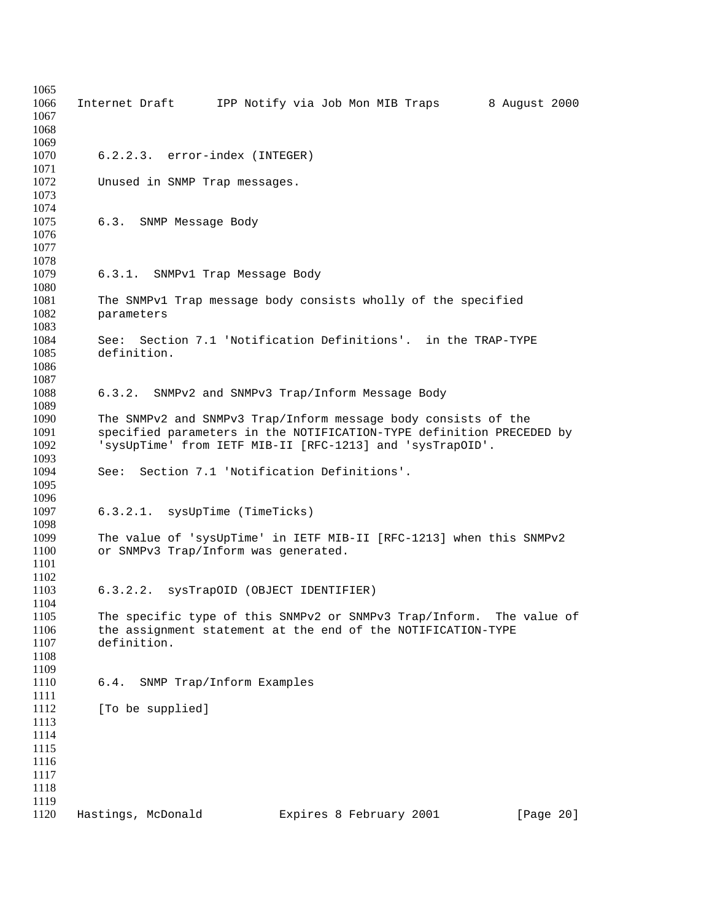| 1065<br>1066<br>1067<br>1068                         |                                         | Internet Draft IPP Notify via Job Mon MIB Traps                                                                                                                                                     | 8 August 2000 |
|------------------------------------------------------|-----------------------------------------|-----------------------------------------------------------------------------------------------------------------------------------------------------------------------------------------------------|---------------|
| 1069<br>1070<br>1071                                 | 6.2.2.3. error-index (INTEGER)          |                                                                                                                                                                                                     |               |
| 1072<br>1073<br>1074                                 | Unused in SNMP Trap messages.           |                                                                                                                                                                                                     |               |
| 1075<br>1076<br>1077<br>1078                         | 6.3.<br>SNMP Message Body               |                                                                                                                                                                                                     |               |
| 1079<br>1080                                         | 6.3.1. SNMPv1 Trap Message Body         |                                                                                                                                                                                                     |               |
| 1081<br>1082<br>1083                                 | parameters                              | The SNMPv1 Trap message body consists wholly of the specified                                                                                                                                       |               |
| 1084<br>1085<br>1086<br>1087                         | See:<br>definition.                     | Section 7.1 'Notification Definitions'. in the TRAP-TYPE                                                                                                                                            |               |
| 1088<br>1089                                         |                                         | 6.3.2. SNMPv2 and SNMPv3 Trap/Inform Message Body                                                                                                                                                   |               |
| 1090<br>1091<br>1092<br>1093                         |                                         | The SNMPv2 and SNMPv3 Trap/Inform message body consists of the<br>specified parameters in the NOTIFICATION-TYPE definition PRECEDED by<br>'sysUpTime' from IETF MIB-II [RFC-1213] and 'sysTrapOID'. |               |
| 1094<br>1095<br>1096                                 | See:                                    | Section 7.1 'Notification Definitions'.                                                                                                                                                             |               |
| 1097<br>1098                                         | 6.3.2.1. sysUpTime (TimeTicks)          |                                                                                                                                                                                                     |               |
| 1099<br>1100<br>1101<br>1102                         | or SNMPv3 Trap/Inform was generated.    | The value of 'sysUpTime' in IETF MIB-II [RFC-1213] when this SNMPv2                                                                                                                                 |               |
| 1103<br>1104                                         | 6.3.2.2. sysTrapOID (OBJECT IDENTIFIER) |                                                                                                                                                                                                     |               |
| 1105<br>1106<br>1107<br>1108<br>1109                 | definition.                             | The specific type of this SNMPv2 or SNMPv3 Trap/Inform. The value of<br>the assignment statement at the end of the NOTIFICATION-TYPE                                                                |               |
| 1110<br>1111                                         | SNMP Trap/Inform Examples<br>6.4.       |                                                                                                                                                                                                     |               |
| 1112<br>1113<br>1114<br>1115<br>1116<br>1117<br>1118 | [To be supplied]                        |                                                                                                                                                                                                     |               |
| 1119<br>1120                                         | Hastings, McDonald                      | Expires 8 February 2001                                                                                                                                                                             | [Page 20]     |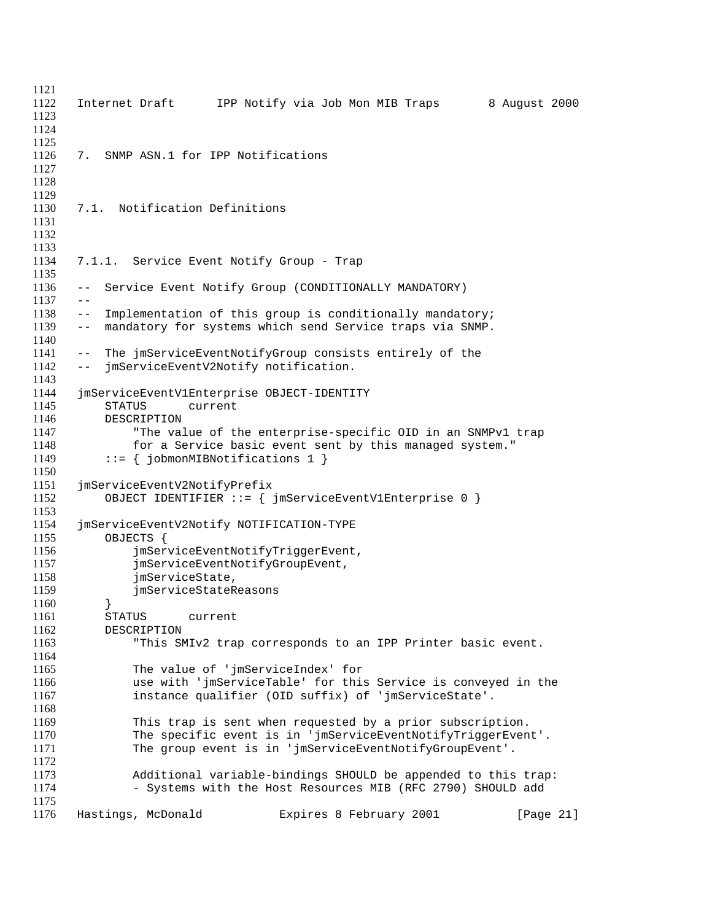Internet Draft IPP Notify via Job Mon MIB Traps 8 August 2000 7. SNMP ASN.1 for IPP Notifications 7.1. Notification Definitions 7.1.1. Service Event Notify Group - Trap -- Service Event Notify Group (CONDITIONALLY MANDATORY)  $1137 - -$ 1138 -- Implementation of this group is conditionally mandatory;<br>1139 -- mandatory for systems which send Service traps via SNMP. -- mandatory for systems which send Service traps via SNMP. -- The jmServiceEventNotifyGroup consists entirely of the -- jmServiceEventV2Notify notification. jmServiceEventV1Enterprise OBJECT-IDENTITY STATUS current DESCRIPTION "The value of the enterprise-specific OID in an SNMPv1 trap for a Service basic event sent by this managed system." 1149 ::=  $\{jobmonMIBNotifications 1\}$  jmServiceEventV2NotifyPrefix OBJECT IDENTIFIER ::= { jmServiceEventV1Enterprise 0 } jmServiceEventV2Notify NOTIFICATION-TYPE 1155 OBJECTS {<br>1156 imSer 1156 jmServiceEventNotifyTriggerEvent,<br>1157 jmServiceEventNotifyGroupEvent, jmServiceEventNotifyGroupEvent, 1158 jmServiceState, jmServiceStateReasons } STATUS current DESCRIPTION "This SMIv2 trap corresponds to an IPP Printer basic event. The value of 'jmServiceIndex' for use with 'jmServiceTable' for this Service is conveyed in the instance qualifier (OID suffix) of 'jmServiceState'. This trap is sent when requested by a prior subscription. The specific event is in 'jmServiceEventNotifyTriggerEvent'. The group event is in 'jmServiceEventNotifyGroupEvent'. Additional variable-bindings SHOULD be appended to this trap: 1174 - Systems with the Host Resources MIB (RFC 2790) SHOULD add 1176 Hastings, McDonald **Expires 8 February 2001** [Page 21]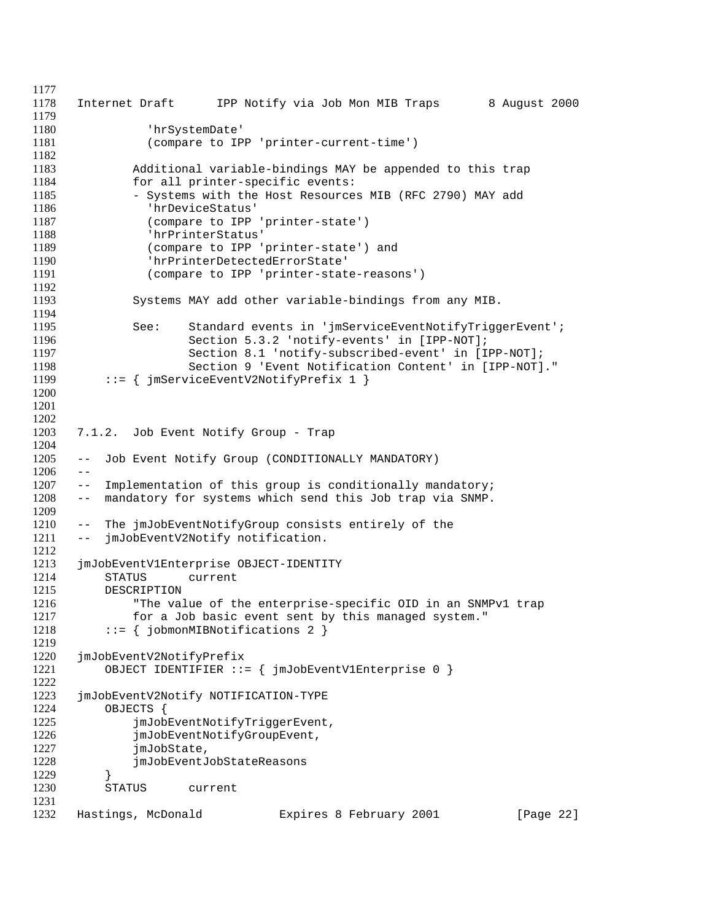```
1177
1178 Internet Draft IPP Notify via Job Mon MIB Traps 8 August 2000
1179
1180 'hrSystemDate'
1181 (compare to IPP 'printer-current-time')
1182
1183 Additional variable-bindings MAY be appended to this trap
1184 for all printer-specific events:
1185 - Systems with the Host Resources MIB (RFC 2790) MAY add
1186 'hrDeviceStatus'
1187 (compare to IPP 'printer-state')
1188 'hrPrinterStatus'
1189 (compare to IPP 'printer-state') and
1190 'hrPrinterDetectedErrorState'
1191 (compare to IPP 'printer-state-reasons')
1192
1193 Systems MAY add other variable-bindings from any MIB.
1194
1195 See: Standard events in 'jmServiceEventNotifyTriggerEvent';
1196 Section 5.3.2 'notify-events' in [IPP-NOT];
1197 Section 8.1 'notify-subscribed-event' in [IPP-NOT];
1198 Section 9 'Event Notification Content' in [IPP-NOT]."
1199 ::= { jmServiceEventV2NotifyPrefix 1 }
1200
1201
1202
1203 7.1.2. Job Event Notify Group - Trap
1204
1205 -- Job Event Notify Group (CONDITIONALLY MANDATORY)
1206 - -1207 -- Implementation of this group is conditionally mandatory;
1208 -- mandatory for systems which send this Job trap via SNMP.
1209
1210 -- The jmJobEventNotifyGroup consists entirely of the
1211 -- jmJobEventV2Notify notification.
1212
1213 jmJobEventV1Enterprise OBJECT-IDENTITY
1214 STATUS current
1215 DESCRIPTION
1216 "The value of the enterprise-specific OID in an SNMPv1 trap
1217 for a Job basic event sent by this managed system."
1218 ::= \{johmonMIBNotifications 2\}1219
1220 jmJobEventV2NotifyPrefix
1221 OBJECT IDENTIFIER ::= { jmJobEventV1Enterprise 0 }
1222
1223 jmJobEventV2Notify NOTIFICATION-TYPE
1224 OBJECTS {
1225 jmJobEventNotifyTriggerEvent,
1226 jmJobEventNotifyGroupEvent,
1227 jmJobState,
1228 jmJobEventJobStateReasons
1229 }
1230 STATUS current
1231
1232 Hastings, McDonald Expires 8 February 2001 [Page 22]
```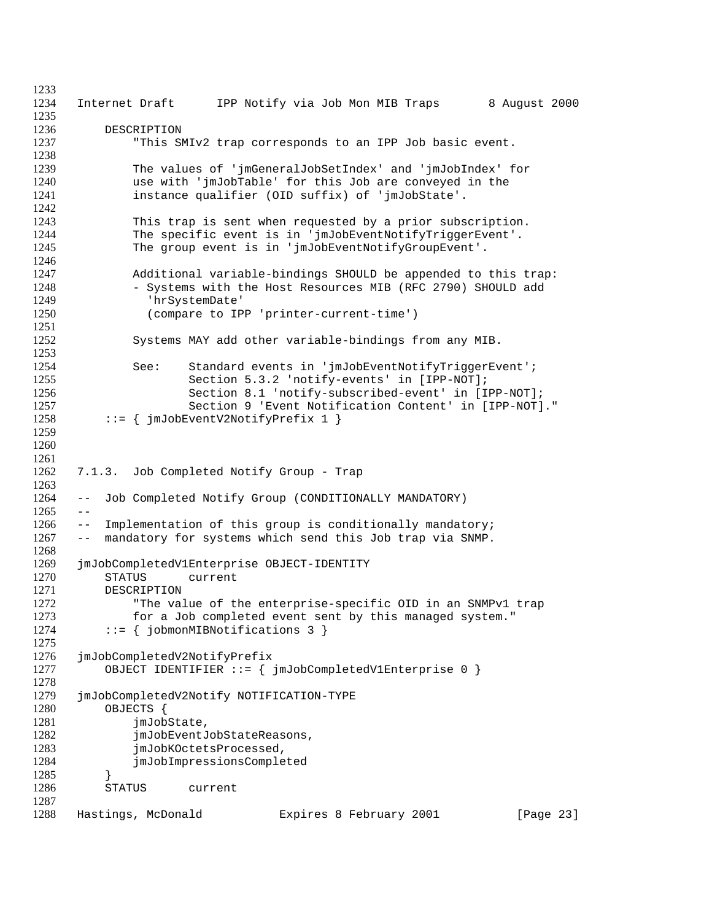Internet Draft IPP Notify via Job Mon MIB Traps 8 August 2000 DESCRIPTION "This SMIv2 trap corresponds to an IPP Job basic event. The values of 'jmGeneralJobSetIndex' and 'jmJobIndex' for use with 'jmJobTable' for this Job are conveyed in the instance qualifier (OID suffix) of 'jmJobState'. This trap is sent when requested by a prior subscription. 1244 The specific event is in 'jmJobEventNotifyTriggerEvent'. 1245 The group event is in 'jmJobEventNotifyGroupEvent'. Additional variable-bindings SHOULD be appended to this trap: - Systems with the Host Resources MIB (RFC 2790) SHOULD add 1249 'hrSystemDate'<br>1250 (compare to IP (compare to IPP 'printer-current-time') Systems MAY add other variable-bindings from any MIB. 1254 See: Standard events in 'jmJobEventNotifyTriggerEvent'; Section 5.3.2 'notify-events' in [IPP-NOT]; Section 8.1 'notify-subscribed-event' in [IPP-NOT]; Section 9 'Event Notification Content' in [IPP-NOT]." 1258 ::=  $\{jmJobEventV2NotifyPrefix 1\}$  7.1.3. Job Completed Notify Group - Trap -- Job Completed Notify Group (CONDITIONALLY MANDATORY)  $1265 - -$  -- Implementation of this group is conditionally mandatory; -- mandatory for systems which send this Job trap via SNMP. jmJobCompletedV1Enterprise OBJECT-IDENTITY STATUS current 1271 DESCRIPTION<br>1272 "The value "The value of the enterprise-specific OID in an SNMPv1 trap for a Job completed event sent by this managed system." 1274 ::=  $\{$  jobmonMIBNotifications 3  $\}$  jmJobCompletedV2NotifyPrefix OBJECT IDENTIFIER ::= { jmJobCompletedV1Enterprise 0 } jmJobCompletedV2Notify NOTIFICATION-TYPE OBJECTS { 1281 jmJobState, 1282 jmJobEventJobStateReasons, 1283 jmJobKOctetsProcessed, jmJobImpressionsCompleted } STATUS current Hastings, McDonald Expires 8 February 2001 [Page 23]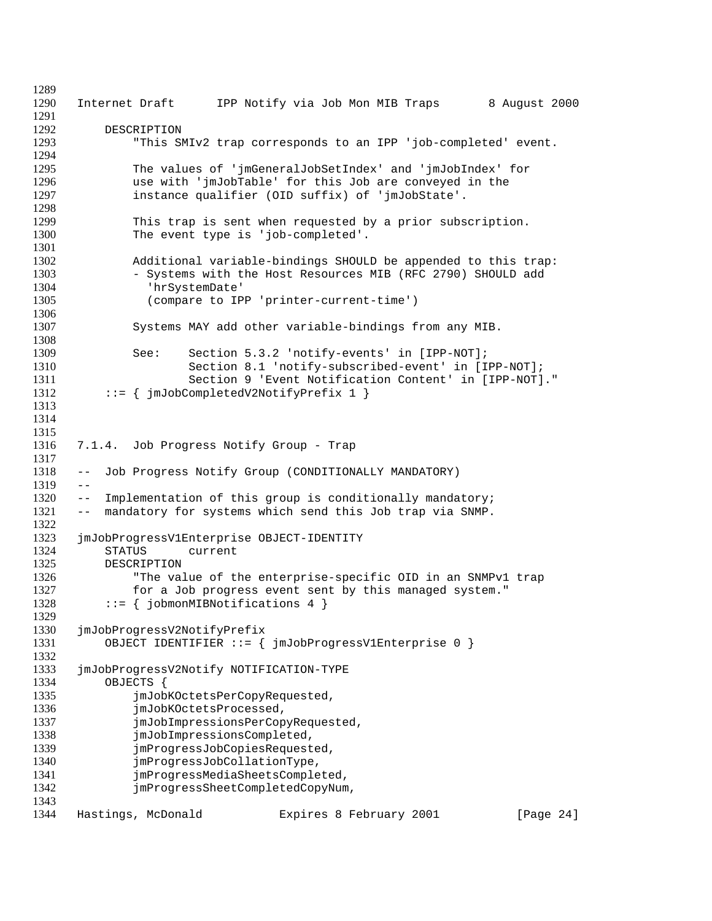Internet Draft IPP Notify via Job Mon MIB Traps 8 August 2000 DESCRIPTION "This SMIv2 trap corresponds to an IPP 'job-completed' event. The values of 'jmGeneralJobSetIndex' and 'jmJobIndex' for 1296 use with 'jmJobTable' for this Job are conveyed in the 1297 instance qualifier (OID suffix) of 'jmJobState'. instance qualifier (OID suffix) of 'jmJobState'. This trap is sent when requested by a prior subscription. The event type is 'job-completed'. Additional variable-bindings SHOULD be appended to this trap: 1303 - Systems with the Host Resources MIB (RFC 2790) SHOULD add 'hrSystemDate' (compare to IPP 'printer-current-time') Systems MAY add other variable-bindings from any MIB. See: Section 5.3.2 'notify-events' in [IPP-NOT]; Section 8.1 'notify-subscribed-event' in [IPP-NOT]; Section 9 'Event Notification Content' in [IPP-NOT]." 1312 ::= { jmJobCompletedV2NotifyPrefix 1 } 7.1.4. Job Progress Notify Group - Trap -- Job Progress Notify Group (CONDITIONALLY MANDATORY)  $1319 - -$  -- Implementation of this group is conditionally mandatory; -- mandatory for systems which send this Job trap via SNMP. 1323 jmJobProgressV1Enterprise OBJECT-IDENTITY<br>1324 STATUS current 1324 STATUS current<br>1325 DESCRIPTION DESCRIPTION "The value of the enterprise-specific OID in an SNMPv1 trap 1327 for a Job progress event sent by this managed system."<br>1328 ::= { iobmonMIBNotifications 4 }  $::=$  { jobmonMIBNotifications 4 } jmJobProgressV2NotifyPrefix OBJECT IDENTIFIER ::= { jmJobProgressV1Enterprise 0 } jmJobProgressV2Notify NOTIFICATION-TYPE OBJECTS { 1335 jmJobKOctetsPerCopyRequested, **jmJobKOctetsProcessed**, 1337 jmJobImpressionsPerCopyRequested, 1338 jmJobImpressionsCompleted, jmProgressJobCopiesRequested, jmProgressJobCollationType, jmProgressMediaSheetsCompleted, jmProgressSheetCompletedCopyNum, 1344 Hastings, McDonald **Expires 8 February 2001** [Page 24]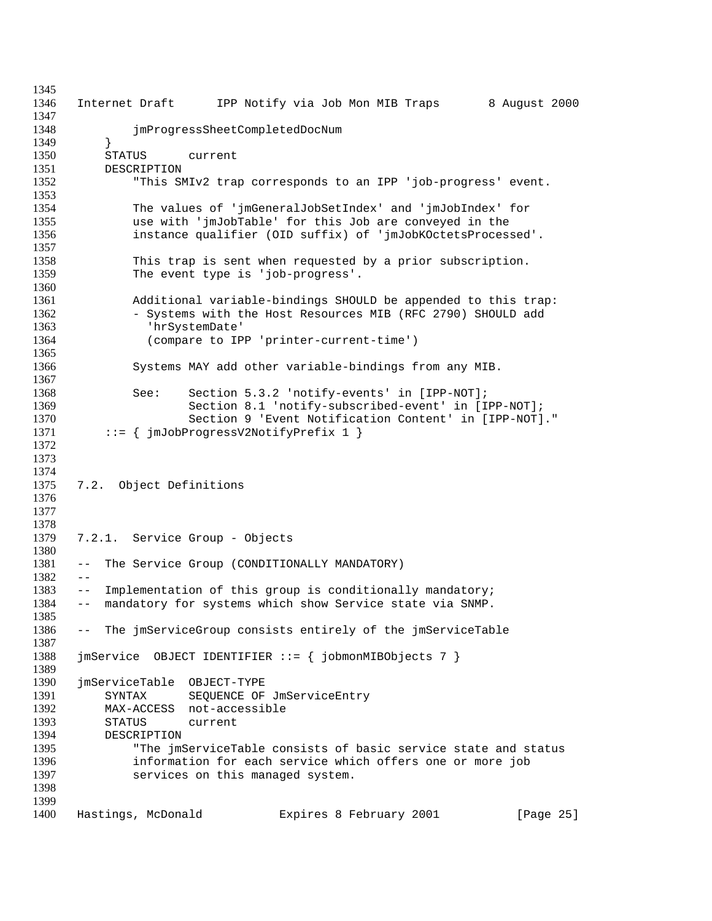Internet Draft IPP Notify via Job Mon MIB Traps 8 August 2000 jmProgressSheetCompletedDocNum } STATUS current DESCRIPTION "This SMIv2 trap corresponds to an IPP 'job-progress' event. The values of 'jmGeneralJobSetIndex' and 'jmJobIndex' for use with 'jmJobTable' for this Job are conveyed in the instance qualifier (OID suffix) of 'jmJobKOctetsProcessed'. This trap is sent when requested by a prior subscription. The event type is 'job-progress'. Additional variable-bindings SHOULD be appended to this trap: 1362 - Systems with the Host Resources MIB (RFC 2790) SHOULD add<br>1363 - 'hrSystemDate' 'hrSystemDate' (compare to IPP 'printer-current-time') Systems MAY add other variable-bindings from any MIB. See: Section 5.3.2 'notify-events' in [IPP-NOT]; Section 8.1 'notify-subscribed-event' in [IPP-NOT]; Section 9 'Event Notification Content' in [IPP-NOT]." ::= {  $\{ \dot{m} \text{JobProgram} \times \text{1} \}$  7.2. Object Definitions 7.2.1. Service Group - Objects -- The Service Group (CONDITIONALLY MANDATORY) -- Implementation of this group is conditionally mandatory; -- mandatory for systems which show Service state via SNMP. -- The jmServiceGroup consists entirely of the jmServiceTable jmService OBJECT IDENTIFIER ::= { jobmonMIBObjects 7 } jmServiceTable OBJECT-TYPE 1391 SYNTAX SEQUENCE OF JmServiceEntry MAX-ACCESS not-accessible STATUS current DESCRIPTION "The jmServiceTable consists of basic service state and status information for each service which offers one or more job services on this managed system. Hastings, McDonald Expires 8 February 2001 [Page 25]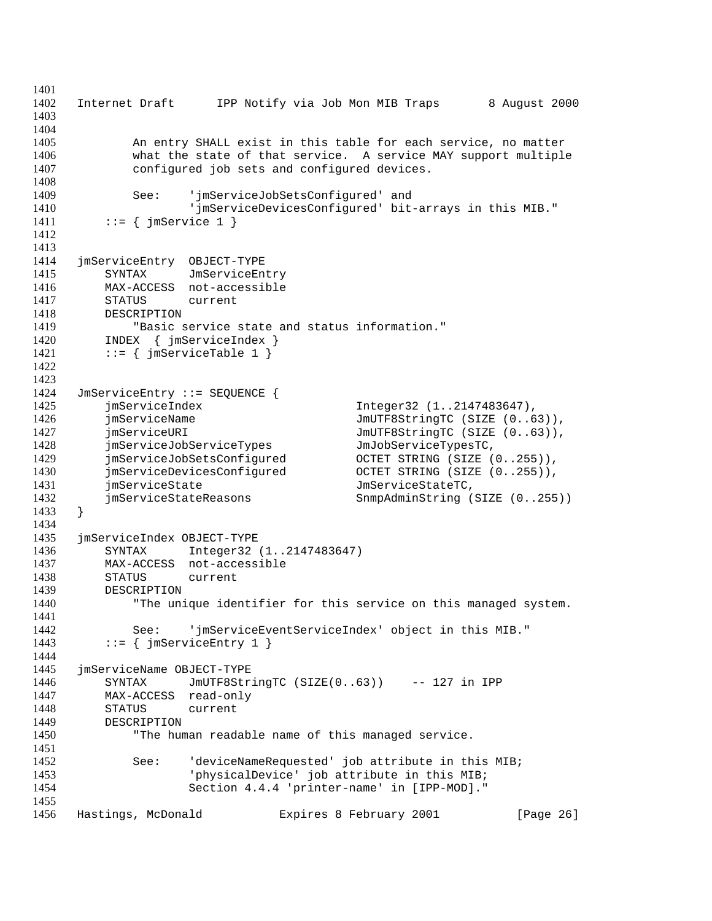Internet Draft IPP Notify via Job Mon MIB Traps 8 August 2000 An entry SHALL exist in this table for each service, no matter what the state of that service. A service MAY support multiple configured job sets and configured devices. See: 'jmServiceJobSetsConfigured' and 'jmServiceDevicesConfigured' bit-arrays in this MIB." 1411 ::=  $\{ \text{imService 1 } \}$  jmServiceEntry OBJECT-TYPE 1415 SYNTAX JmServiceEntry<br>1416 MAX-ACCESS not-accessible MAX-ACCESS not-accessible 1417 STATUS current<br>1418 DESCRIPTION 1418 DESCRIPTION<br>1419 "Basic 1419 The service state and status information."<br>1420 INDEX { jmServiceIndex } INDEX { jmServiceIndex } 1421 ::=  $\{ \text{imServiceTable 1} \}$  JmServiceEntry ::= SEQUENCE { jmServiceIndex Integer32 (1..2147483647), 1426 jmServiceName Julie JmUTF8StringTC (SIZE (0..63)), 1427 jmServiceURI JmUTF8StringTC (SIZE  $(0..63)$ ), jmServiceJobServiceTypes JmJobServiceTypesTC, jmServiceJobSetsConfigured OCTET STRING (SIZE (0..255)), jmServiceDevicesConfigured OCTET STRING (SIZE (0..255)), **imServiceState imServiceStateTC**, jmServiceStateReasons SnmpAdminString (SIZE (0..255)) } jmServiceIndex OBJECT-TYPE SYNTAX Integer32 (1..2147483647) MAX-ACCESS not-accessible STATUS current DESCRIPTION "The unique identifier for this service on this managed system. See: 'jmServiceEventServiceIndex' object in this MIB." 1443 ::=  $\{ jmserviceEntry 1 \}$  jmServiceName OBJECT-TYPE SYNTAX JmUTF8StringTC (SIZE(0..63)) -- 127 in IPP MAX-ACCESS read-only STATUS current DESCRIPTION "The human readable name of this managed service. See: 'deviceNameRequested' job attribute in this MIB; 'physicalDevice' job attribute in this MIB; Section 4.4.4 'printer-name' in [IPP-MOD]." Hastings, McDonald Expires 8 February 2001 [Page 26]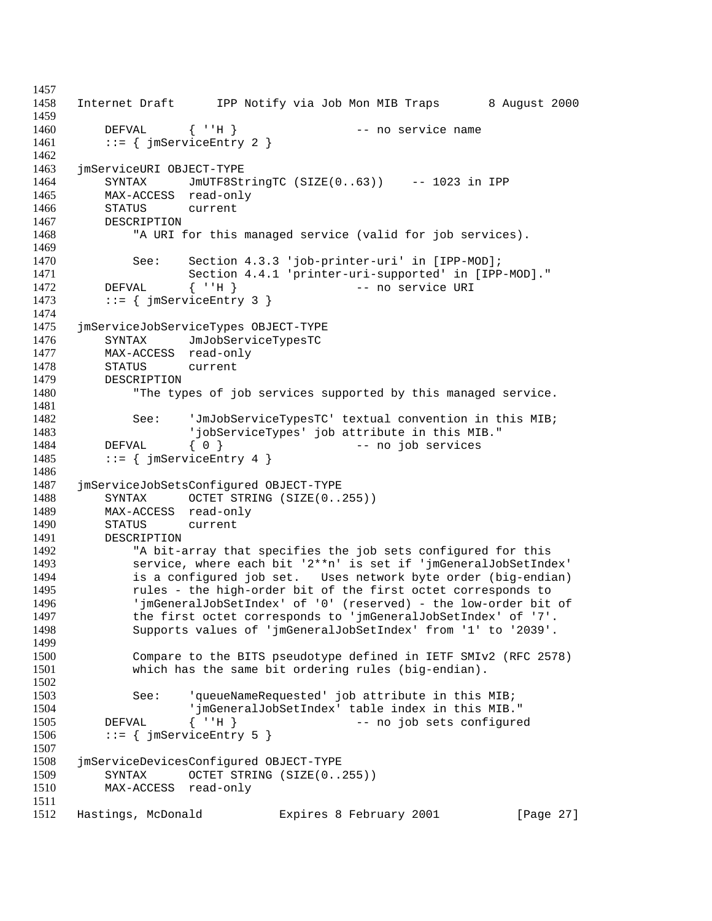Internet Draft IPP Notify via Job Mon MIB Traps 8 August 2000 DEFVAL { ''H } -- no service name 1461 ::=  $\{ \text{imServiceEntry 2 } \}$  jmServiceURI OBJECT-TYPE SYNTAX JmUTF8StringTC (SIZE(0..63)) -- 1023 in IPP MAX-ACCESS read-only STATUS current DESCRIPTION "A URI for this managed service (valid for job services). See: Section 4.3.3 'job-printer-uri' in [IPP-MOD]; 1471 Section 4.4.1 'printer-uri-supported' in [IPP-MOD]."<br>1472 DEFVAL { ''H } -- no service URI DEFVAL  $\{ 'H \}$  -- no service URI 1473 ::=  $\{ j \text{m} \text{ServiceEntry } 3 \}$  jmServiceJobServiceTypes OBJECT-TYPE SYNTAX JmJobServiceTypesTC MAX-ACCESS read-only STATUS current DESCRIPTION "The types of job services supported by this managed service. 1482 See: 'JmJobServiceTypesTC' textual convention in this MIB; 'jobServiceTypes' job attribute in this MIB." 1484 DEFVAL { 0 } -- no job services 1485 ::=  $\{ j \text{m} \text{ServiceEntry } 4 \}$  jmServiceJobSetsConfigured OBJECT-TYPE 1488 SYNTAX OCTET STRING (SIZE(0..255)) MAX-ACCESS read-only STATUS current 1491 DESCRIPTION<br>1492 "A bit-a "A bit-array that specifies the job sets configured for this service, where each bit '2\*\*n' is set if 'jmGeneralJobSetIndex' is a configured job set. Uses network byte order (big-endian) rules - the high-order bit of the first octet corresponds to 'jmGeneralJobSetIndex' of '0' (reserved) - the low-order bit of the first octet corresponds to 'jmGeneralJobSetIndex' of '7'. Supports values of 'jmGeneralJobSetIndex' from '1' to '2039'. Compare to the BITS pseudotype defined in IETF SMIv2 (RFC 2578) which has the same bit ordering rules (big-endian). See: 'queueNameRequested' job attribute in this MIB; 'jmGeneralJobSetIndex' table index in this MIB." 1505 DEFVAL { ''H } -- no job sets configured 1506 ::=  $\{$  jmServiceEntry 5  $\}$  jmServiceDevicesConfigured OBJECT-TYPE SYNTAX OCTET STRING (SIZE(0..255)) MAX-ACCESS read-only Hastings, McDonald Expires 8 February 2001 [Page 27]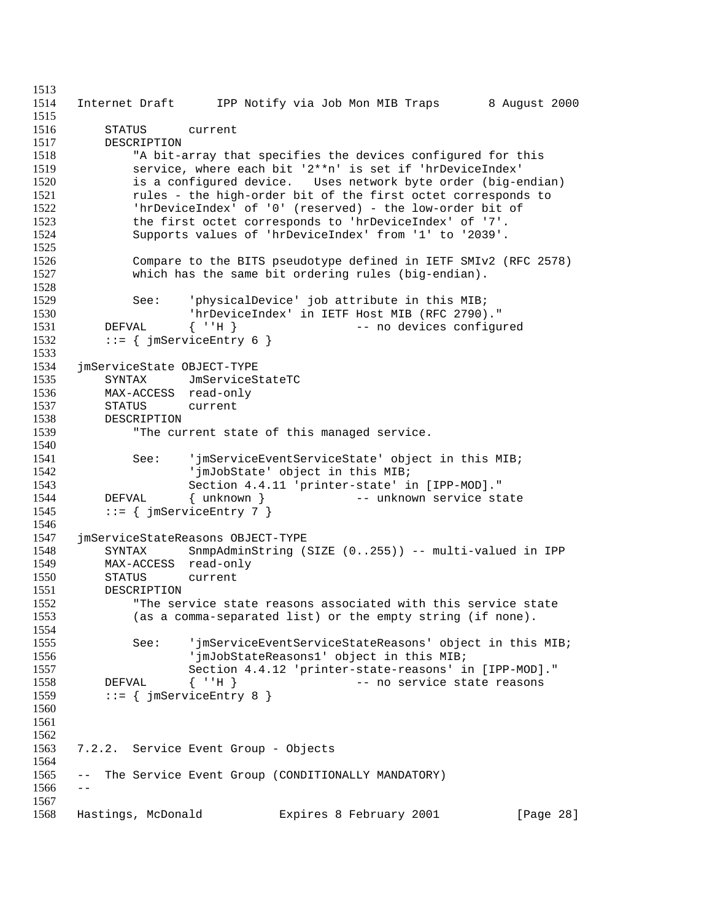```
1513
1514 Internet Draft IPP Notify via Job Mon MIB Traps 8 August 2000
1515
1516 STATUS current
1517 DESCRIPTION
1518 "A bit-array that specifies the devices configured for this
1519 service, where each bit '2**n' is set if 'hrDeviceIndex'
1520 is a configured device. Uses network byte order (big-endian)
1521 rules - the high-order bit of the first octet corresponds to
1522 'hrDeviceIndex' of '0' (reserved) - the low-order bit of
1523 the first octet corresponds to 'hrDeviceIndex' of '7'.
1524 Supports values of 'hrDeviceIndex' from '1' to '2039'.
1525
1526 Compare to the BITS pseudotype defined in IETF SMIv2 (RFC 2578)
1527 which has the same bit ordering rules (big-endian).
1528
1529 See: 'physicalDevice' job attribute in this MIB;<br>1530 1530 1530 1530
1530 'hrDeviceIndex' in IETF Host MIB (RFC 2790)."
1531 DEFVAL { ''H } -- no devices configured<br>1532 ::= { imServiceEntry 6 }
         \{ \text{imServiceEntry } 6 \}1533
1534 jmServiceState OBJECT-TYPE
1535 SYNTAX JmServiceStateTC
1536 MAX-ACCESS read-only
1537 STATUS current
1538 DESCRIPTION
1539 "The current state of this managed service.
1540
1541 See: 'jmServiceEventServiceState' object in this MIB;
1542 'jmJobState' object in this MIB;<br>1543 Section 4.4.11 'printer-state' i
                    Section 4.4.11 'printer-state' in [IPP-MOD]."
1544 DEFVAL { unknown } -- unknown service state
1545 ::= \{ jmServiceEntry 7 \}1546
1547 jmServiceStateReasons OBJECT-TYPE
1548 SYNTAX SnmpAdminString (SIZE (0..255)) -- multi-valued in IPP 1549 MAX-ACCESS read-only
         MAX-ACCESS read-only
1550 STATUS current
1551 DESCRIPTION<br>1552 "The ser
            "The service state reasons associated with this service state
1553 (as a comma-separated list) or the empty string (if none).
1554
1555 See: 'jmServiceEventServiceStateReasons' object in this MIB;
1556 'jmJobStateReasons1' object in this MIB;
1557 Section 4.4.12 'printer-state-reasons' in [IPP-MOD]."
1558 DEFVAL { ''H } -- no service state reasons
1559 ::= \{ jmserviceEntry 8 \}1560
1561
1562
1563 7.2.2. Service Event Group - Objects
1564
1565 -- The Service Event Group (CONDITIONALLY MANDATORY)
1566 - -1567
1568 Hastings, McDonald Expires 8 February 2001 [Page 28]
```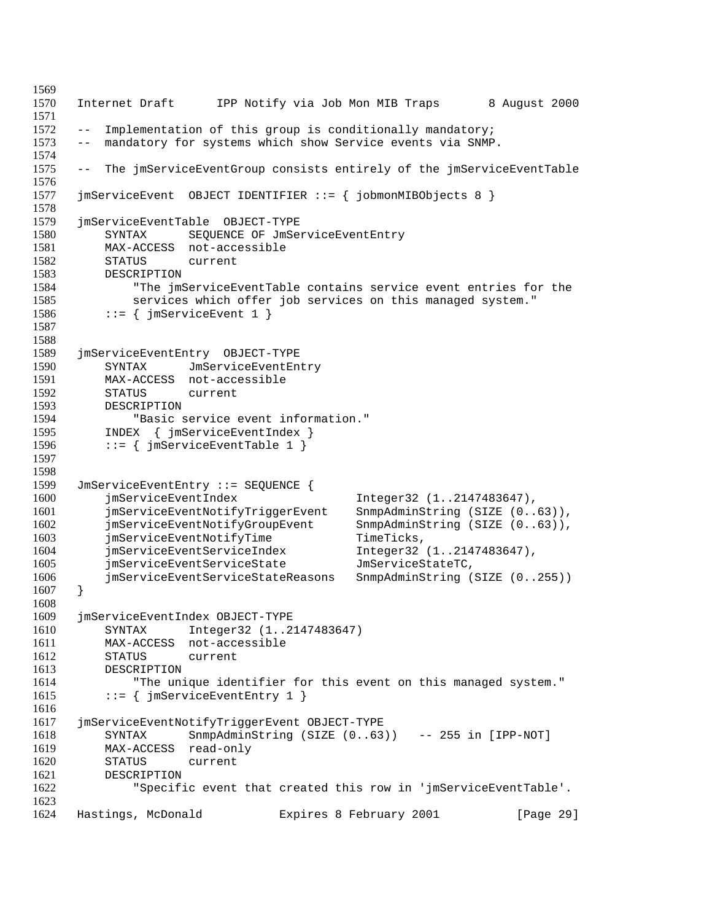```
1569
1570 Internet Draft IPP Notify via Job Mon MIB Traps 8 August 2000
1571
1572 -- Implementation of this group is conditionally mandatory;
1573 -- mandatory for systems which show Service events via SNMP.
1574
1575 -- The jmServiceEventGroup consists entirely of the jmServiceEventTable
1576
1577 jmServiceEvent OBJECT IDENTIFIER ::= { jobmonMIBObjects 8 }
1578
1579 jmServiceEventTable OBJECT-TYPE
1580 SYNTAX SEQUENCE OF JmServiceEventEntry
1581 MAX-ACCESS not-accessible
1582 STATUS current
1583 DESCRIPTION<br>1584 "The jms
             "The jmServiceEventTable contains service event entries for the
1585 services which offer job services on this managed system."<br>1586 ::= { imServiceEvent 1 }
         ::= { jmServiceEvent 1 }
1587
1588
1589 jmServiceEventEntry OBJECT-TYPE
1590 SYNTAX JmServiceEventEntry
1591 MAX-ACCESS not-accessible
1592 STATUS current
1593 DESCRIPTION
1594 "Basic service event information."
1595 INDEX { jmServiceEventIndex }
1596 ::= \{ \text{imServiceEventTable 1} \}1597
1598
1599 JmServiceEventEntry ::= SEQUENCE {
1600 jmServiceEventIndex Integer32 (1..2147483647),
1601 jmServiceEventNotifyTriggerEvent SnmpAdminString (SIZE (0..63)),
1602 jmServiceEventNotifyGroupEvent SnmpAdminString (SIZE (0..63)),
1603 jmServiceEventNotifyTime TimeTicks,<br>1604 imServiceEventServiceIndex Integer32
         jmServiceEventServiceIndex Integer32 (1..2147483647),
1605 jmServiceEventServiceState JmServiceStateTC,
1606 jmServiceEventServiceStateReasons SnmpAdminString (SIZE (0..255))
1607 }
1608
1609 jmServiceEventIndex OBJECT-TYPE
1610 SYNTAX Integer32 (1..2147483647)
1611 MAX-ACCESS not-accessible
1612 STATUS current
1613 DESCRIPTION
1614 "The unique identifier for this event on this managed system."
1615 ::= \{ jmServiceEventEntry 1 \}1616
1617 jmServiceEventNotifyTriggerEvent OBJECT-TYPE
1618 SYNTAX SnmpAdminString (SIZE (0..63)) -- 255 in [IPP-NOT]
1619 MAX-ACCESS read-only
1620 STATUS current
1621 DESCRIPTION
1622 "Specific event that created this row in 'jmServiceEventTable'.
1623
1624 Hastings, McDonald Expires 8 February 2001 [Page 29]
```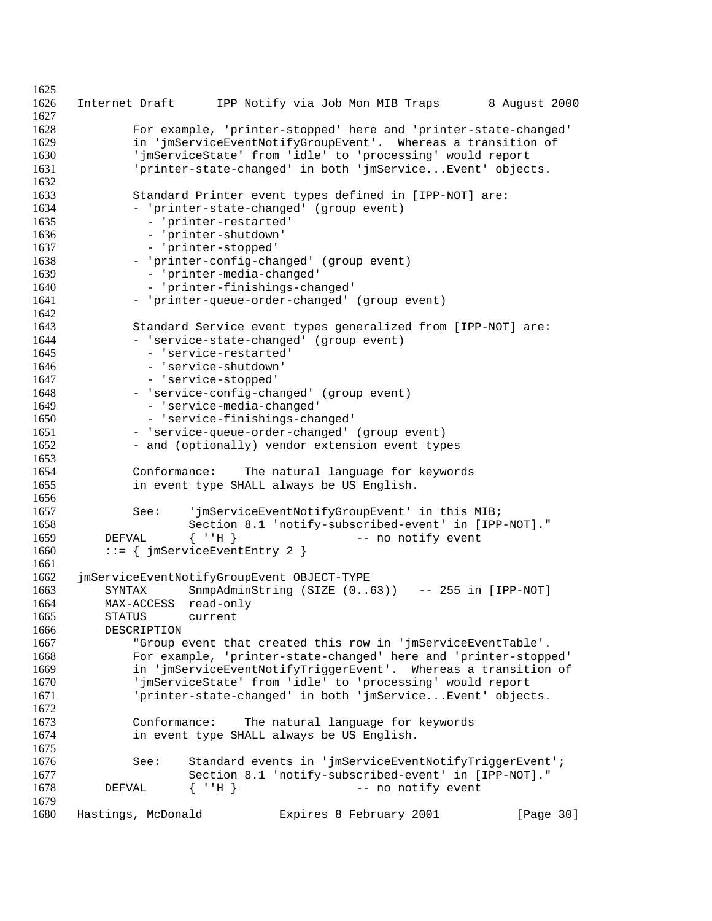```
1625
1626 Internet Draft IPP Notify via Job Mon MIB Traps 8 August 2000
1627
1628 For example, 'printer-stopped' here and 'printer-state-changed'
1629 in 'jmServiceEventNotifyGroupEvent'. Whereas a transition of
1630 'jmServiceState' from 'idle' to 'processing' would report
1631 'printer-state-changed' in both 'jmService...Event' objects.
1632
1633 Standard Printer event types defined in [IPP-NOT] are:
1634 - 'printer-state-changed' (group event)
1635 - 'printer-restarted'
1636 - 'printer-shutdown'
1637 - 'printer-stopped'
1638 - 'printer-config-changed' (group event)
1639 - 'printer-media-changed'<br>1640 - 'printer-finishings-cha
             - 'printer-finishings-changed'
1641 - 'printer-queue-order-changed' (group event)
1642
1643 Standard Service event types generalized from [IPP-NOT] are:
           - 'service-state-changed' (group event)
1645 - 'service-restarted'
1646 - 'service-shutdown'
1647 - 'service-stopped'
1648 - 'service-config-changed' (group event)
1649 - 'service-media-changed'
1650 - 'service-finishings-changed'
1651 - 'service-queue-order-changed' (group event)
1652 - and (optionally) vendor extension event types
1653
1654 Conformance: The natural language for keywords
1655 in event type SHALL always be US English.
1656
1657 See: 'jmServiceEventNotifyGroupEvent' in this MIB;
1658 Section 8.1 'notify-subscribed-event' in [IPP-NOT]."
1659 DEFVAL { ''H } -- no notify event
1660 ::= \{ jmServiceEventEntry 2 \}1661
1662 jmServiceEventNotifyGroupEvent OBJECT-TYPE
1663 SYNTAX SnmpAdminString (SIZE (0..63)) -- 255 in [IPP-NOT]
        MAX-ACCESS read-only
1665 STATUS current
1666 DESCRIPTION
1667 "Group event that created this row in 'jmServiceEventTable'.
1668 For example, 'printer-state-changed' here and 'printer-stopped'
1669 in 'jmServiceEventNotifyTriggerEvent'. Whereas a transition of
1670 'jmServiceState' from 'idle' to 'processing' would report
1671 'printer-state-changed' in both 'jmService...Event' objects.
1672
1673 Conformance: The natural language for keywords
1674 in event type SHALL always be US English.
1675
1676 See: Standard events in 'jmServiceEventNotifyTriggerEvent';
1677 Section 8.1 'notify-subscribed-event' in [IPP-NOT]."
1678 DEFVAL { ''H } -- no notify event
1679
1680 Hastings, McDonald Expires 8 February 2001 [Page 30]
```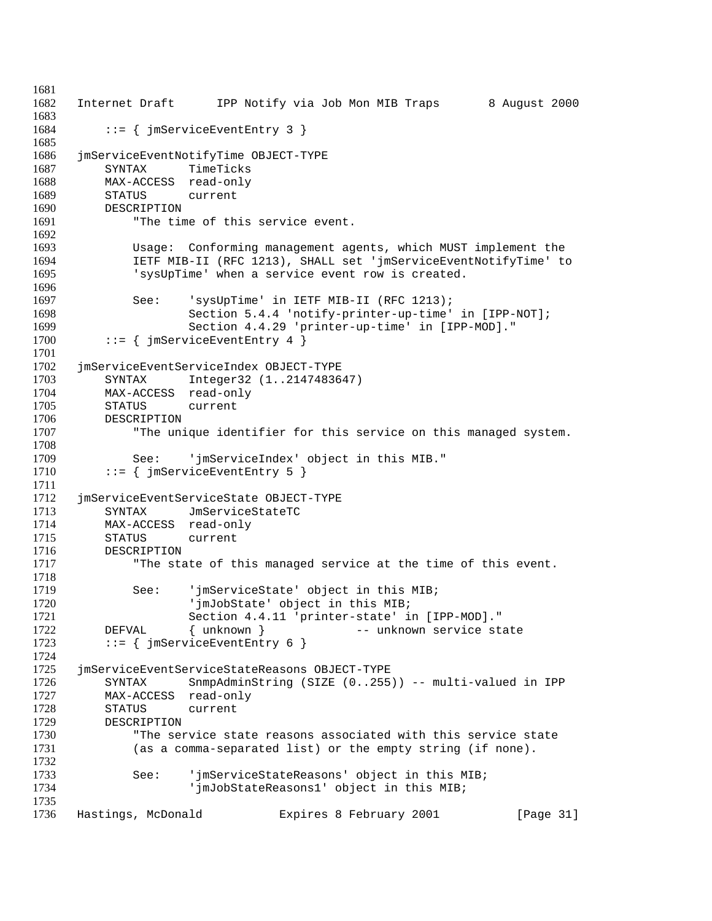```
1681
1682 Internet Draft IPP Notify via Job Mon MIB Traps 8 August 2000
1683
1684 ::= { jmServiceEventEntry 3 }
1685
1686 jmServiceEventNotifyTime OBJECT-TYPE
1687 SYNTAX TimeTicks
1688 MAX-ACCESS read-only
1689 STATUS current
1690 DESCRIPTION
1691 "The time of this service event.
1692
1693 Usage: Conforming management agents, which MUST implement the
1694 IETF MIB-II (RFC 1213), SHALL set 'jmServiceEventNotifyTime' to
1695 'sysUpTime' when a service event row is created.
1696
1697 See: 'sysUpTime' in IETF MIB-II (RFC 1213);<br>1698 Section 5.4.4 'notify-printer-up-time'
1698 Section 5.4.4 'notify-printer-up-time' in [IPP-NOT];<br>1699 Section 4.4.29 'printer-up-time' in [IPP-MOD]."
1699 Section 4.4.29 'printer-up-time' in [IPP-MOD]."<br>1700 ::= { jmServiceEventEntry 4 }
         ::= { jmServiceEventEntry 4 }
1701
1702 jmServiceEventServiceIndex OBJECT-TYPE
1703 SYNTAX Integer32 (1..2147483647)
1704 MAX-ACCESS read-only
1705 STATUS current
1706 DESCRIPTION
1707 The unique identifier for this service on this managed system.
1708
1709 See: 'jmServiceIndex' object in this MIB."
1710 ::= \{ jmServiceEventEntry 5 \}1711
1712 jmServiceEventServiceState OBJECT-TYPE
1713 SYNTAX JmServiceStateTC
1714 MAX-ACCESS read-only
1715 STATUS current<br>1716 DESCRIPTION
1716 DESCRIPTION<br>1717 "The sta
             "The state of this managed service at the time of this event.
1718
1719 See: 'jmServiceState' object in this MIB;
                    'jmJobState' object in this MIB;
1721 Section 4.4.11 'printer-state' in [IPP-MOD]."
1722 DEFVAL { unknown } -- unknown service state
1723 ::= \{ jmServiceEventEntry 6 \}1724
1725 jmServiceEventServiceStateReasons OBJECT-TYPE
1726 SYNTAX SnmpAdminString (SIZE (0..255)) -- multi-valued in IPP
1727 MAX-ACCESS read-only
1728 STATUS current
1729 DESCRIPTION
1730 "The service state reasons associated with this service state
1731 (as a comma-separated list) or the empty string (if none).
1732
1733 See: 'jmServiceStateReasons' object in this MIB;
1734 'jmJobStateReasons1' object in this MIB;
1735
1736 Hastings, McDonald Expires 8 February 2001 [Page 31]
```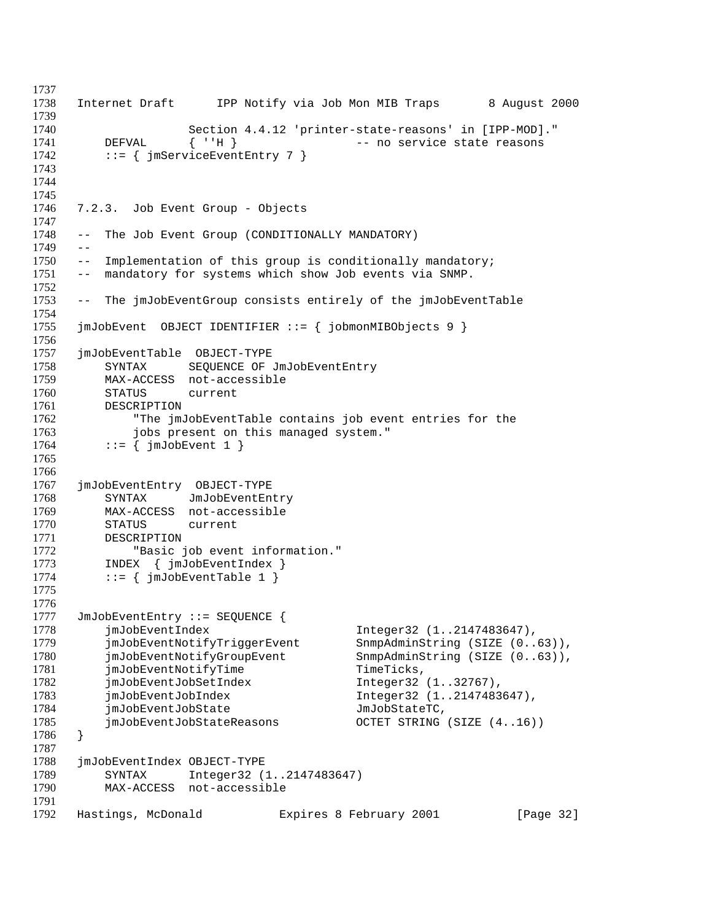```
1737
1738 Internet Draft IPP Notify via Job Mon MIB Traps 8 August 2000
1739
1740 Section 4.4.12 'printer-state-reasons' in [IPP-MOD]."
1741 DEFVAL { ''H } -- no service state reasons
1742 ::= { jmServiceEventEntry 7 }
1743
1744
1745
1746 7.2.3. Job Event Group - Objects
1747
1748 -- The Job Event Group (CONDITIONALLY MANDATORY)
1749 - -1750 -- Implementation of this group is conditionally mandatory;
1751 -- mandatory for systems which show Job events via SNMP.
1752
1753 -- The jmJobEventGroup consists entirely of the jmJobEventTable
1754
1755 jmJobEvent OBJECT IDENTIFIER ::= { jobmonMIBObjects 9 }
1756
1757 jmJobEventTable OBJECT-TYPE
1758 SYNTAX SEQUENCE OF JmJobEventEntry
1759 MAX-ACCESS not-accessible
1760 STATUS current
1761 DESCRIPTION
1762 "The jmJobEventTable contains job event entries for the
1763 jobs present on this managed system."
1764 ::= \{ \text{imJobEvent } 1 \}1765
1766
1767 jmJobEventEntry OBJECT-TYPE
1768 SYNTAX JmJobEventEntry
1769 MAX-ACCESS not-accessible
1770 STATUS current
1771 DESCRIPTION<br>1772 "Basic
            "Basic job event information."
1773 INDEX { jmJobEventIndex }
1774 ::= \{ \text{imJobEventTable 1 } \}1775
1776
1777 JmJobEventEntry ::= SEQUENCE {
1778 jmJobEventIndex Integer32 (1..2147483647),
1779 jmJobEventNotifyTriggerEvent SnmpAdminString (SIZE (0..63)),
1780 jmJobEventNotifyGroupEvent SnmpAdminString (SIZE (0..63)),
1781 jmJobEventNotifyTime TimeTicks,
1782 jmJobEventJobSetIndex Integer32 (1..32767),
1783 jmJobEventJobIndex Integer32 (1..2147483647),
1784 jmJobEventJobState JmJobStateTC,
1785 jmJobEventJobStateReasons OCTET STRING (SIZE (4..16))
1786 }
1787
1788 jmJobEventIndex OBJECT-TYPE
1789 SYNTAX Integer32 (1..2147483647)
1790 MAX-ACCESS not-accessible
1791
1792 Hastings, McDonald Expires 8 February 2001 [Page 32]
```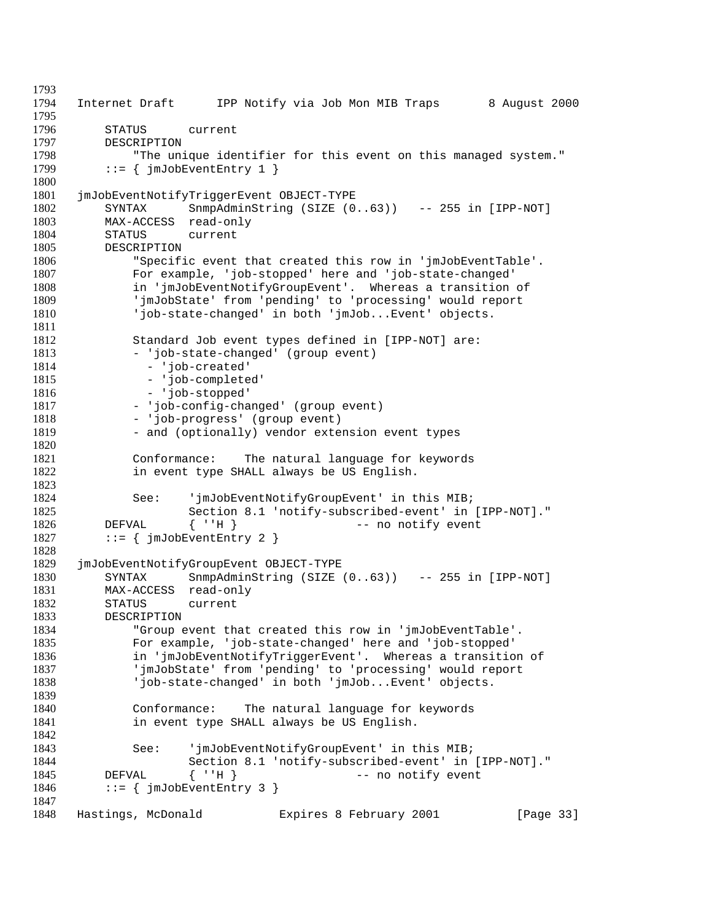```
1793
1794 Internet Draft IPP Notify via Job Mon MIB Traps 8 August 2000
1795
1796 STATUS current
1797 DESCRIPTION
1798 "The unique identifier for this event on this managed system."
1799 ::= \{ \text{imJobEventEntry 1 } \}1800
1801 jmJobEventNotifyTriggerEvent OBJECT-TYPE
1802 SYNTAX SnmpAdminString (SIZE (0..63)) -- 255 in [IPP-NOT]
1803 MAX-ACCESS read-only
1804 STATUS current
1805 DESCRIPTION
1806 "Specific event that created this row in 'jmJobEventTable'.
1807 For example, 'job-stopped' here and 'job-state-changed'
1808 in 'jmJobEventNotifyGroupEvent'. Whereas a transition of
1809 'jmJobState' from 'pending' to 'processing' would report
1810 'job-state-changed' in both 'jmJob...Event' objects.
1811
1812 Standard Job event types defined in [IPP-NOT] are:
1813 - 'job-state-changed' (group event)
1814 - 'job-created'
1815 - 'job-completed'
1816 - 'job-stopped'
1817 - 'job-config-changed' (group event)
1818 - 'job-progress' (group event)
1819 - and (optionally) vendor extension event types
1820
1821 Conformance: The natural language for keywords
1822 in event type SHALL always be US English.
1823
1824 See: 'jmJobEventNotifyGroupEvent' in this MIB;
1825 Section 8.1 'notify-subscribed-event' in [IPP-NOT]."
1826 DEFVAL { ''H } -- no notify event
1827 ::= \{jmJobEventEntry 2\}1828
1829 jmJobEventNotifyGroupEvent OBJECT-TYPE
1830 SYNTAX SnmpAdminString (SIZE (0..63)) -- 255 in [IPP-NOT]
1831 MAX-ACCESS read-only<br>1832 STATUS current
        STATUS current
1833 DESCRIPTION
1834 "Group event that created this row in 'jmJobEventTable'.
1835 For example, 'job-state-changed' here and 'job-stopped'
1836 in 'jmJobEventNotifyTriggerEvent'. Whereas a transition of
1837 'jmJobState' from 'pending' to 'processing' would report
1838 'job-state-changed' in both 'jmJob...Event' objects.
1839
1840 Conformance: The natural language for keywords
1841 in event type SHALL always be US English.
1842
1843 See: 'jmJobEventNotifyGroupEvent' in this MIB;
1844 Section 8.1 'notify-subscribed-event' in [IPP-NOT]."
1845 DEFVAL { ''H } -- no notify event
1846 ::= \{ \text{imJobEventEntry } 3 \}1847
1848 Hastings, McDonald Expires 8 February 2001 [Page 33]
```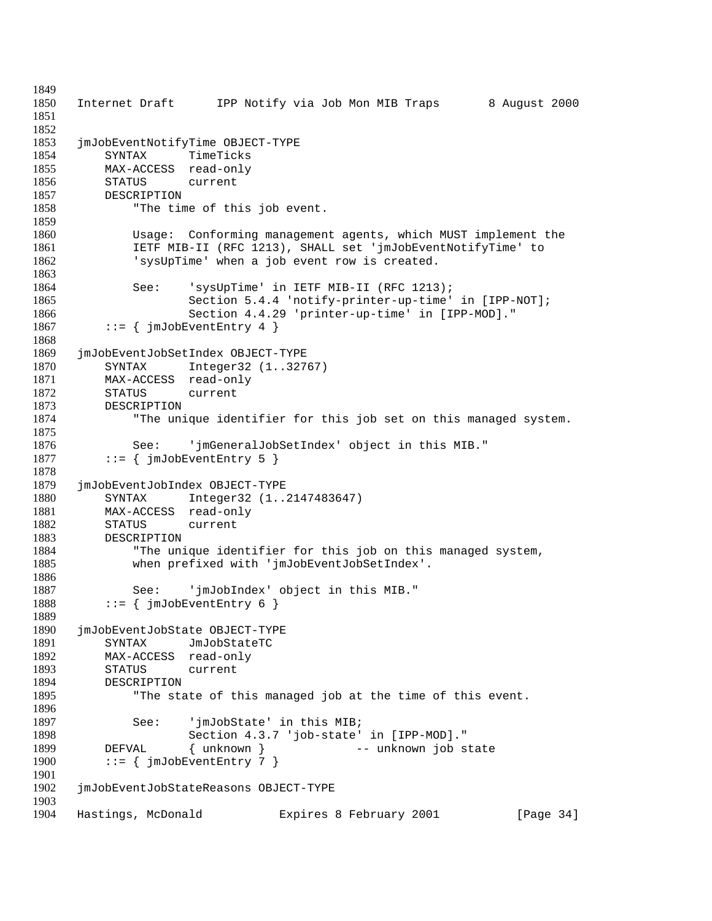```
1849
1850 Internet Draft IPP Notify via Job Mon MIB Traps 8 August 2000
1851
1852
1853 jmJobEventNotifyTime OBJECT-TYPE
1854 SYNTAX TimeTicks
1855 MAX-ACCESS read-only
1856 STATUS current
1857 DESCRIPTION
1858 "The time of this job event.
1859
1860 Usage: Conforming management agents, which MUST implement the
1861 IETF MIB-II (RFC 1213), SHALL set 'jmJobEventNotifyTime' to
1862 'sysUpTime' when a job event row is created.
1863
1864 See: 'sysUpTime' in IETF MIB-II (RFC 1213);
1865 Section 5.4.4 'notify-printer-up-time' in [IPP-NOT];<br>1866 Section 4.4.29 'printer-up-time' in [IPP-MOD]."
1866 \qquad \qquad Section 4.4.29 'printer-up-time' in [IPP-MOD]."<br>1867 ::= { imJobEventEntry 4 }
         ::= { jmJobEventEntry 4 }
1868
1869 jmJobEventJobSetIndex OBJECT-TYPE
1870 SYNTAX Integer32 (1..32767)
1871 MAX-ACCESS read-only
1872 STATUS current
1873 DESCRIPTION
1874 "The unique identifier for this job set on this managed system.
1875
1876 See: 'jmGeneralJobSetIndex' object in this MIB."
1877 ::= \{ \text{jmJobEventEntry } 5 \}1878
1879 jmJobEventJobIndex OBJECT-TYPE
1880 SYNTAX Integer32 (1..2147483647)
1881 MAX-ACCESS read-only
1882 STATUS current
1883 DESCRIPTION<br>1884 "The un:
            "The unique identifier for this job on this managed system,
1885 when prefixed with 'jmJobEventJobSetIndex'.
1886
1887 See: 'jmJobIndex' object in this MIB."
1888 ::= \{jmJobEventEntry 6\}1889
1890 jmJobEventJobState OBJECT-TYPE
1891 SYNTAX JmJobStateTC
1892 MAX-ACCESS read-only
1893 STATUS current
1894 DESCRIPTION
1895 "The state of this managed job at the time of this event.
1896
1897 See: 'jmJobState' in this MIB;
1898 Section 4.3.7 'job-state' in [IPP-MOD]."
1899 DEFVAL { unknown } -- unknown job state
1900 ::= \{ jmJobEventEntry 7 \}1901
1902 jmJobEventJobStateReasons OBJECT-TYPE
1903
1904 Hastings, McDonald Expires 8 February 2001 [Page 34]
```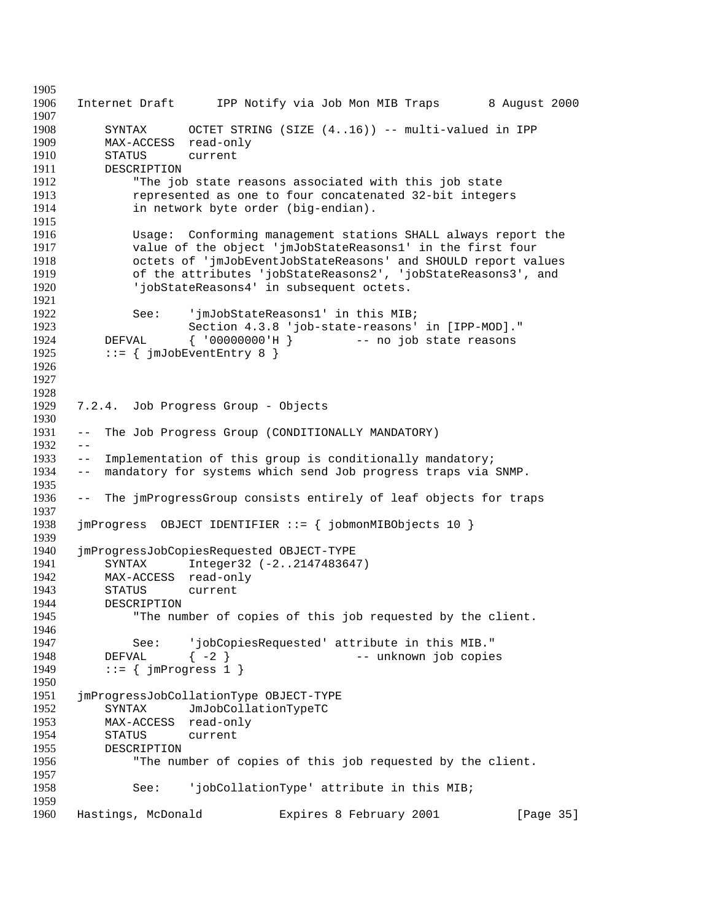Internet Draft IPP Notify via Job Mon MIB Traps 8 August 2000 SYNTAX OCTET STRING (SIZE (4..16)) -- multi-valued in IPP MAX-ACCESS read-only STATUS current DESCRIPTION "The job state reasons associated with this job state represented as one to four concatenated 32-bit integers in network byte order (big-endian). Usage: Conforming management stations SHALL always report the value of the object 'jmJobStateReasons1' in the first four octets of 'jmJobEventJobStateReasons' and SHOULD report values of the attributes 'jobStateReasons2', 'jobStateReasons3', and 'jobStateReasons4' in subsequent octets. 1922 See: 'jmJobStateReasons1' in this MIB;<br>1923 Section 4.3.8 'job-state-reasons' 1923 Section 4.3.8 'job-state-reasons' in [IPP-MOD]."<br>1924 DEFVAL { '00000000'H } -- no job state reasons DEFVAL { '00000000'H } -- no job state reasons 1925 ::=  $\{\text{imJobEventEntry } 8 \}$  7.2.4. Job Progress Group - Objects -- The Job Progress Group (CONDITIONALLY MANDATORY)  $1932 - -$  -- Implementation of this group is conditionally mandatory; -- mandatory for systems which send Job progress traps via SNMP. -- The jmProgressGroup consists entirely of leaf objects for traps jmProgress OBJECT IDENTIFIER ::= { jobmonMIBObjects 10 } jmProgressJobCopiesRequested OBJECT-TYPE SYNTAX Integer32 (-2..2147483647) MAX-ACCESS read-only STATUS current DESCRIPTION "The number of copies of this job requested by the client. See: 'jobCopiesRequested' attribute in this MIB." DEFVAL  $\{-2\}$  -- unknown job copies 1949 ::=  $\{ jmProgress 1 \}$  jmProgressJobCollationType OBJECT-TYPE SYNTAX JmJobCollationTypeTC MAX-ACCESS read-only STATUS current DESCRIPTION "The number of copies of this job requested by the client. See: 'jobCollationType' attribute in this MIB; Hastings, McDonald Expires 8 February 2001 [Page 35]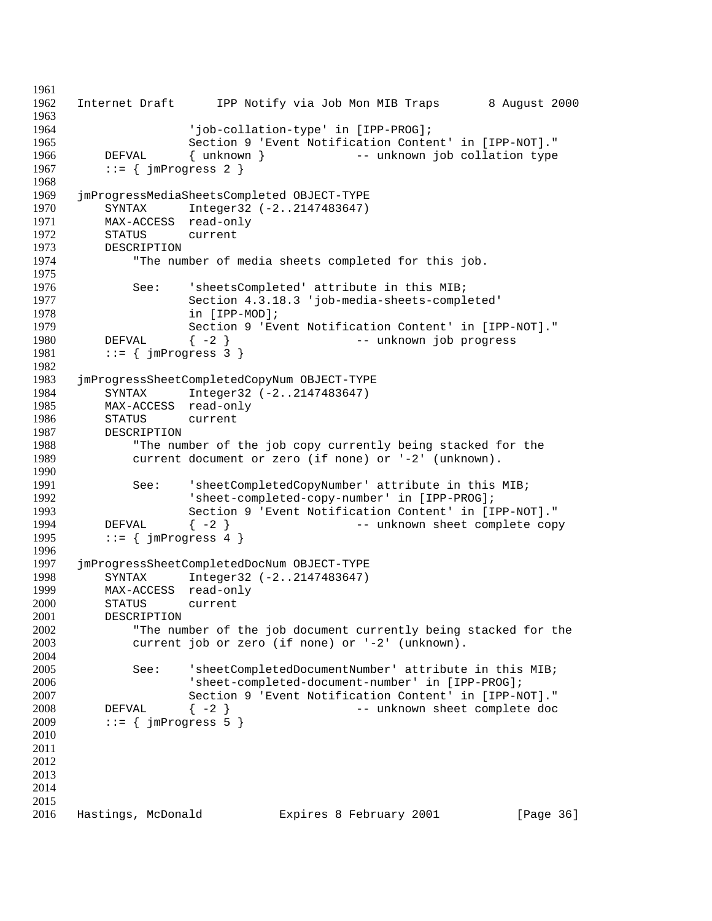```
1961
1962 Internet Draft IPP Notify via Job Mon MIB Traps 8 August 2000
1963
1964 'job-collation-type' in [IPP-PROG];
1965 Section 9 'Event Notification Content' in [IPP-NOT]."
1966 DEFVAL { unknown } -- unknown job collation type
1967 ::= \{ jmProgress 2 \}1968
1969 jmProgressMediaSheetsCompleted OBJECT-TYPE
1970 SYNTAX Integer32 (-2..2147483647)
1971 MAX-ACCESS read-only
1972 STATUS current
1973 DESCRIPTION
1974 "The number of media sheets completed for this job.
1975
1976 See: 'sheetsCompleted' attribute in this MIB;
1977 Section 4.3.18.3 'job-media-sheets-completed'
1978 in [IPP-MOD];<br>1979 Section 9 'Ev
                  Section 9 'Event Notification Content' in [IPP-NOT]."
1980 DEFVAL { -2 } -- unknown job progress
1981 ::= \{ jmProgress 3 \}1982
1983 jmProgressSheetCompletedCopyNum OBJECT-TYPE
1984 SYNTAX Integer32 (-2..2147483647)
1985 MAX-ACCESS read-only
1986 STATUS current
1987 DESCRIPTION
1988 "The number of the job copy currently being stacked for the
1989 current document or zero (if none) or '-2' (unknown).
1990
1991 See: 'sheetCompletedCopyNumber' attribute in this MIB;
1992 'sheet-completed-copy-number' in [IPP-PROG];
1993 Section 9 'Event Notification Content' in [IPP-NOT]."
1994 DEFVAL \{-2\} -- unknown sheet complete copy
1995 ::= \{ jmProgress 4 \}1996
1997 jmProgressSheetCompletedDocNum OBJECT-TYPE
1998 SYNTAX Integer32 (-2..2147483647)<br>1999 MAX-ACCESS read-only
        MAX-ACCESS read-only
2000 STATUS current
2001 DESCRIPTION
2002 "The number of the job document currently being stacked for the
2003 current job or zero (if none) or '-2' (unknown).
2004
2005 See: 'sheetCompletedDocumentNumber' attribute in this MIB;
2006 'sheet-completed-document-number' in [IPP-PROG];
2007 Section 9 'Event Notification Content' in [IPP-NOT]."
2008 DEFVAL { -2 } -- unknown sheet complete doc
2009 ::= \{ jmProgress 5 \}2010
2011
2012
2013
2014
2015
2016 Hastings, McDonald Expires 8 February 2001 [Page 36]
```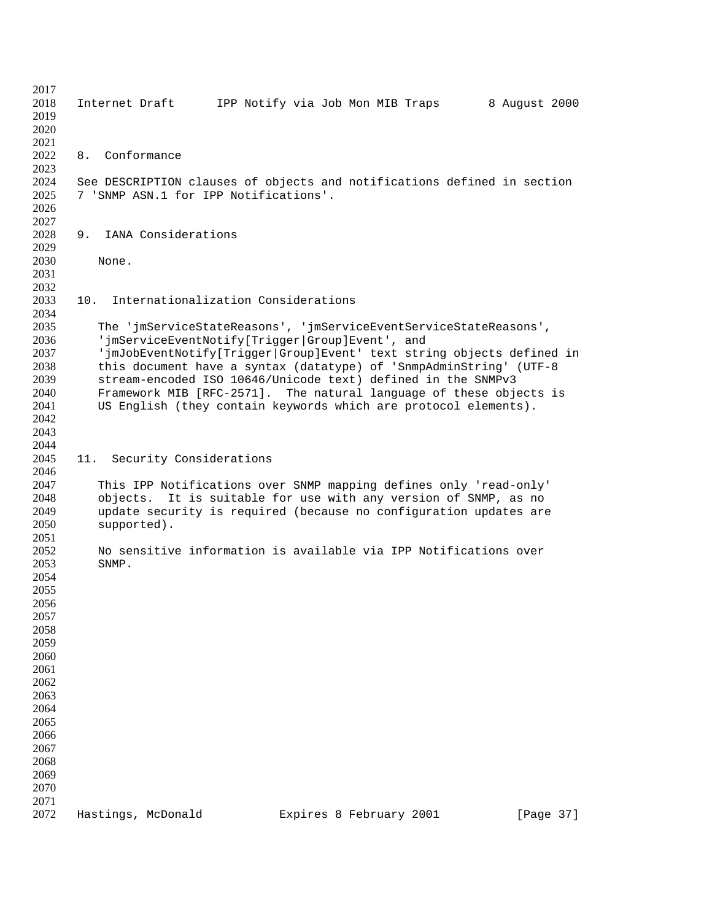| 2017 |                                                                         |                         |               |
|------|-------------------------------------------------------------------------|-------------------------|---------------|
| 2018 | IPP Notify via Job Mon MIB Traps<br>Internet Draft                      |                         | 8 August 2000 |
| 2019 |                                                                         |                         |               |
| 2020 |                                                                         |                         |               |
| 2021 |                                                                         |                         |               |
| 2022 | Conformance<br>8.                                                       |                         |               |
| 2023 |                                                                         |                         |               |
| 2024 |                                                                         |                         |               |
|      | See DESCRIPTION clauses of objects and notifications defined in section |                         |               |
| 2025 | 7 'SNMP ASN.1 for IPP Notifications'.                                   |                         |               |
| 2026 |                                                                         |                         |               |
| 2027 |                                                                         |                         |               |
| 2028 | IANA Considerations<br>9.                                               |                         |               |
| 2029 |                                                                         |                         |               |
| 2030 | None.                                                                   |                         |               |
| 2031 |                                                                         |                         |               |
| 2032 |                                                                         |                         |               |
| 2033 | Internationalization Considerations<br>10.                              |                         |               |
| 2034 |                                                                         |                         |               |
| 2035 |                                                                         |                         |               |
|      | The 'jmServiceStateReasons', 'jmServiceEventServiceStateReasons',       |                         |               |
| 2036 | 'jmServiceEventNotify[Trigger Group]Event', and                         |                         |               |
| 2037 | 'jmJobEventNotify[Trigger Group]Event' text string objects defined in   |                         |               |
| 2038 | this document have a syntax (datatype) of 'SnmpAdminString' (UTF-8      |                         |               |
| 2039 | stream-encoded ISO 10646/Unicode text) defined in the SNMPv3            |                         |               |
| 2040 | Framework MIB [RFC-2571]. The natural language of these objects is      |                         |               |
| 2041 | US English (they contain keywords which are protocol elements).         |                         |               |
| 2042 |                                                                         |                         |               |
| 2043 |                                                                         |                         |               |
| 2044 |                                                                         |                         |               |
| 2045 | 11. Security Considerations                                             |                         |               |
| 2046 |                                                                         |                         |               |
| 2047 | This IPP Notifications over SNMP mapping defines only 'read-only'       |                         |               |
| 2048 | It is suitable for use with any version of SNMP, as no<br>objects.      |                         |               |
|      |                                                                         |                         |               |
| 2049 | update security is required (because no configuration updates are       |                         |               |
| 2050 | supported).                                                             |                         |               |
| 2051 |                                                                         |                         |               |
| 2052 | No sensitive information is available via IPP Notifications over        |                         |               |
| 2053 | SNMP.                                                                   |                         |               |
| 2054 |                                                                         |                         |               |
| 2055 |                                                                         |                         |               |
| 2056 |                                                                         |                         |               |
| 2057 |                                                                         |                         |               |
| 2058 |                                                                         |                         |               |
| 2059 |                                                                         |                         |               |
| 2060 |                                                                         |                         |               |
| 2061 |                                                                         |                         |               |
|      |                                                                         |                         |               |
| 2062 |                                                                         |                         |               |
| 2063 |                                                                         |                         |               |
| 2064 |                                                                         |                         |               |
| 2065 |                                                                         |                         |               |
| 2066 |                                                                         |                         |               |
| 2067 |                                                                         |                         |               |
| 2068 |                                                                         |                         |               |
| 2069 |                                                                         |                         |               |
| 2070 |                                                                         |                         |               |
| 2071 |                                                                         |                         |               |
| 2072 | Hastings, McDonald                                                      | Expires 8 February 2001 | [Page 37]     |
|      |                                                                         |                         |               |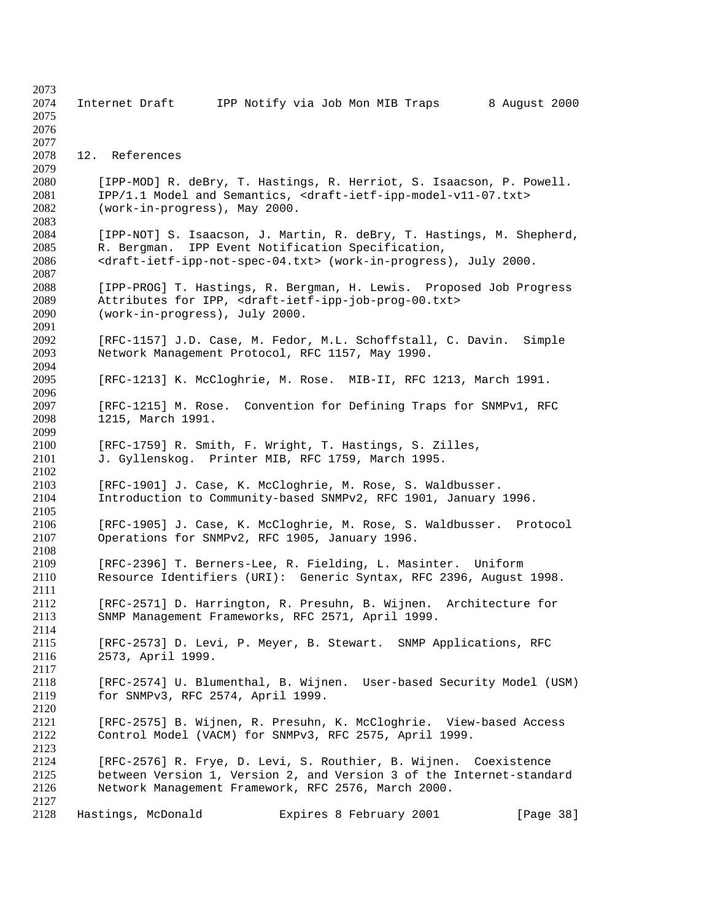| 2073         |                                                                                                                             |
|--------------|-----------------------------------------------------------------------------------------------------------------------------|
| 2074         | Internet Draft<br>IPP Notify via Job Mon MIB Traps<br>8 August 2000                                                         |
| 2075         |                                                                                                                             |
| 2076         |                                                                                                                             |
| 2077         |                                                                                                                             |
| 2078         | 12. References                                                                                                              |
| 2079         |                                                                                                                             |
| 2080         | [IPP-MOD] R. deBry, T. Hastings, R. Herriot, S. Isaacson, P. Powell.                                                        |
| 2081         | IPP/1.1 Model and Semantics, <draft-ietf-ipp-model-v11-07.txt></draft-ietf-ipp-model-v11-07.txt>                            |
| 2082         | (work-in-progress), May 2000.                                                                                               |
| 2083         |                                                                                                                             |
| 2084         | [IPP-NOT] S. Isaacson, J. Martin, R. deBry, T. Hastings, M. Shepherd,                                                       |
| 2085         | R. Bergman. IPP Event Notification Specification,                                                                           |
| 2086         | <draft-ietf-ipp-not-spec-04.txt> (work-in-progress), July 2000.</draft-ietf-ipp-not-spec-04.txt>                            |
| 2087         |                                                                                                                             |
| 2088         | [IPP-PROG] T. Hastings, R. Bergman, H. Lewis. Proposed Job Progress                                                         |
| 2089         | Attributes for IPP, <draft-ietf-ipp-job-prog-00.txt></draft-ietf-ipp-job-prog-00.txt>                                       |
| 2090         | (work-in-progress), July 2000.                                                                                              |
| 2091         |                                                                                                                             |
| 2092         | [RFC-1157] J.D. Case, M. Fedor, M.L. Schoffstall, C. Davin.<br>Simple                                                       |
| 2093<br>2094 | Network Management Protocol, RFC 1157, May 1990.                                                                            |
| 2095         | [RFC-1213] K. McCloghrie, M. Rose. MIB-II, RFC 1213, March 1991.                                                            |
| 2096         |                                                                                                                             |
| 2097         | [RFC-1215] M. Rose. Convention for Defining Traps for SNMPv1, RFC                                                           |
| 2098         | 1215, March 1991.                                                                                                           |
| 2099         |                                                                                                                             |
| 2100         | [RFC-1759] R. Smith, F. Wright, T. Hastings, S. Zilles,                                                                     |
| 2101         | J. Gyllenskog. Printer MIB, RFC 1759, March 1995.                                                                           |
| 2102         |                                                                                                                             |
| 2103         | [RFC-1901] J. Case, K. McCloghrie, M. Rose, S. Waldbusser.                                                                  |
| 2104         | Introduction to Community-based SNMPv2, RFC 1901, January 1996.                                                             |
| 2105         |                                                                                                                             |
| 2106         | [RFC-1905] J. Case, K. McCloghrie, M. Rose, S. Waldbusser.<br>Protocol                                                      |
| 2107         | Operations for SNMPv2, RFC 1905, January 1996.                                                                              |
| 2108         |                                                                                                                             |
| 2109         | [RFC-2396] T. Berners-Lee, R. Fielding, L. Masinter. Uniform                                                                |
| 2110         | Resource Identifiers (URI): Generic Syntax, RFC 2396, August 1998.                                                          |
| 2111         |                                                                                                                             |
| 2112         | [RFC-2571] D. Harrington, R. Presuhn, B. Wijnen. Architecture for                                                           |
| 2113         | SNMP Management Frameworks, RFC 2571, April 1999.                                                                           |
| 2114         |                                                                                                                             |
| 2115         | [RFC-2573] D. Levi, P. Meyer, B. Stewart. SNMP Applications, RFC                                                            |
| 2116         | 2573, April 1999.                                                                                                           |
| 2117         |                                                                                                                             |
| 2118         | [RFC-2574] U. Blumenthal, B. Wijnen. User-based Security Model (USM)                                                        |
| 2119         | for SNMPv3, RFC 2574, April 1999.                                                                                           |
| 2120         |                                                                                                                             |
| 2121         | [RFC-2575] B. Wijnen, R. Presuhn, K. McCloghrie. View-based Access                                                          |
| 2122         | Control Model (VACM) for SNMPv3, RFC 2575, April 1999.                                                                      |
| 2123         |                                                                                                                             |
| 2124<br>2125 | [RFC-2576] R. Frye, D. Levi, S. Routhier, B. Wijnen. Coexistence                                                            |
| 2126         | between Version 1, Version 2, and Version 3 of the Internet-standard<br>Network Management Framework, RFC 2576, March 2000. |
| 2127         |                                                                                                                             |
| 2128         | Hastings, McDonald<br>Expires 8 February 2001<br>[Page 38]                                                                  |
|              |                                                                                                                             |
|              |                                                                                                                             |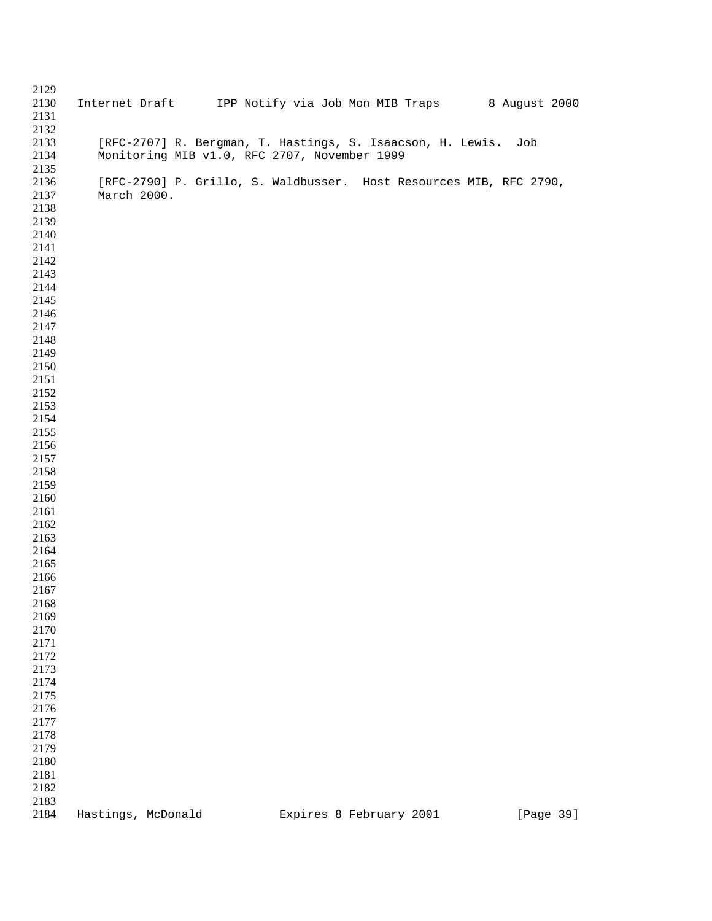| 2129 |                                                                    |                         |           |
|------|--------------------------------------------------------------------|-------------------------|-----------|
| 2130 | Internet Draft IPP Notify via Job Mon MIB Traps 8 August 2000      |                         |           |
| 2131 |                                                                    |                         |           |
| 2132 |                                                                    |                         |           |
| 2133 | [RFC-2707] R. Bergman, T. Hastings, S. Isaacson, H. Lewis.         |                         | Job       |
| 2134 | Monitoring MIB v1.0, RFC 2707, November 1999                       |                         |           |
|      |                                                                    |                         |           |
| 2135 |                                                                    |                         |           |
| 2136 | [RFC-2790] P. Grillo, S. Waldbusser. Host Resources MIB, RFC 2790, |                         |           |
| 2137 | March 2000.                                                        |                         |           |
| 2138 |                                                                    |                         |           |
| 2139 |                                                                    |                         |           |
| 2140 |                                                                    |                         |           |
| 2141 |                                                                    |                         |           |
| 2142 |                                                                    |                         |           |
| 2143 |                                                                    |                         |           |
| 2144 |                                                                    |                         |           |
| 2145 |                                                                    |                         |           |
| 2146 |                                                                    |                         |           |
| 2147 |                                                                    |                         |           |
|      |                                                                    |                         |           |
| 2148 |                                                                    |                         |           |
| 2149 |                                                                    |                         |           |
| 2150 |                                                                    |                         |           |
| 2151 |                                                                    |                         |           |
| 2152 |                                                                    |                         |           |
| 2153 |                                                                    |                         |           |
| 2154 |                                                                    |                         |           |
| 2155 |                                                                    |                         |           |
| 2156 |                                                                    |                         |           |
| 2157 |                                                                    |                         |           |
| 2158 |                                                                    |                         |           |
| 2159 |                                                                    |                         |           |
| 2160 |                                                                    |                         |           |
| 2161 |                                                                    |                         |           |
| 2162 |                                                                    |                         |           |
| 2163 |                                                                    |                         |           |
|      |                                                                    |                         |           |
| 2164 |                                                                    |                         |           |
| 2165 |                                                                    |                         |           |
| 2166 |                                                                    |                         |           |
| 2167 |                                                                    |                         |           |
| 2168 |                                                                    |                         |           |
| 2169 |                                                                    |                         |           |
| 2170 |                                                                    |                         |           |
| 2171 |                                                                    |                         |           |
| 2172 |                                                                    |                         |           |
| 2173 |                                                                    |                         |           |
| 2174 |                                                                    |                         |           |
| 2175 |                                                                    |                         |           |
| 2176 |                                                                    |                         |           |
| 2177 |                                                                    |                         |           |
| 2178 |                                                                    |                         |           |
|      |                                                                    |                         |           |
| 2179 |                                                                    |                         |           |
| 2180 |                                                                    |                         |           |
| 2181 |                                                                    |                         |           |
| 2182 |                                                                    |                         |           |
| 2183 |                                                                    |                         |           |
| 2184 | Hastings, McDonald                                                 | Expires 8 February 2001 | [Page 39] |
|      |                                                                    |                         |           |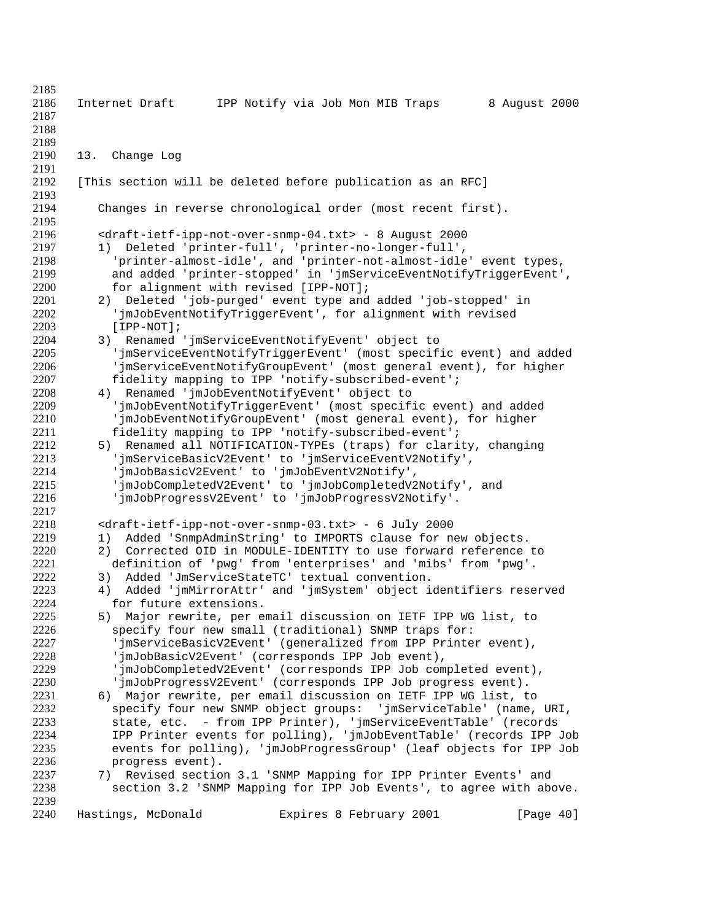Internet Draft IPP Notify via Job Mon MIB Traps 8 August 2000 13. Change Log [This section will be deleted before publication as an RFC] Changes in reverse chronological order (most recent first). <draft-ietf-ipp-not-over-snmp-04.txt> - 8 August 2000 1) Deleted 'printer-full', 'printer-no-longer-full', 'printer-almost-idle', and 'printer-not-almost-idle' event types, 2199 and added 'printer-stopped' in 'jmServiceEventNotifyTriggerEvent',<br>2200 for alignment with revised [IPP-NOT]; 2200 for alignment with revised [IPP-NOT];<br>2201 2) Deleted 'job-purged' event type and 2201 2) Deleted 'job-purged' event type and added 'job-stopped' in 2202 300 'imJobEventNotifyTriggerEvent', for alignment with revised 2202 'jmJobEventNotifyTriggerEvent', for alignment with revised<br>2203 [IPP-NOT]; 2203 [IPP-NOT];<br>2204 3) Renamed 3) Renamed 'jmServiceEventNotifyEvent' object to 'jmServiceEventNotifyTriggerEvent' (most specific event) and added 'jmServiceEventNotifyGroupEvent' (most general event), for higher fidelity mapping to IPP 'notify-subscribed-event'; 4) Renamed 'jmJobEventNotifyEvent' object to 'jmJobEventNotifyTriggerEvent' (most specific event) and added 'jmJobEventNotifyGroupEvent' (most general event), for higher fidelity mapping to IPP 'notify-subscribed-event'; 5) Renamed all NOTIFICATION-TYPEs (traps) for clarity, changing 2213 'jmServiceBasicV2Event' to 'jmServiceEventV2Notify',<br>2214 'imJobBasicV2Event' to 'imJobEventV2Notify', 'jmJobBasicV2Event' to 'jmJobEventV2Notify', 'jmJobCompletedV2Event' to 'jmJobCompletedV2Notify', and 'jmJobProgressV2Event' to 'jmJobProgressV2Notify'. 2218 <draft-ietf-ipp-not-over-snmp-03.txt> - 6 July 2000<br>2219 1) Added 'SnmpAdminString' to IMPORTS clause for n 2219 1) Added 'SnmpAdminString' to IMPORTS clause for new objects.<br>2220 2) Corrected OID in MODULE-IDENTITY to use forward reference 2220 2) Corrected OID in MODULE-IDENTITY to use forward reference to<br>2221 definition of 'pwg' from 'enterprises' and 'mibs' from 'pwg'. definition of 'pwg' from 'enterprises' and 'mibs' from 'pwg'. 2222 3) Added 'JmServiceStateTC' textual convention.<br>2223 4) Added 'imMirrorAttr' and 'imSystem' object i 4) Added 'jmMirrorAttr' and 'jmSystem' object identifiers reserved for future extensions. 5) Major rewrite, per email discussion on IETF IPP WG list, to specify four new small (traditional) SNMP traps for: 'jmServiceBasicV2Event' (generalized from IPP Printer event), 'jmJobBasicV2Event' (corresponds IPP Job event), 'jmJobCompletedV2Event' (corresponds IPP Job completed event), 'jmJobProgressV2Event' (corresponds IPP Job progress event). 2231 6) Major rewrite, per email discussion on IETF IPP WG list, to<br>2232 Specify four new SNMP object groups: 'jmServiceTable' (name, 2232 specify four new SNMP object groups: 'jmServiceTable' (name, URI,<br>2233 state, etc. - from IPP Printer), 'jmServiceEventTable' (records state, etc. - from IPP Printer), 'jmServiceEventTable' (records IPP Printer events for polling), 'jmJobEventTable' (records IPP Job events for polling), 'jmJobProgressGroup' (leaf objects for IPP Job progress event). 7) Revised section 3.1 'SNMP Mapping for IPP Printer Events' and section 3.2 'SNMP Mapping for IPP Job Events', to agree with above. Hastings, McDonald Expires 8 February 2001 [Page 40]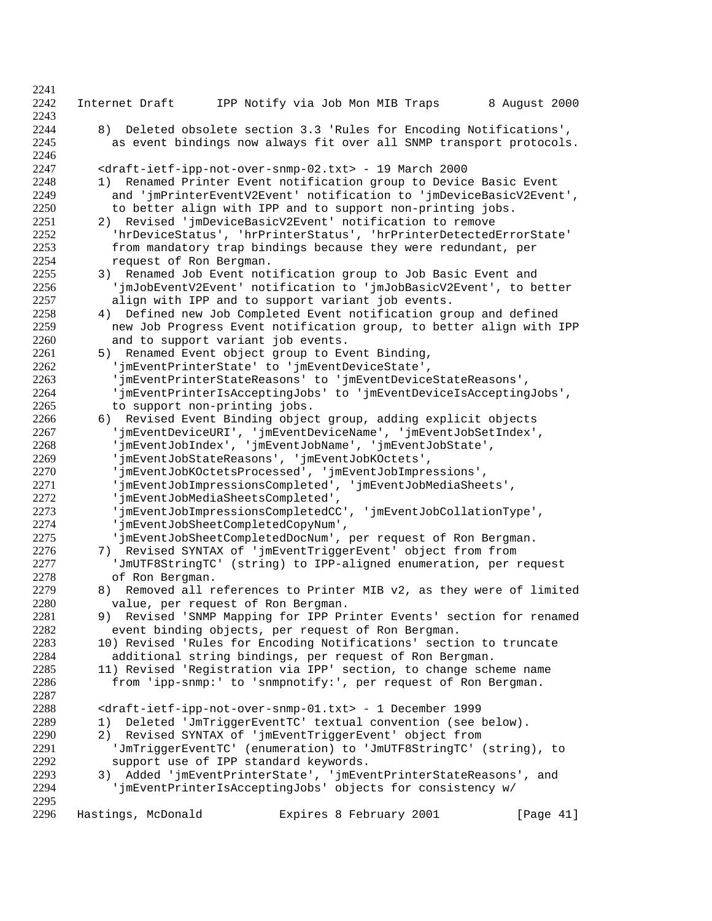| 2241<br>2242 | Internet Draft                        | IPP Notify via Job Mon MIB Traps                                                                                       | 8 August 2000 |
|--------------|---------------------------------------|------------------------------------------------------------------------------------------------------------------------|---------------|
| 2243         |                                       |                                                                                                                        |               |
| 2244         | 8)                                    | Deleted obsolete section 3.3 'Rules for Encoding Notifications',                                                       |               |
| 2245         |                                       | as event bindings now always fit over all SNMP transport protocols.                                                    |               |
| 2246         |                                       |                                                                                                                        |               |
| 2247         |                                       | <draft-ietf-ipp-not-over-snmp-02.txt> - 19 March 2000</draft-ietf-ipp-not-over-snmp-02.txt>                            |               |
| 2248         |                                       | 1) Renamed Printer Event notification group to Device Basic Event                                                      |               |
| 2249<br>2250 |                                       | and 'jmPrinterEventV2Event' notification to 'jmDeviceBasicV2Event',                                                    |               |
| 2251         |                                       | to better align with IPP and to support non-printing jobs.<br>2) Revised 'jmDeviceBasicV2Event' notification to remove |               |
| 2252         |                                       | 'hrDeviceStatus', 'hrPrinterStatus', 'hrPrinterDetectedErrorState'                                                     |               |
| 2253         |                                       | from mandatory trap bindings because they were redundant, per                                                          |               |
| 2254         | request of Ron Bergman.               |                                                                                                                        |               |
| 2255         |                                       | 3) Renamed Job Event notification group to Job Basic Event and                                                         |               |
| 2256         |                                       | 'jmJobEventV2Event' notification to 'jmJobBasicV2Event', to better                                                     |               |
| 2257         |                                       | align with IPP and to support variant job events.                                                                      |               |
| 2258         | 4)                                    | Defined new Job Completed Event notification group and defined                                                         |               |
| 2259         |                                       | new Job Progress Event notification group, to better align with IPP                                                    |               |
| 2260         | and to support variant job events.    |                                                                                                                        |               |
| 2261         | 5)                                    | Renamed Event object group to Event Binding,                                                                           |               |
| 2262         |                                       | 'jmEventPrinterState' to 'jmEventDeviceState',                                                                         |               |
| 2263         |                                       | 'jmEventPrinterStateReasons' to 'jmEventDeviceStateReasons',                                                           |               |
| 2264         |                                       | 'jmEventPrinterIsAcceptingJobs' to 'jmEventDeviceIsAcceptingJobs',                                                     |               |
| 2265<br>2266 | to support non-printing jobs.         | 6) Revised Event Binding object group, adding explicit objects                                                         |               |
| 2267         |                                       | 'jmEventDeviceURI', 'jmEventDeviceName', 'jmEventJobSetIndex',                                                         |               |
| 2268         |                                       | 'jmEventJobIndex', 'jmEventJobName', 'jmEventJobState',                                                                |               |
| 2269         |                                       | 'jmEventJobStateReasons', 'jmEventJobKOctets',                                                                         |               |
| 2270         |                                       | 'jmEventJobKOctetsProcessed', 'jmEventJobImpressions',                                                                 |               |
| 2271         |                                       | 'jmEventJobImpressionsCompleted', 'jmEventJobMediaSheets',                                                             |               |
| 2272         | 'jmEventJobMediaSheetsCompleted',     |                                                                                                                        |               |
| 2273         |                                       | 'jmEventJobImpressionsCompletedCC', 'jmEventJobCollationType',                                                         |               |
| 2274         | 'jmEventJobSheetCompletedCopyNum',    |                                                                                                                        |               |
| 2275         |                                       | 'jmEventJobSheetCompletedDocNum', per request of Ron Bergman.                                                          |               |
| 2276         |                                       | 7) Revised SYNTAX of 'jmEventTriggerEvent' object from from                                                            |               |
| 2277         |                                       | 'JmUTF8StringTC' (string) to IPP-aligned enumeration, per request                                                      |               |
| 2278         | of Ron Bergman.                       |                                                                                                                        |               |
| 2279<br>2280 | 8)                                    | Removed all references to Printer MIB v2, as they were of limited                                                      |               |
| 2281         | value, per request of Ron Bergman.    | 9) Revised 'SNMP Mapping for IPP Printer Events' section for renamed                                                   |               |
| 2282         |                                       | event binding objects, per request of Ron Bergman.                                                                     |               |
| 2283         |                                       | 10) Revised 'Rules for Encoding Notifications' section to truncate                                                     |               |
| 2284         |                                       | additional string bindings, per request of Ron Bergman.                                                                |               |
| 2285         |                                       | 11) Revised 'Registration via IPP' section, to change scheme name                                                      |               |
| 2286         |                                       | from 'ipp-snmp:' to 'snmpnotify:', per request of Ron Bergman.                                                         |               |
| 2287         |                                       |                                                                                                                        |               |
| 2288         |                                       | <draft-ietf-ipp-not-over-snmp-01.txt> - 1 December 1999</draft-ietf-ipp-not-over-snmp-01.txt>                          |               |
| 2289         | 1)                                    | Deleted 'JmTriggerEventTC' textual convention (see below).                                                             |               |
| 2290         | 2)                                    | Revised SYNTAX of 'jmEventTriggerEvent' object from                                                                    |               |
| 2291         |                                       | 'JmTriggerEventTC' (enumeration) to 'JmUTF8StringTC' (string), to                                                      |               |
| 2292         | support use of IPP standard keywords. |                                                                                                                        |               |
| 2293         |                                       | 3) Added 'jmEventPrinterState', 'jmEventPrinterStateReasons', and                                                      |               |
| 2294<br>2295 |                                       | 'jmEventPrinterIsAcceptingJobs' objects for consistency w/                                                             |               |
| 2296         | Hastings, McDonald                    | Expires 8 February 2001                                                                                                | [Page 41]     |
|              |                                       |                                                                                                                        |               |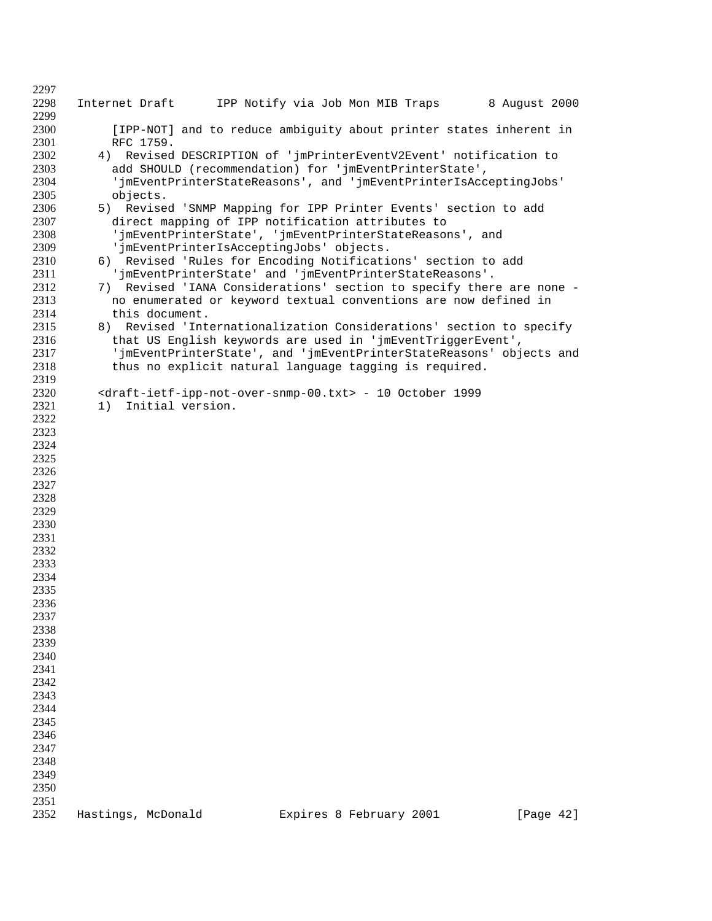| 2297         |                                                                                                                             |                                                                                                                                      |               |  |  |  |
|--------------|-----------------------------------------------------------------------------------------------------------------------------|--------------------------------------------------------------------------------------------------------------------------------------|---------------|--|--|--|
| 2298<br>2299 | Internet Draft                                                                                                              | IPP Notify via Job Mon MIB Traps                                                                                                     | 8 August 2000 |  |  |  |
| 2300         |                                                                                                                             | [IPP-NOT] and to reduce ambiguity about printer states inherent in                                                                   |               |  |  |  |
| 2301         | RFC 1759.                                                                                                                   |                                                                                                                                      |               |  |  |  |
| 2302         | 4) Revised DESCRIPTION of 'jmPrinterEventV2Event' notification to                                                           |                                                                                                                                      |               |  |  |  |
| 2303         | add SHOULD (recommendation) for 'jmEventPrinterState',<br>'jmEventPrinterStateReasons', and 'jmEventPrinterIsAcceptingJobs' |                                                                                                                                      |               |  |  |  |
| 2304<br>2305 | objects.                                                                                                                    |                                                                                                                                      |               |  |  |  |
| 2306         | 5)                                                                                                                          | Revised 'SNMP Mapping for IPP Printer Events' section to add                                                                         |               |  |  |  |
| 2307         |                                                                                                                             | direct mapping of IPP notification attributes to                                                                                     |               |  |  |  |
| 2308         |                                                                                                                             | 'jmEventPrinterState', 'jmEventPrinterStateReasons', and                                                                             |               |  |  |  |
| 2309         |                                                                                                                             | 'jmEventPrinterIsAcceptingJobs' objects.                                                                                             |               |  |  |  |
| 2310         |                                                                                                                             | 6) Revised 'Rules for Encoding Notifications' section to add                                                                         |               |  |  |  |
| 2311         |                                                                                                                             | 'jmEventPrinterState' and 'jmEventPrinterStateReasons'.                                                                              |               |  |  |  |
| 2312<br>2313 | 7)                                                                                                                          | Revised 'IANA Considerations' section to specify there are none -<br>no enumerated or keyword textual conventions are now defined in |               |  |  |  |
| 2314         | this document.                                                                                                              |                                                                                                                                      |               |  |  |  |
| 2315         | 8)                                                                                                                          | Revised 'Internationalization Considerations' section to specify                                                                     |               |  |  |  |
| 2316         |                                                                                                                             | that US English keywords are used in 'jmEventTriggerEvent',                                                                          |               |  |  |  |
| 2317         |                                                                                                                             | 'jmEventPrinterState', and 'jmEventPrinterStateReasons' objects and                                                                  |               |  |  |  |
| 2318         |                                                                                                                             | thus no explicit natural language tagging is required.                                                                               |               |  |  |  |
| 2319<br>2320 |                                                                                                                             | <draft-ietf-ipp-not-over-snmp-00.txt> - 10 October 1999</draft-ietf-ipp-not-over-snmp-00.txt>                                        |               |  |  |  |
| 2321         | Initial version.<br>1)                                                                                                      |                                                                                                                                      |               |  |  |  |
| 2322         |                                                                                                                             |                                                                                                                                      |               |  |  |  |
| 2323         |                                                                                                                             |                                                                                                                                      |               |  |  |  |
| 2324         |                                                                                                                             |                                                                                                                                      |               |  |  |  |
| 2325         |                                                                                                                             |                                                                                                                                      |               |  |  |  |
| 2326<br>2327 |                                                                                                                             |                                                                                                                                      |               |  |  |  |
| 2328         |                                                                                                                             |                                                                                                                                      |               |  |  |  |
| 2329         |                                                                                                                             |                                                                                                                                      |               |  |  |  |
| 2330         |                                                                                                                             |                                                                                                                                      |               |  |  |  |
| 2331         |                                                                                                                             |                                                                                                                                      |               |  |  |  |
| 2332         |                                                                                                                             |                                                                                                                                      |               |  |  |  |
| 2333<br>2334 |                                                                                                                             |                                                                                                                                      |               |  |  |  |
| 2335         |                                                                                                                             |                                                                                                                                      |               |  |  |  |
| 2336         |                                                                                                                             |                                                                                                                                      |               |  |  |  |
| 2337         |                                                                                                                             |                                                                                                                                      |               |  |  |  |
| 2338         |                                                                                                                             |                                                                                                                                      |               |  |  |  |
| 2339         |                                                                                                                             |                                                                                                                                      |               |  |  |  |
| 2340<br>2341 |                                                                                                                             |                                                                                                                                      |               |  |  |  |
| 2342         |                                                                                                                             |                                                                                                                                      |               |  |  |  |
| 2343         |                                                                                                                             |                                                                                                                                      |               |  |  |  |
| 2344         |                                                                                                                             |                                                                                                                                      |               |  |  |  |
| 2345         |                                                                                                                             |                                                                                                                                      |               |  |  |  |
| 2346         |                                                                                                                             |                                                                                                                                      |               |  |  |  |
| 2347<br>2348 |                                                                                                                             |                                                                                                                                      |               |  |  |  |
| 2349         |                                                                                                                             |                                                                                                                                      |               |  |  |  |
| 2350         |                                                                                                                             |                                                                                                                                      |               |  |  |  |
| 2351         |                                                                                                                             |                                                                                                                                      |               |  |  |  |
| 2352         | Hastings, McDonald                                                                                                          | Expires 8 February 2001                                                                                                              | [Page 42]     |  |  |  |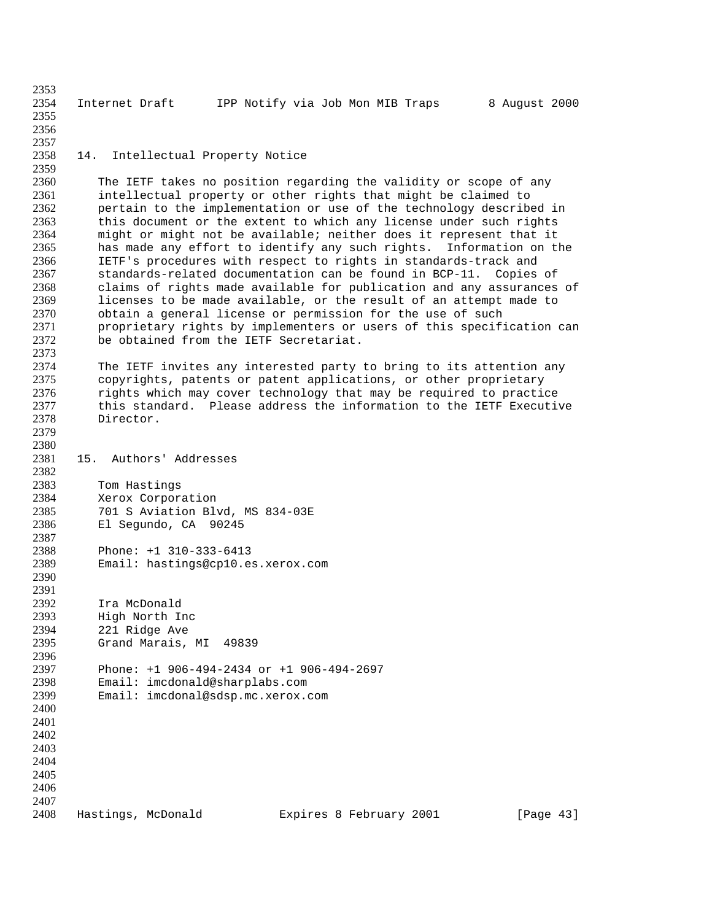Internet Draft IPP Notify via Job Mon MIB Traps 8 August 2000 14. Intellectual Property Notice The IETF takes no position regarding the validity or scope of any intellectual property or other rights that might be claimed to pertain to the implementation or use of the technology described in this document or the extent to which any license under such rights might or might not be available; neither does it represent that it has made any effort to identify any such rights. Information on the IETF's procedures with respect to rights in standards-track and 2367 standards-related documentation can be found in BCP-11. Copies of 2368 claims of rights made available for publication and any assurances claims of rights made available for publication and any assurances of 2369 licenses to be made available, or the result of an attempt made to 2370 obtain a general license or permission for the use of such obtain a general license or permission for the use of such 2371 proprietary rights by implementers or users of this specification can<br>2372 be obtained from the IETF Secretariat. be obtained from the IETF Secretariat. The IETF invites any interested party to bring to its attention any copyrights, patents or patent applications, or other proprietary rights which may cover technology that may be required to practice this standard. Please address the information to the IETF Executive Director. 15. Authors' Addresses Tom Hastings Xerox Corporation 701 S Aviation Blvd, MS 834-03E El Segundo, CA 90245 Phone: +1 310-333-6413 Email: hastings@cp10.es.xerox.com 2391<br>2392 Ira McDonald High North Inc 221 Ridge Ave Grand Marais, MI 49839 Phone: +1 906-494-2434 or +1 906-494-2697 Email: imcdonald@sharplabs.com Email: imcdonal@sdsp.mc.xerox.com Hastings, McDonald Expires 8 February 2001 [Page 43]